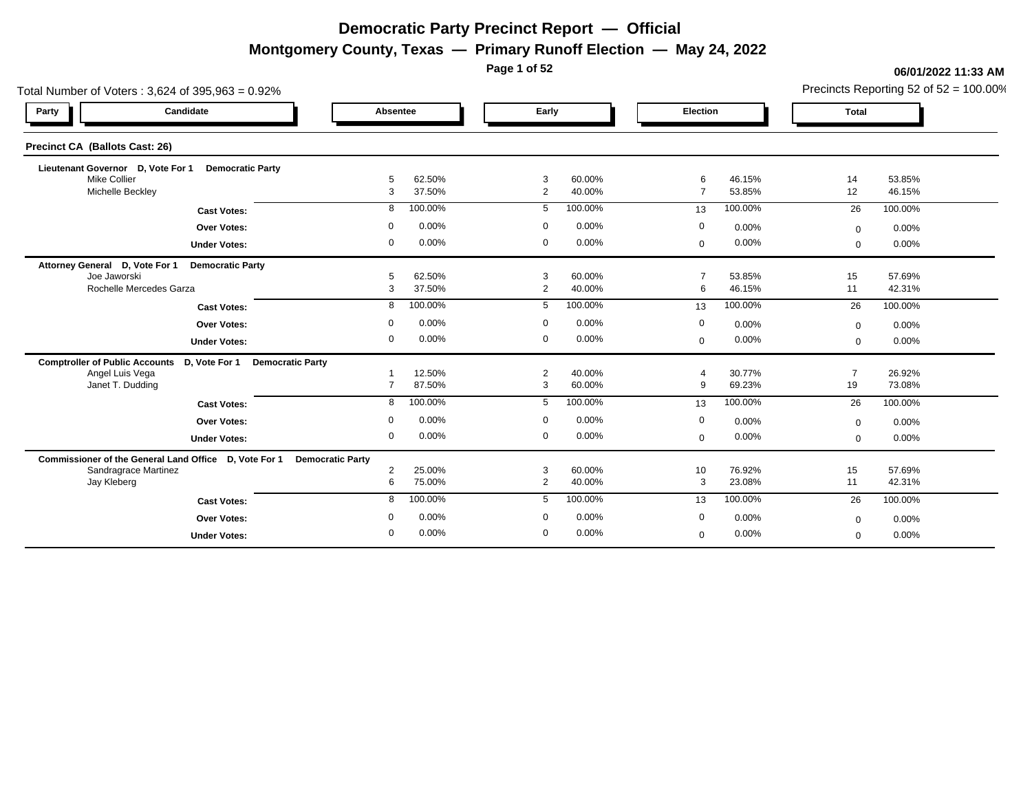**Montgomery County, Texas — Primary Runoff Election — May 24, 2022**

**Page 1 of 52**

#### **06/01/2022 11:33 AM**

Precincts Reporting 52 of 52 = 100.00%

| Total Number of Voters: 3,624 of 395,963 = 0.92%                                  |                |                  |                |                  |                |                  |                          | Precincts Reporting 52 of $52 = 100.00\%$ |
|-----------------------------------------------------------------------------------|----------------|------------------|----------------|------------------|----------------|------------------|--------------------------|-------------------------------------------|
| Candidate<br>Party                                                                | Absentee       |                  | Early          |                  | Election       |                  | <b>Total</b>             |                                           |
| <b>Precinct CA (Ballots Cast: 26)</b>                                             |                |                  |                |                  |                |                  |                          |                                           |
| Lieutenant Governor D, Vote For 1<br><b>Democratic Party</b>                      |                |                  |                |                  |                |                  |                          |                                           |
| <b>Mike Collier</b><br>Michelle Beckley                                           | 5<br>3         | 62.50%<br>37.50% | 3<br>2         | 60.00%<br>40.00% | 6<br>7         | 46.15%<br>53.85% | 14<br>12                 | 53.85%<br>46.15%                          |
| <b>Cast Votes:</b>                                                                | 8              | 100.00%          | 5              | 100.00%          | 13             | 100.00%          | 26                       | 100.00%                                   |
| Over Votes:                                                                       | $\Omega$       | 0.00%            | $\mathbf 0$    | $0.00\%$         | $\mathbf 0$    | 0.00%            |                          | 0.00%                                     |
|                                                                                   | $\mathbf 0$    | 0.00%            | $\mathbf 0$    | 0.00%            | $\mathbf 0$    | 0.00%            | $\mathbf{0}$<br>$\Omega$ | 0.00%                                     |
| <b>Under Votes:</b>                                                               |                |                  |                |                  |                |                  |                          |                                           |
| Attorney General D, Vote For 1<br><b>Democratic Party</b><br>Joe Jaworski         | 5              | 62.50%           | 3              | 60.00%           | $\overline{7}$ | 53.85%           | 15                       | 57.69%                                    |
| Rochelle Mercedes Garza                                                           | 3              | 37.50%           | 2              | 40.00%           | 6              | 46.15%           | 11                       | 42.31%                                    |
| <b>Cast Votes:</b>                                                                | 8              | 100.00%          | 5              | 100.00%          | 13             | 100.00%          | 26                       | 100.00%                                   |
| Over Votes:                                                                       | $\mathbf 0$    | 0.00%            | $\mathbf 0$    | 0.00%            | $\mathbf 0$    | 0.00%            | $\mathbf 0$              | 0.00%                                     |
| <b>Under Votes:</b>                                                               | 0              | 0.00%            | $\mathbf 0$    | 0.00%            | $\mathbf 0$    | 0.00%            | $\Omega$                 | 0.00%                                     |
| <b>Comptroller of Public Accounts</b><br>D, Vote For 1<br><b>Democratic Party</b> |                |                  |                |                  |                |                  |                          |                                           |
| Angel Luis Vega                                                                   |                | 12.50%           | $\overline{2}$ | 40.00%           | 4              | 30.77%           | $\overline{7}$           | 26.92%                                    |
| Janet T. Dudding                                                                  | $\overline{7}$ | 87.50%           | 3              | 60.00%           | 9              | 69.23%           | 19                       | 73.08%                                    |
| <b>Cast Votes:</b>                                                                | 8              | 100.00%          | 5              | 100.00%          | 13             | 100.00%          | 26                       | 100.00%                                   |
| Over Votes:                                                                       | 0              | 0.00%            | $\mathbf 0$    | 0.00%            | $\mathbf 0$    | 0.00%            | $\mathbf{0}$             | 0.00%                                     |
| <b>Under Votes:</b>                                                               | 0              | 0.00%            | $\mathbf 0$    | 0.00%            | $\mathbf 0$    | 0.00%            | $\Omega$                 | 0.00%                                     |
| Commissioner of the General Land Office D, Vote For 1<br><b>Democratic Party</b>  |                |                  |                |                  |                |                  |                          |                                           |
| Sandragrace Martinez                                                              | $\overline{2}$ | 25.00%           | 3              | 60.00%           | 10             | 76.92%           | 15                       | 57.69%                                    |
| Jay Kleberg                                                                       | 6              | 75.00%           | $\overline{2}$ | 40.00%           | 3              | 23.08%           | 11                       | 42.31%                                    |
| <b>Cast Votes:</b>                                                                | 8              | 100.00%          | $5^{\circ}$    | 100.00%          | 13             | 100.00%          | 26                       | 100.00%                                   |
| <b>Over Votes:</b>                                                                | $\Omega$       | 0.00%            | $\mathbf 0$    | 0.00%            | $\mathbf 0$    | 0.00%            | $\mathbf{0}$             | 0.00%                                     |
| <b>Under Votes:</b>                                                               | $\mathbf 0$    | 0.00%            | $\mathbf 0$    | $0.00\%$         | $\mathbf 0$    | 0.00%            | $\Omega$                 | 0.00%                                     |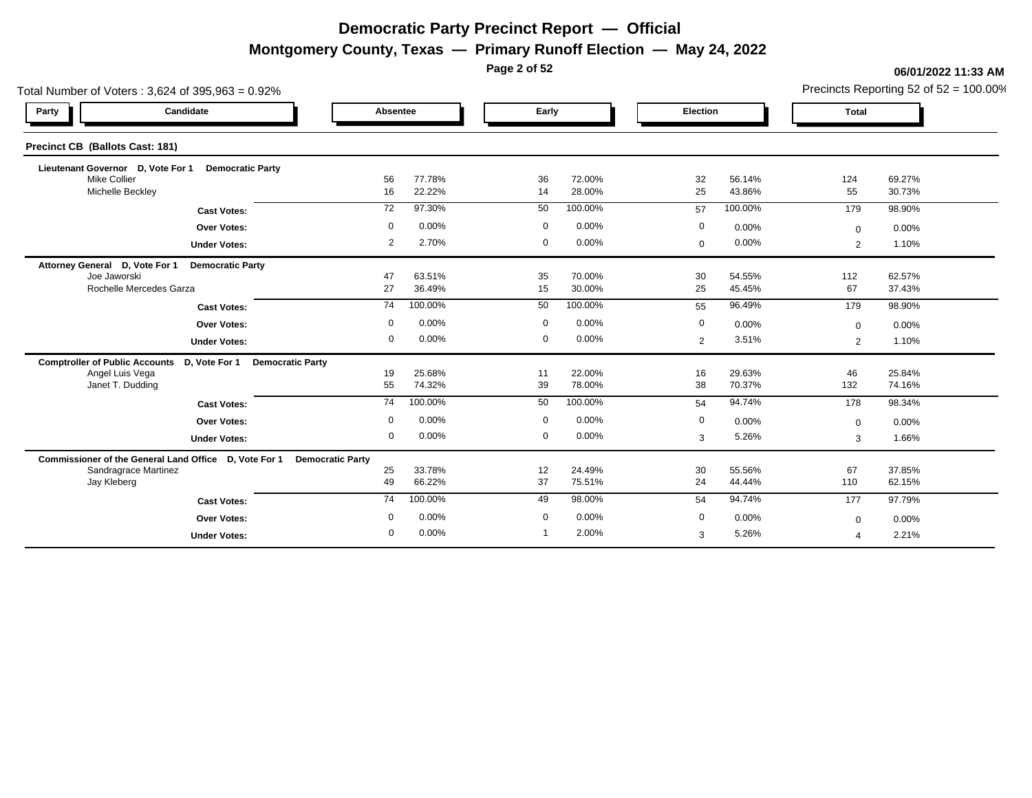**Montgomery County, Texas — Primary Runoff Election — May 24, 2022**

**Page 2 of 52**

|                                                                        | Total Number of Voters: 3,624 of 395,963 = 0.92% |             |                  |  |                |                  |                |                  |                |                  |  |  |  |
|------------------------------------------------------------------------|--------------------------------------------------|-------------|------------------|--|----------------|------------------|----------------|------------------|----------------|------------------|--|--|--|
| Candidate<br>Party                                                     |                                                  | Absentee    |                  |  | Early          |                  | Election       |                  | <b>Total</b>   |                  |  |  |  |
| Precinct CB (Ballots Cast: 181)                                        |                                                  |             |                  |  |                |                  |                |                  |                |                  |  |  |  |
| Lieutenant Governor D, Vote For 1                                      | <b>Democratic Party</b>                          |             |                  |  |                |                  |                |                  |                |                  |  |  |  |
| <b>Mike Collier</b><br>Michelle Beckley                                |                                                  | 56<br>16    | 77.78%<br>22.22% |  | 36<br>14       | 72.00%<br>28.00% | 32<br>25       | 56.14%<br>43.86% | 124<br>55      | 69.27%<br>30.73% |  |  |  |
|                                                                        | <b>Cast Votes:</b>                               | 72          | 97.30%           |  | 50             | 100.00%          | 57             | 100.00%          | 179            | 98.90%           |  |  |  |
|                                                                        | <b>Over Votes:</b>                               | $\mathbf 0$ | 0.00%            |  | $\mathbf 0$    | 0.00%            | 0              | 0.00%            | $\mathbf{0}$   | 0.00%            |  |  |  |
|                                                                        | <b>Under Votes:</b>                              | 2           | 2.70%            |  | $\mathbf 0$    | 0.00%            | $\mathbf 0$    | 0.00%            | $\overline{2}$ | 1.10%            |  |  |  |
| Attorney General D, Vote For 1                                         | <b>Democratic Party</b>                          |             |                  |  |                |                  |                |                  |                |                  |  |  |  |
| Joe Jaworski                                                           |                                                  | 47          | 63.51%           |  | 35             | 70.00%           | 30             | 54.55%           | 112            | 62.57%           |  |  |  |
| Rochelle Mercedes Garza                                                |                                                  | 27          | 36.49%           |  | 15             | 30.00%           | 25             | 45.45%           | 67             | 37.43%           |  |  |  |
|                                                                        | <b>Cast Votes:</b>                               | 74          | 100.00%          |  | 50             | 100.00%          | 55             | 96.49%           | 179            | 98.90%           |  |  |  |
|                                                                        | <b>Over Votes:</b>                               | $\mathbf 0$ | 0.00%            |  | $\overline{0}$ | 0.00%            | $\mathbf{0}$   | 0.00%            | $\mathbf{0}$   | 0.00%            |  |  |  |
|                                                                        | <b>Under Votes:</b>                              | $\mathbf 0$ | 0.00%            |  | $\mathbf 0$    | 0.00%            | $\overline{2}$ | 3.51%            | $\overline{2}$ | 1.10%            |  |  |  |
| Comptroller of Public Accounts D, Vote For 1 Democratic Party          |                                                  |             |                  |  |                |                  |                |                  |                |                  |  |  |  |
| Angel Luis Vega                                                        |                                                  | 19          | 25.68%           |  | 11             | 22.00%           | 16             | 29.63%           | 46             | 25.84%           |  |  |  |
| Janet T. Dudding                                                       |                                                  | 55          | 74.32%           |  | 39             | 78.00%           | 38             | 70.37%           | 132            | 74.16%           |  |  |  |
|                                                                        | <b>Cast Votes:</b>                               | 74          | 100.00%          |  | 50             | 100.00%          | 54             | 94.74%           | 178            | 98.34%           |  |  |  |
|                                                                        | <b>Over Votes:</b>                               | $\mathbf 0$ | 0.00%            |  | $\overline{0}$ | 0.00%            | $\mathbf 0$    | 0.00%            | $\mathbf{0}$   | 0.00%            |  |  |  |
|                                                                        | <b>Under Votes:</b>                              | $\Omega$    | 0.00%            |  | $\mathbf 0$    | 0.00%            | 3              | 5.26%            | 3              | 1.66%            |  |  |  |
| Commissioner of the General Land Office D, Vote For 1 Democratic Party |                                                  |             |                  |  |                |                  |                |                  |                |                  |  |  |  |
| Sandragrace Martinez                                                   |                                                  | 25          | 33.78%           |  | 12             | 24.49%           | 30             | 55.56%           | 67             | 37.85%           |  |  |  |
| Jay Kleberg                                                            |                                                  | 49          | 66.22%           |  | 37             | 75.51%           | 24             | 44.44%           | 110            | 62.15%           |  |  |  |
|                                                                        | <b>Cast Votes:</b>                               | 74          | 100.00%          |  | 49             | 98.00%           | 54             | 94.74%           | 177            | 97.79%           |  |  |  |
|                                                                        | <b>Over Votes:</b>                               | $\mathbf 0$ | 0.00%            |  | $\mathbf 0$    | 0.00%            | 0              | 0.00%            | $\mathbf 0$    | 0.00%            |  |  |  |
|                                                                        | <b>Under Votes:</b>                              | $\mathbf 0$ | 0.00%            |  |                | 2.00%            | 3              | 5.26%            |                | 2.21%            |  |  |  |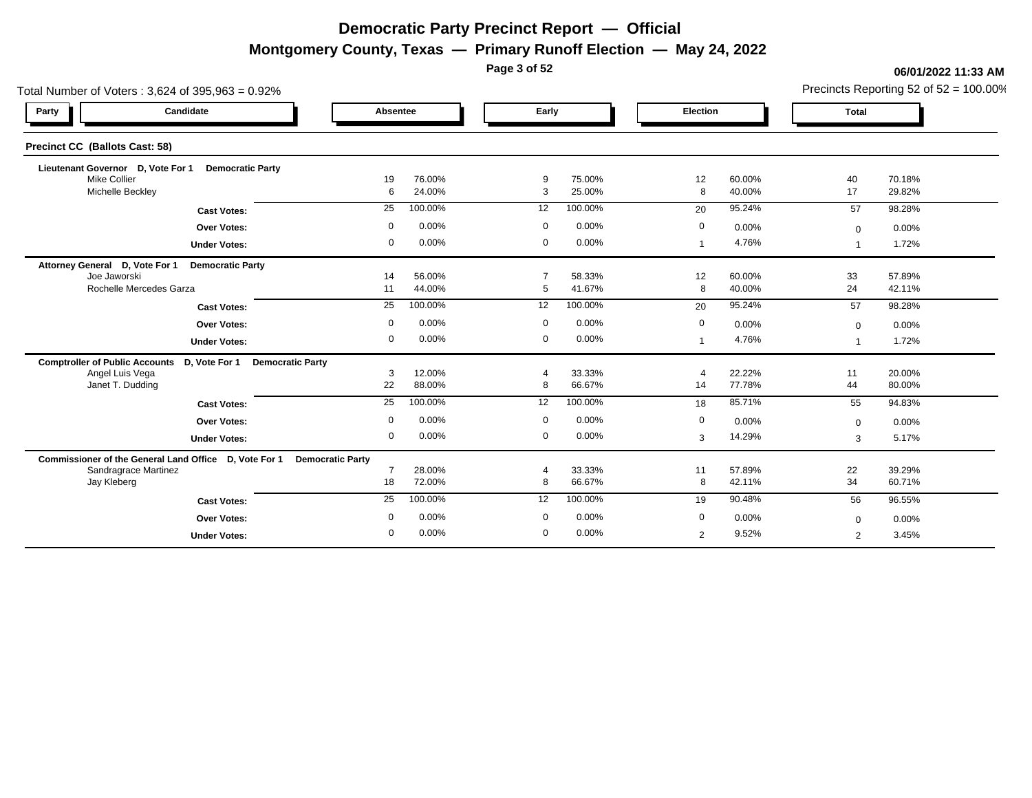**Montgomery County, Texas — Primary Runoff Election — May 24, 2022**

**Page 3 of 52**

| Total Number of Voters: 3,624 of 395,963 = 0.92%                                  |                |                  |                              |                  |                |                  |              |                  |  |  |  |  |  |
|-----------------------------------------------------------------------------------|----------------|------------------|------------------------------|------------------|----------------|------------------|--------------|------------------|--|--|--|--|--|
| Candidate<br>Party                                                                | Absentee       |                  | Early                        |                  | Election       |                  | <b>Total</b> |                  |  |  |  |  |  |
| Precinct CC (Ballots Cast: 58)                                                    |                |                  |                              |                  |                |                  |              |                  |  |  |  |  |  |
| Lieutenant Governor D, Vote For 1<br><b>Democratic Party</b>                      |                |                  |                              |                  |                |                  |              |                  |  |  |  |  |  |
| <b>Mike Collier</b><br>Michelle Beckley                                           | 19<br>6        | 76.00%<br>24.00% | 9<br>3                       | 75.00%<br>25.00% | 12<br>8        | 60.00%<br>40.00% | 40<br>17     | 70.18%<br>29.82% |  |  |  |  |  |
| <b>Cast Votes:</b>                                                                | 25             | 100.00%          | 12                           | 100.00%          | 20             | 95.24%           | 57           | 98.28%           |  |  |  |  |  |
| <b>Over Votes:</b>                                                                | $\mathbf 0$    | 0.00%            | $\mathbf 0$                  | 0.00%            | 0              | 0.00%            | $\Omega$     | 0.00%            |  |  |  |  |  |
| <b>Under Votes:</b>                                                               | 0              | 0.00%            | $\mathbf 0$                  | 0.00%            |                | 4.76%            |              | 1.72%            |  |  |  |  |  |
| Attorney General D, Vote For 1<br><b>Democratic Party</b>                         |                |                  |                              |                  |                |                  |              |                  |  |  |  |  |  |
| Joe Jaworski<br>Rochelle Mercedes Garza                                           | 14<br>11       | 56.00%<br>44.00% | $\overline{7}$<br>$\sqrt{5}$ | 58.33%<br>41.67% | 12<br>8        | 60.00%<br>40.00% | 33<br>24     | 57.89%<br>42.11% |  |  |  |  |  |
| <b>Cast Votes:</b>                                                                | 25             | 100.00%          | 12                           | 100.00%          | 20             | 95.24%           | 57           | 98.28%           |  |  |  |  |  |
| <b>Over Votes:</b>                                                                | $\mathbf 0$    | 0.00%            | $\mathbf 0$                  | 0.00%            | 0              | 0.00%            | $\mathbf 0$  | 0.00%            |  |  |  |  |  |
| <b>Under Votes:</b>                                                               | $\mathbf 0$    | 0.00%            | $\mathbf 0$                  | 0.00%            |                | 4.76%            |              | 1.72%            |  |  |  |  |  |
| <b>Comptroller of Public Accounts</b><br>D, Vote For 1<br><b>Democratic Party</b> |                |                  |                              |                  |                |                  |              |                  |  |  |  |  |  |
| Angel Luis Vega                                                                   | 3              | 12.00%           | $\overline{4}$               | 33.33%           | $\overline{a}$ | 22.22%           | 11           | 20.00%           |  |  |  |  |  |
| Janet T. Dudding                                                                  | 22             | 88.00%           | 8                            | 66.67%           | 14             | 77.78%           | 44           | 80.00%           |  |  |  |  |  |
| <b>Cast Votes:</b>                                                                | 25             | 100.00%          | 12                           | 100.00%          | 18             | 85.71%           | 55           | 94.83%           |  |  |  |  |  |
| <b>Over Votes:</b>                                                                | $\mathbf 0$    | 0.00%            | $\mathbf 0$                  | 0.00%            | 0              | 0.00%            | $\mathbf 0$  | 0.00%            |  |  |  |  |  |
| <b>Under Votes:</b>                                                               | $\overline{0}$ | 0.00%            | $\mathbf 0$                  | 0.00%            | 3              | 14.29%           | 3            | 5.17%            |  |  |  |  |  |
| Commissioner of the General Land Office D, Vote For 1 Democratic Party            |                |                  |                              |                  |                |                  |              |                  |  |  |  |  |  |
| Sandragrace Martinez                                                              | $\overline{7}$ | 28.00%           |                              | 33.33%           | 11             | 57.89%<br>42.11% | 22           | 39.29%           |  |  |  |  |  |
| Jay Kleberg                                                                       | 18             | 72.00%           | 8                            | 66.67%           | 8              |                  | 34           | 60.71%           |  |  |  |  |  |
| <b>Cast Votes:</b>                                                                | 25             | 100.00%          | 12                           | 100.00%          | 19             | 90.48%           | 56           | 96.55%           |  |  |  |  |  |
| <b>Over Votes:</b>                                                                | $\mathbf 0$    | 0.00%            | $\mathbf 0$                  | 0.00%            | 0              | 0.00%            | $\Omega$     | 0.00%            |  |  |  |  |  |
| <b>Under Votes:</b>                                                               | 0              | 0.00%            | $\mathbf 0$                  | 0.00%            | $\overline{2}$ | 9.52%            | 2            | 3.45%            |  |  |  |  |  |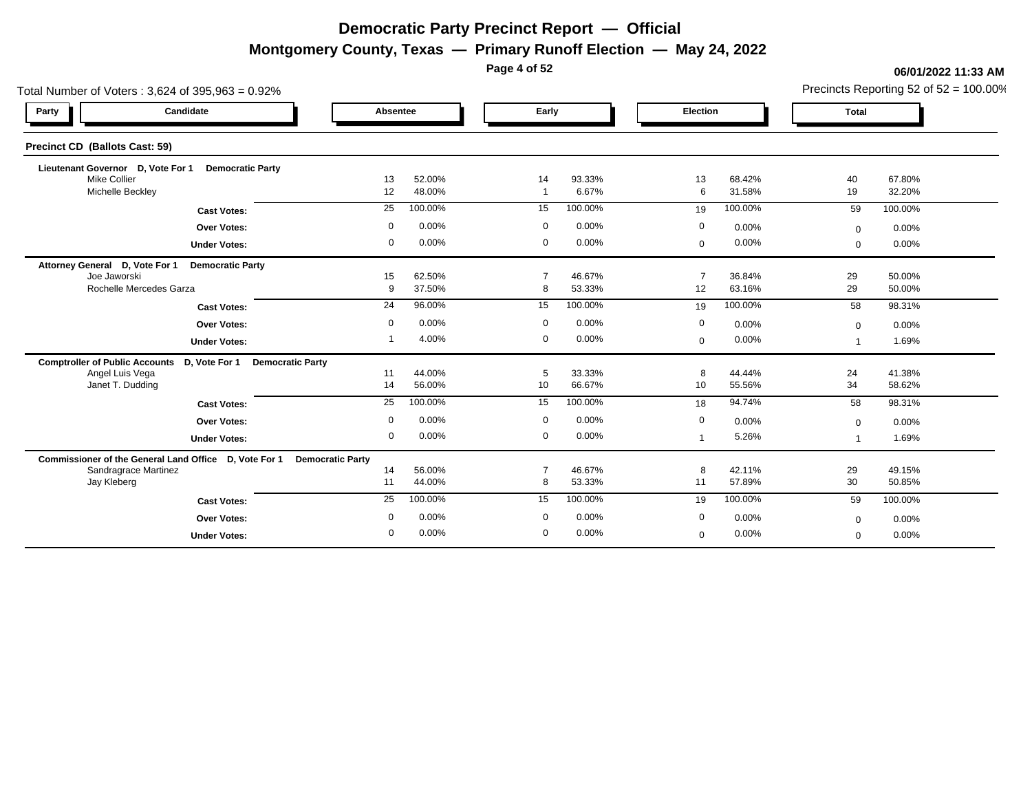**Montgomery County, Texas — Primary Runoff Election — May 24, 2022**

**Page 4 of 52**

| Total Number of Voters: 3,624 of 395,963 = 0.92%                                  |                 |                  |                     |                  |                      |                  |              |                  |  |  |  |  |  |
|-----------------------------------------------------------------------------------|-----------------|------------------|---------------------|------------------|----------------------|------------------|--------------|------------------|--|--|--|--|--|
| Candidate<br>Party                                                                | Absentee        |                  | Early               |                  | Election             |                  | <b>Total</b> |                  |  |  |  |  |  |
| Precinct CD (Ballots Cast: 59)                                                    |                 |                  |                     |                  |                      |                  |              |                  |  |  |  |  |  |
| Lieutenant Governor D, Vote For 1<br><b>Democratic Party</b>                      |                 |                  |                     |                  |                      |                  |              |                  |  |  |  |  |  |
| <b>Mike Collier</b><br>Michelle Beckley                                           | 13<br>12        | 52.00%<br>48.00% | 14                  | 93.33%<br>6.67%  | 13<br>6              | 68.42%<br>31.58% | 40<br>19     | 67.80%<br>32.20% |  |  |  |  |  |
| <b>Cast Votes:</b>                                                                | 25              | 100.00%          | 15                  | 100.00%          | 19                   | 100.00%          | 59           | 100.00%          |  |  |  |  |  |
| <b>Over Votes:</b>                                                                | $\mathbf 0$     | 0.00%            | $\mathbf 0$         | 0.00%            | 0                    | 0.00%            | $\Omega$     | 0.00%            |  |  |  |  |  |
| <b>Under Votes:</b>                                                               | 0               | 0.00%            | $\mathbf 0$         | 0.00%            | $\mathbf 0$          | 0.00%            | $\mathbf 0$  | 0.00%            |  |  |  |  |  |
| Attorney General D, Vote For 1<br><b>Democratic Party</b>                         |                 |                  |                     |                  |                      |                  |              |                  |  |  |  |  |  |
| Joe Jaworski<br>Rochelle Mercedes Garza                                           | 15<br>9         | 62.50%<br>37.50% | $\overline{7}$<br>8 | 46.67%<br>53.33% | $\overline{7}$<br>12 | 36.84%<br>63.16% | 29<br>29     | 50.00%<br>50.00% |  |  |  |  |  |
| <b>Cast Votes:</b>                                                                | $\overline{24}$ | 96.00%           | 15                  | 100.00%          | 19                   | 100.00%          | 58           | 98.31%           |  |  |  |  |  |
| <b>Over Votes:</b>                                                                | $\mathbf 0$     | 0.00%            | $\mathbf 0$         | 0.00%            | 0                    | 0.00%            | $\mathbf 0$  | 0.00%            |  |  |  |  |  |
| <b>Under Votes:</b>                                                               |                 | 4.00%            | $\mathbf 0$         | 0.00%            | $\mathbf{0}$         | 0.00%            |              | 1.69%            |  |  |  |  |  |
| <b>Comptroller of Public Accounts</b><br>D, Vote For 1<br><b>Democratic Party</b> |                 |                  |                     |                  |                      |                  |              |                  |  |  |  |  |  |
| Angel Luis Vega                                                                   | 11              | 44.00%           | 5                   | 33.33%           | 8                    | 44.44%           | 24           | 41.38%           |  |  |  |  |  |
| Janet T. Dudding                                                                  | 14              | 56.00%           | 10                  | 66.67%           | 10                   | 55.56%           | 34           | 58.62%           |  |  |  |  |  |
| <b>Cast Votes:</b>                                                                | 25              | 100.00%          | 15                  | 100.00%          | 18                   | 94.74%           | 58           | 98.31%           |  |  |  |  |  |
| <b>Over Votes:</b>                                                                | $\mathbf 0$     | 0.00%            | $\mathbf 0$         | 0.00%            | 0                    | 0.00%            | $\Omega$     | 0.00%            |  |  |  |  |  |
| <b>Under Votes:</b>                                                               | $\overline{0}$  | 0.00%            | $\mathbf 0$         | 0.00%            |                      | 5.26%            |              | 1.69%            |  |  |  |  |  |
| Commissioner of the General Land Office D, Vote For 1 Democratic Party            |                 |                  |                     |                  |                      |                  |              |                  |  |  |  |  |  |
| Sandragrace Martinez<br>Jay Kleberg                                               | 14              | 56.00%<br>44.00% | 7<br>8              | 46.67%<br>53.33% | 8<br>11              | 42.11%<br>57.89% | 29<br>30     | 49.15%<br>50.85% |  |  |  |  |  |
|                                                                                   | 11              |                  |                     |                  |                      |                  |              |                  |  |  |  |  |  |
| <b>Cast Votes:</b>                                                                | 25              | 100.00%          | 15                  | 100.00%          | 19                   | 100.00%          | 59           | 100.00%          |  |  |  |  |  |
| <b>Over Votes:</b>                                                                | $\mathbf 0$     | 0.00%            | $\mathbf 0$         | 0.00%            | 0                    | 0.00%            | $\mathbf{0}$ | 0.00%            |  |  |  |  |  |
| <b>Under Votes:</b>                                                               | 0               | 0.00%            | $\mathbf 0$         | 0.00%            | $\Omega$             | 0.00%            | $\Omega$     | 0.00%            |  |  |  |  |  |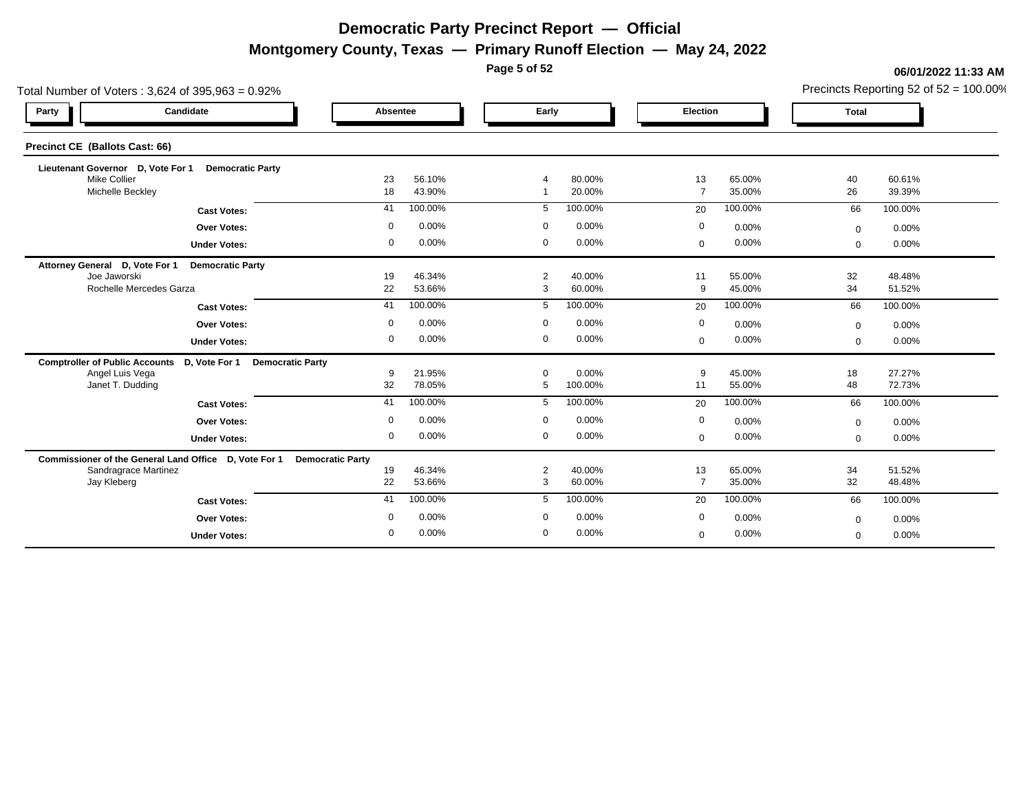**Montgomery County, Texas — Primary Runoff Election — May 24, 2022**

**Page 5 of 52**

|                                                                        | Total Number of Voters: 3,624 of 395,963 = 0.92% |             |                  |  |                |                  |                      |  |                  |              |                  |  |  |
|------------------------------------------------------------------------|--------------------------------------------------|-------------|------------------|--|----------------|------------------|----------------------|--|------------------|--------------|------------------|--|--|
| Party                                                                  | Candidate                                        | Absentee    |                  |  | Early          |                  | Election             |  |                  | <b>Total</b> |                  |  |  |
| Precinct CE (Ballots Cast: 66)                                         |                                                  |             |                  |  |                |                  |                      |  |                  |              |                  |  |  |
| Lieutenant Governor D, Vote For 1                                      | <b>Democratic Party</b>                          |             |                  |  |                |                  |                      |  |                  |              |                  |  |  |
| <b>Mike Collier</b><br>Michelle Beckley                                |                                                  | 23<br>18    | 56.10%<br>43.90% |  |                | 80.00%<br>20.00% | 13<br>$\overline{7}$ |  | 65.00%<br>35.00% | 40<br>26     | 60.61%<br>39.39% |  |  |
|                                                                        |                                                  |             |                  |  |                |                  |                      |  |                  |              |                  |  |  |
|                                                                        | <b>Cast Votes:</b>                               | 41          | 100.00%          |  | 5              | 100.00%          | 20                   |  | 100.00%          | 66           | 100.00%          |  |  |
|                                                                        | <b>Over Votes:</b>                               | $\mathbf 0$ | 0.00%            |  | $\mathbf 0$    | 0.00%            | 0                    |  | 0.00%            | $\Omega$     | 0.00%            |  |  |
|                                                                        | <b>Under Votes:</b>                              | $\mathbf 0$ | 0.00%            |  | $\mathbf{0}$   | 0.00%            | 0                    |  | 0.00%            | $\mathbf{0}$ | 0.00%            |  |  |
| Attorney General D, Vote For 1                                         | <b>Democratic Party</b>                          |             |                  |  |                |                  |                      |  |                  |              |                  |  |  |
| Joe Jaworski                                                           |                                                  | 19          | 46.34%           |  | $\overline{2}$ | 40.00%           | 11                   |  | 55.00%           | 32           | 48.48%           |  |  |
| Rochelle Mercedes Garza                                                |                                                  | 22          | 53.66%           |  | 3              | 60.00%           | 9                    |  | 45.00%           | 34           | 51.52%           |  |  |
|                                                                        | <b>Cast Votes:</b>                               | 41          | 100.00%          |  | 5              | 100.00%          | 20                   |  | 100.00%          | 66           | 100.00%          |  |  |
|                                                                        | <b>Over Votes:</b>                               | $\mathbf 0$ | 0.00%            |  | $\mathbf 0$    | 0.00%            | $\mathbf 0$          |  | 0.00%            | $\Omega$     | 0.00%            |  |  |
|                                                                        | <b>Under Votes:</b>                              | $\Omega$    | 0.00%            |  | $\mathbf 0$    | 0.00%            | $\mathbf 0$          |  | 0.00%            | $\mathbf{0}$ | 0.00%            |  |  |
| Comptroller of Public Accounts D, Vote For 1 Democratic Party          |                                                  |             |                  |  |                |                  |                      |  |                  |              |                  |  |  |
| Angel Luis Vega                                                        |                                                  | 9           | 21.95%           |  | $\mathbf 0$    | 0.00%            | 9                    |  | 45.00%           | 18           | 27.27%           |  |  |
| Janet T. Dudding                                                       |                                                  | 32          | 78.05%           |  | 5              | 100.00%          | 11                   |  | 55.00%           | 48           | 72.73%           |  |  |
|                                                                        | <b>Cast Votes:</b>                               | 41          | 100.00%          |  | 5              | 100.00%          | 20                   |  | 100.00%          | 66           | 100.00%          |  |  |
|                                                                        | <b>Over Votes:</b>                               | $\Omega$    | 0.00%            |  | $\mathbf 0$    | 0.00%            | $\mathbf 0$          |  | 0.00%            | $\mathbf{0}$ | 0.00%            |  |  |
|                                                                        | <b>Under Votes:</b>                              | $\mathbf 0$ | 0.00%            |  | $\mathbf 0$    | 0.00%            | $\mathbf{0}$         |  | 0.00%            | $\Omega$     | 0.00%            |  |  |
| Commissioner of the General Land Office D, Vote For 1 Democratic Party |                                                  |             |                  |  |                |                  |                      |  |                  |              |                  |  |  |
| Sandragrace Martinez                                                   |                                                  | 19          | 46.34%           |  | $\overline{2}$ | 40.00%           | 13                   |  | 65.00%           | 34           | 51.52%           |  |  |
| Jay Kleberg                                                            |                                                  | 22          | 53.66%           |  | 3              | 60.00%           | $\overline{7}$       |  | 35.00%           | 32           | 48.48%           |  |  |
|                                                                        | <b>Cast Votes:</b>                               | 41          | 100.00%          |  | 5              | 100.00%          | 20                   |  | 100.00%          | 66           | 100.00%          |  |  |
|                                                                        | <b>Over Votes:</b>                               | 0           | 0.00%            |  | $\mathbf 0$    | 0.00%            | $\mathbf 0$          |  | 0.00%            | $\Omega$     | 0.00%            |  |  |
|                                                                        | <b>Under Votes:</b>                              | $\mathbf 0$ | 0.00%            |  | $\mathbf 0$    | 0.00%            | $\mathbf 0$          |  | 0.00%            | $\mathbf{0}$ | 0.00%            |  |  |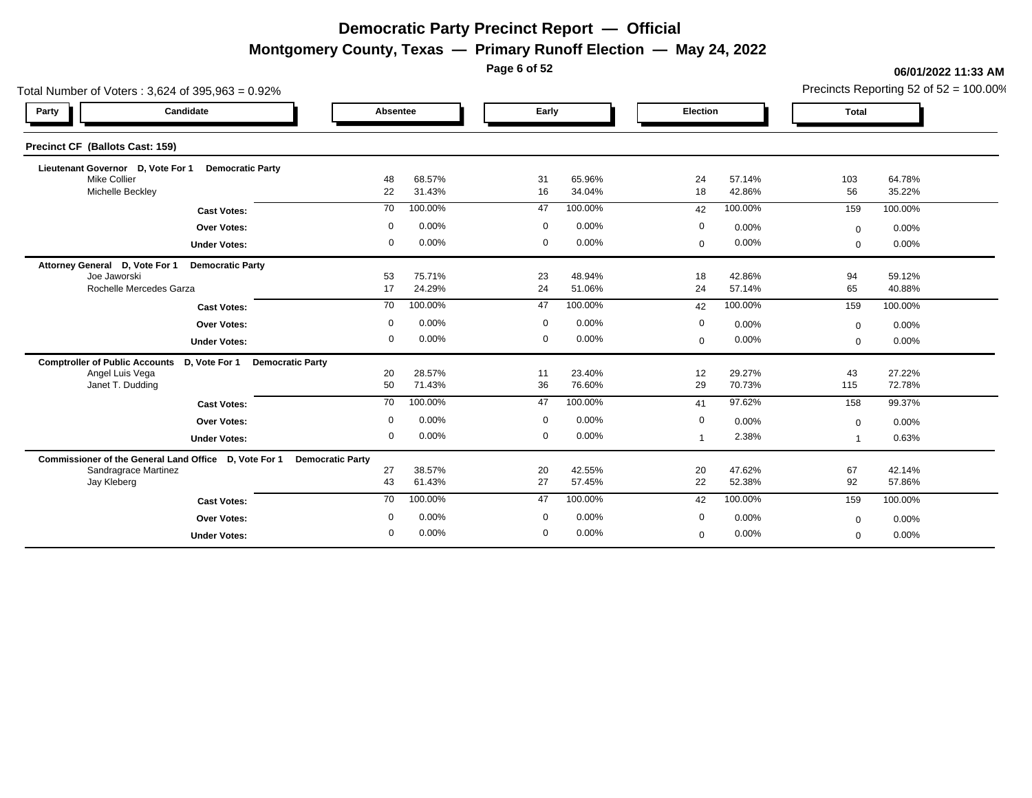**Montgomery County, Texas — Primary Runoff Election — May 24, 2022**

**Page 6 of 52**

| Total Number of Voters: 3,624 of 395,963 = 0.92%                       |                 |                  |  |             |                  |             |                  |              |                  |  |  |  |  |
|------------------------------------------------------------------------|-----------------|------------------|--|-------------|------------------|-------------|------------------|--------------|------------------|--|--|--|--|
| Candidate<br>Party                                                     | Absentee        |                  |  | Early       |                  | Election    |                  | <b>Total</b> |                  |  |  |  |  |
| Precinct CF (Ballots Cast: 159)                                        |                 |                  |  |             |                  |             |                  |              |                  |  |  |  |  |
| Lieutenant Governor D, Vote For 1<br><b>Democratic Party</b>           |                 |                  |  |             |                  |             |                  |              |                  |  |  |  |  |
| <b>Mike Collier</b><br>Michelle Beckley                                | 48<br>22        | 68.57%<br>31.43% |  | 31<br>16    | 65.96%<br>34.04% | 24<br>18    | 57.14%<br>42.86% | 103<br>56    | 64.78%<br>35.22% |  |  |  |  |
| <b>Cast Votes:</b>                                                     | 70              | 100.00%          |  | 47          | 100.00%          | 42          | 100.00%          | 159          | 100.00%          |  |  |  |  |
| <b>Over Votes:</b>                                                     | $\mathbf 0$     | 0.00%            |  | $\mathbf 0$ | 0.00%            | 0           | 0.00%            | $\Omega$     | 0.00%            |  |  |  |  |
| <b>Under Votes:</b>                                                    | $\mathbf 0$     | 0.00%            |  | $\mathbf 0$ | 0.00%            | 0           | 0.00%            | $\mathbf{0}$ | 0.00%            |  |  |  |  |
| Attorney General D, Vote For 1<br><b>Democratic Party</b>              |                 |                  |  |             |                  |             |                  |              |                  |  |  |  |  |
| Joe Jaworski<br>Rochelle Mercedes Garza                                | 53<br>17        | 75.71%<br>24.29% |  | 23<br>24    | 48.94%<br>51.06% | 18<br>24    | 42.86%<br>57.14% | 94<br>65     | 59.12%<br>40.88% |  |  |  |  |
| <b>Cast Votes:</b>                                                     | 70              | 100.00%          |  | 47          | 100.00%          | 42          | 100.00%          | 159          | 100.00%          |  |  |  |  |
| <b>Over Votes:</b>                                                     | $\mathbf 0$     | 0.00%            |  | $\mathbf 0$ | 0.00%            | $\mathbf 0$ | 0.00%            | $\Omega$     | 0.00%            |  |  |  |  |
| <b>Under Votes:</b>                                                    | $\mathbf 0$     | 0.00%            |  | $\mathbf 0$ | 0.00%            | $\mathbf 0$ | 0.00%            | $\mathbf{0}$ | 0.00%            |  |  |  |  |
| Comptroller of Public Accounts D, Vote For 1 Democratic Party          |                 |                  |  |             |                  |             |                  |              |                  |  |  |  |  |
| Angel Luis Vega                                                        | 20              | 28.57%           |  | 11          | 23.40%           | 12          | 29.27%           | 43           | 27.22%           |  |  |  |  |
| Janet T. Dudding                                                       | 50              | 71.43%           |  | 36          | 76.60%           | 29          | 70.73%           | 115          | 72.78%           |  |  |  |  |
| <b>Cast Votes:</b>                                                     | $\overline{70}$ | 100.00%          |  | 47          | 100.00%          | 41          | 97.62%           | 158          | 99.37%           |  |  |  |  |
| <b>Over Votes:</b>                                                     | $\Omega$        | 0.00%            |  | $\mathbf 0$ | 0.00%            | $\mathbf 0$ | 0.00%            | $\Omega$     | 0.00%            |  |  |  |  |
| <b>Under Votes:</b>                                                    | $\mathbf 0$     | 0.00%            |  | $\mathbf 0$ | 0.00%            |             | 2.38%            |              | 0.63%            |  |  |  |  |
| Commissioner of the General Land Office D, Vote For 1 Democratic Party |                 |                  |  |             |                  |             |                  |              |                  |  |  |  |  |
| Sandragrace Martinez<br>Jay Kleberg                                    | 27<br>43        | 38.57%<br>61.43% |  | 20<br>27    | 42.55%<br>57.45% | 20<br>22    | 47.62%<br>52.38% | 67<br>92     | 42.14%<br>57.86% |  |  |  |  |
|                                                                        |                 |                  |  |             |                  |             |                  |              |                  |  |  |  |  |
| <b>Cast Votes:</b>                                                     | 70              | 100.00%          |  | 47          | 100.00%          | 42          | 100.00%          | 159          | 100.00%          |  |  |  |  |
| <b>Over Votes:</b>                                                     | 0               | 0.00%            |  | $\mathbf 0$ | 0.00%            | 0           | 0.00%            | $\Omega$     | 0.00%            |  |  |  |  |
| <b>Under Votes:</b>                                                    | $\mathbf 0$     | 0.00%            |  | $\mathbf 0$ | 0.00%            | $\mathbf 0$ | 0.00%            | $\mathbf{0}$ | 0.00%            |  |  |  |  |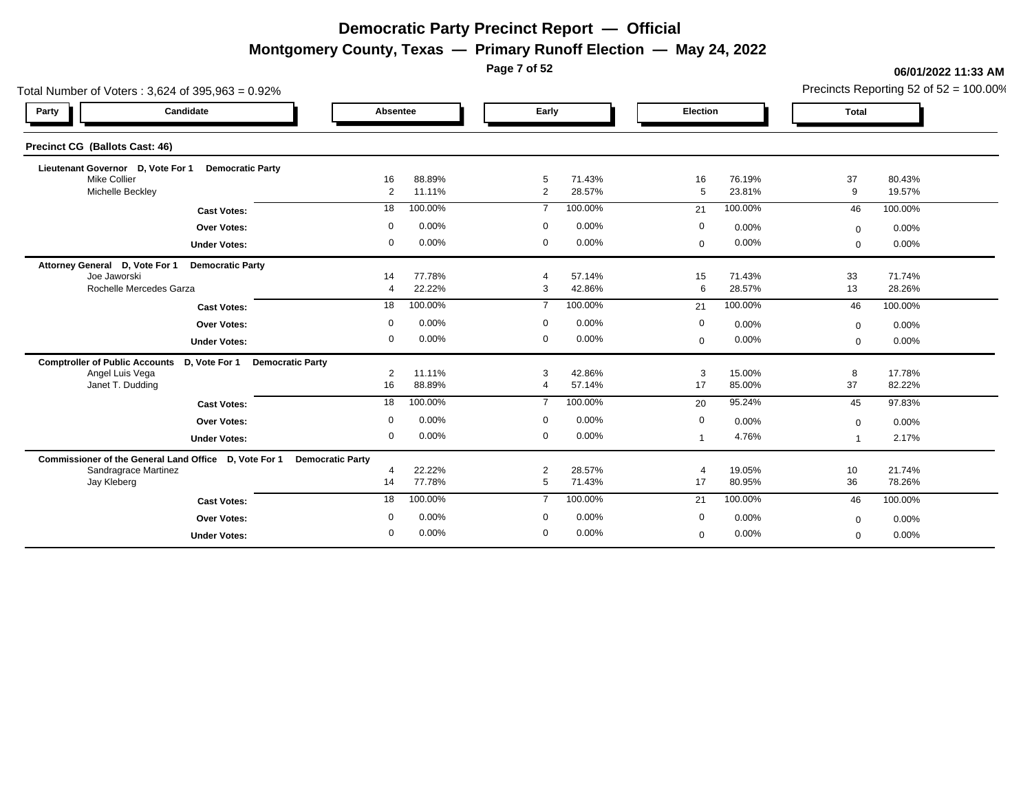**Montgomery County, Texas — Primary Runoff Election — May 24, 2022**

**Page 7 of 52**

| Total Number of Voters: 3,624 of 395,963 = 0.92%                                  |                      |                  |                     |                  |              |                  |              |                  |  |  |  |  |  |
|-----------------------------------------------------------------------------------|----------------------|------------------|---------------------|------------------|--------------|------------------|--------------|------------------|--|--|--|--|--|
| Candidate<br>Party                                                                | Absentee             |                  | Early               |                  | Election     |                  | <b>Total</b> |                  |  |  |  |  |  |
| Precinct CG (Ballots Cast: 46)                                                    |                      |                  |                     |                  |              |                  |              |                  |  |  |  |  |  |
| Lieutenant Governor D, Vote For 1<br><b>Democratic Party</b>                      |                      |                  |                     |                  |              |                  |              |                  |  |  |  |  |  |
| <b>Mike Collier</b><br>Michelle Beckley                                           | 16<br>2              | 88.89%<br>11.11% | 5<br>$\overline{2}$ | 71.43%<br>28.57% | 16<br>5      | 76.19%<br>23.81% | 37<br>9      | 80.43%<br>19.57% |  |  |  |  |  |
| <b>Cast Votes:</b>                                                                | 18                   | 100.00%          | $\overline{7}$      | 100.00%          | 21           | 100.00%          | 46           | 100.00%          |  |  |  |  |  |
| <b>Over Votes:</b>                                                                | $\mathbf 0$          | 0.00%            | $\mathbf 0$         | 0.00%            | 0            | 0.00%            | $\Omega$     | 0.00%            |  |  |  |  |  |
| <b>Under Votes:</b>                                                               | 0                    | 0.00%            | $\mathbf 0$         | 0.00%            | $\mathbf 0$  | 0.00%            | $\mathbf 0$  | 0.00%            |  |  |  |  |  |
| Attorney General D, Vote For 1<br><b>Democratic Party</b>                         |                      |                  |                     |                  |              |                  |              |                  |  |  |  |  |  |
| Joe Jaworski<br>Rochelle Mercedes Garza                                           | 14                   | 77.78%<br>22.22% | $\mathbf{3}$        | 57.14%<br>42.86% | 15<br>6      | 71.43%<br>28.57% | 33<br>13     | 71.74%<br>28.26% |  |  |  |  |  |
| <b>Cast Votes:</b>                                                                | 18                   | 100.00%          | $\overline{7}$      | 100.00%          | 21           | 100.00%          | 46           | 100.00%          |  |  |  |  |  |
| <b>Over Votes:</b>                                                                | $\mathbf 0$          | 0.00%            | $\mathbf 0$         | 0.00%            | 0            | 0.00%            | $\mathbf 0$  | 0.00%            |  |  |  |  |  |
| <b>Under Votes:</b>                                                               | $\mathbf 0$          | 0.00%            | $\mathbf 0$         | 0.00%            | $\mathbf{0}$ | 0.00%            | $\Omega$     | 0.00%            |  |  |  |  |  |
| <b>Comptroller of Public Accounts</b><br>D, Vote For 1<br><b>Democratic Party</b> |                      |                  |                     |                  |              |                  |              |                  |  |  |  |  |  |
| Angel Luis Vega<br>Janet T. Dudding                                               | $\overline{2}$<br>16 | 11.11%<br>88.89% | 3                   | 42.86%<br>57.14% | 3<br>17      | 15.00%<br>85.00% | 8<br>37      | 17.78%<br>82.22% |  |  |  |  |  |
| <b>Cast Votes:</b>                                                                | 18                   | 100.00%          | $\overline{7}$      | 100.00%          | 20           | 95.24%           | 45           | 97.83%           |  |  |  |  |  |
| <b>Over Votes:</b>                                                                | $\mathbf 0$          | 0.00%            | $\overline{0}$      | 0.00%            | 0            | 0.00%            | $\mathbf{0}$ | 0.00%            |  |  |  |  |  |
| <b>Under Votes:</b>                                                               | $\overline{0}$       | 0.00%            | $\mathbf 0$         | 0.00%            |              | 4.76%            |              | 2.17%            |  |  |  |  |  |
| Commissioner of the General Land Office D, Vote For 1 Democratic Party            |                      |                  |                     |                  |              |                  |              |                  |  |  |  |  |  |
| Sandragrace Martinez                                                              | $\overline{4}$       | 22.22%           | $\overline{2}$      | 28.57%           |              | 19.05%           | 10           | 21.74%           |  |  |  |  |  |
| Jay Kleberg                                                                       | 14                   | 77.78%           | 5                   | 71.43%           | 17           | 80.95%           | 36           | 78.26%           |  |  |  |  |  |
| <b>Cast Votes:</b>                                                                | 18                   | 100.00%          | $\overline{7}$      | 100.00%          | 21           | 100.00%          | 46           | 100.00%          |  |  |  |  |  |
| <b>Over Votes:</b>                                                                | $\mathbf 0$          | 0.00%            | $\mathbf 0$         | 0.00%            | 0            | 0.00%            | $\Omega$     | 0.00%            |  |  |  |  |  |
| <b>Under Votes:</b>                                                               | $\mathbf{0}$         | 0.00%            | $\mathbf 0$         | 0.00%            | $\Omega$     | 0.00%            | $\Omega$     | 0.00%            |  |  |  |  |  |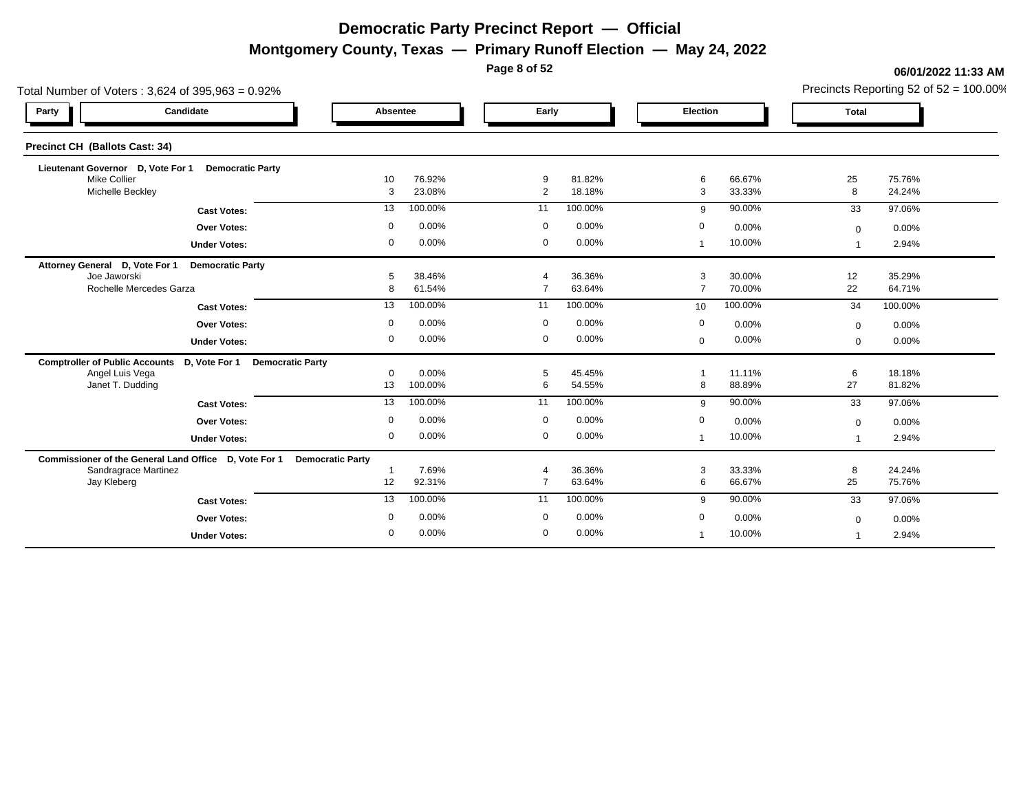**Montgomery County, Texas — Primary Runoff Election — May 24, 2022**

**Page 8 of 52**

| Total Number of Voters: 3,624 of 395,963 = 0.92%                                  |                         |                  |                                  |                  |                     |                  |              | Precincts Reporting 52 of 52 = 100.00% |
|-----------------------------------------------------------------------------------|-------------------------|------------------|----------------------------------|------------------|---------------------|------------------|--------------|----------------------------------------|
| Candidate<br>Party                                                                | Absentee                |                  | Early                            |                  | Election            |                  | <b>Total</b> |                                        |
| Precinct CH (Ballots Cast: 34)                                                    |                         |                  |                                  |                  |                     |                  |              |                                        |
| Lieutenant Governor D, Vote For 1<br><b>Democratic Party</b>                      |                         |                  | 9                                |                  | 6                   | 66.67%           |              | 75.76%                                 |
| <b>Mike Collier</b><br>Michelle Beckley                                           | 10<br>3                 | 76.92%<br>23.08% | $\overline{2}$                   | 81.82%<br>18.18% | 3                   | 33.33%           | 25<br>8      | 24.24%                                 |
| <b>Cast Votes:</b>                                                                | 13                      | 100.00%          | 11                               | 100.00%          | 9                   | 90.00%           | 33           | 97.06%                                 |
| <b>Over Votes:</b>                                                                | $\mathbf 0$             | 0.00%            | $\mathbf 0$                      | 0.00%            | 0                   | 0.00%            | $\Omega$     | 0.00%                                  |
| <b>Under Votes:</b>                                                               | $\mathbf 0$             | 0.00%            | $\mathbf 0$                      | 0.00%            |                     | 10.00%           |              | 2.94%                                  |
| Attorney General D, Vote For 1<br><b>Democratic Party</b>                         |                         |                  |                                  |                  |                     |                  |              |                                        |
| Joe Jaworski<br>Rochelle Mercedes Garza                                           | 5<br>8                  | 38.46%<br>61.54% | $\overline{4}$<br>$\overline{7}$ | 36.36%<br>63.64% | 3<br>$\overline{7}$ | 30.00%<br>70.00% | 12<br>22     | 35.29%<br>64.71%                       |
|                                                                                   |                         | 100.00%          |                                  |                  |                     |                  |              |                                        |
| <b>Cast Votes:</b>                                                                | 13                      |                  | 11                               | 100.00%          | 10                  | 100.00%          | 34           | 100.00%                                |
| <b>Over Votes:</b>                                                                | $\mathbf 0$             | 0.00%            | $\overline{0}$                   | 0.00%            | $\mathbf 0$         | 0.00%            | $\mathbf 0$  | 0.00%                                  |
| <b>Under Votes:</b>                                                               | $\mathbf 0$             | 0.00%            | $\mathbf 0$                      | 0.00%            | $\mathbf{0}$        | 0.00%            | $\Omega$     | 0.00%                                  |
| <b>Comptroller of Public Accounts</b><br>D, Vote For 1<br><b>Democratic Party</b> |                         |                  |                                  |                  |                     |                  |              |                                        |
| Angel Luis Vega<br>Janet T. Dudding                                               | $\Omega$<br>13          | 0.00%<br>100.00% | 5<br>6                           | 45.45%<br>54.55% | 8                   | 11.11%<br>88.89% | 6<br>27      | 18.18%<br>81.82%                       |
| <b>Cast Votes:</b>                                                                | 13                      | 100.00%          | 11                               | 100.00%          | 9                   | 90.00%           | 33           | 97.06%                                 |
| <b>Over Votes:</b>                                                                | $\mathbf 0$             | 0.00%            | $\mathbf 0$                      | 0.00%            | $\mathbf 0$         | 0.00%            | $\Omega$     | 0.00%                                  |
| <b>Under Votes:</b>                                                               | $\mathbf 0$             | 0.00%            | $\mathbf 0$                      | 0.00%            | $\mathbf 1$         | 10.00%           |              | 2.94%                                  |
| Commissioner of the General Land Office D, Vote For 1                             | <b>Democratic Party</b> |                  |                                  |                  |                     |                  |              |                                        |
| Sandragrace Martinez                                                              |                         | 7.69%            |                                  | 36.36%           | 3                   | 33.33%           | 8            | 24.24%                                 |
| Jay Kleberg                                                                       | 12                      | 92.31%           | $\overline{7}$                   | 63.64%           | 6                   | 66.67%           | 25           | 75.76%                                 |
| <b>Cast Votes:</b>                                                                | 13                      | 100.00%          | 11                               | 100.00%          | 9                   | 90.00%           | 33           | 97.06%                                 |
| <b>Over Votes:</b>                                                                | 0                       | 0.00%            | $\mathbf 0$                      | 0.00%            | $\Omega$            | 0.00%            | $\Omega$     | 0.00%                                  |
| <b>Under Votes:</b>                                                               | $\mathbf 0$             | 0.00%            | $\mathbf 0$                      | 0.00%            |                     | 10.00%           |              | 2.94%                                  |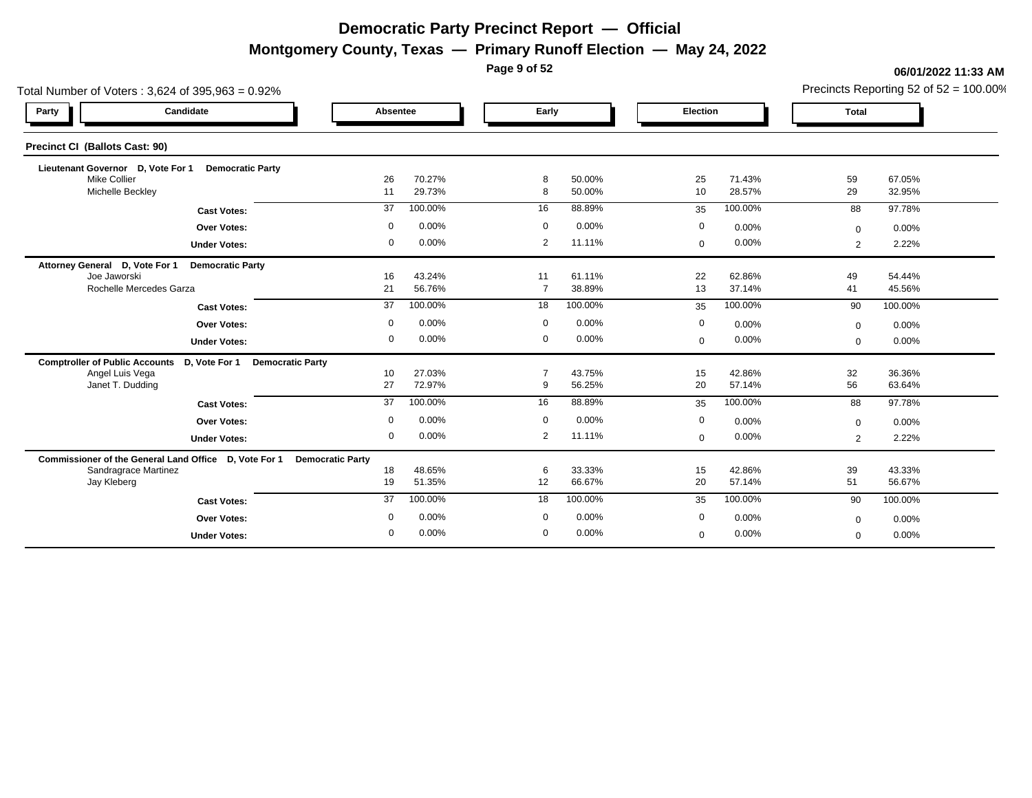**Montgomery County, Texas — Primary Runoff Election — May 24, 2022**

**Page 9 of 52**

| Total Number of Voters: 3,624 of 395,963 = 0.92%                       |             |                  |  |                      |                  |              |                  |  |                |                  |  |  |  |
|------------------------------------------------------------------------|-------------|------------------|--|----------------------|------------------|--------------|------------------|--|----------------|------------------|--|--|--|
| Candidate<br>Party                                                     | Absentee    |                  |  | Early                |                  | Election     |                  |  | <b>Total</b>   |                  |  |  |  |
| Precinct CI (Ballots Cast: 90)                                         |             |                  |  |                      |                  |              |                  |  |                |                  |  |  |  |
| Lieutenant Governor D, Vote For 1<br><b>Democratic Party</b>           |             |                  |  |                      |                  |              |                  |  |                |                  |  |  |  |
| <b>Mike Collier</b><br>Michelle Beckley                                | 26<br>11    | 70.27%<br>29.73% |  | 8<br>8               | 50.00%<br>50.00% | 25<br>10     | 71.43%<br>28.57% |  | 59<br>29       | 67.05%<br>32.95% |  |  |  |
| <b>Cast Votes:</b>                                                     | 37          | 100.00%          |  | 16                   | 88.89%           | 35           | 100.00%          |  | 88             | 97.78%           |  |  |  |
| <b>Over Votes:</b>                                                     | 0           | 0.00%            |  | $\mathbf 0$          | 0.00%            | 0            | 0.00%            |  | $\Omega$       | 0.00%            |  |  |  |
| <b>Under Votes:</b>                                                    | $\mathbf 0$ | 0.00%            |  | 2                    | 11.11%           | $\mathbf 0$  | 0.00%            |  | $\overline{2}$ | 2.22%            |  |  |  |
| Attorney General D, Vote For 1<br><b>Democratic Party</b>              |             |                  |  |                      |                  |              |                  |  |                |                  |  |  |  |
| Joe Jaworski<br>Rochelle Mercedes Garza                                | 16<br>21    | 43.24%<br>56.76% |  | 11<br>$\overline{7}$ | 61.11%<br>38.89% | 22<br>13     | 62.86%<br>37.14% |  | 49<br>41       | 54.44%<br>45.56% |  |  |  |
| <b>Cast Votes:</b>                                                     | 37          | 100.00%          |  | 18                   | 100.00%          | 35           | 100.00%          |  | 90             | 100.00%          |  |  |  |
| <b>Over Votes:</b>                                                     | $\Omega$    | 0.00%            |  | $\mathbf 0$          | 0.00%            | 0            | 0.00%            |  | $\Omega$       | 0.00%            |  |  |  |
| <b>Under Votes:</b>                                                    | $\mathbf 0$ | 0.00%            |  | $\mathbf 0$          | 0.00%            | $\mathbf 0$  | 0.00%            |  | $\mathbf{0}$   | 0.00%            |  |  |  |
| Comptroller of Public Accounts D, Vote For 1 Democratic Party          |             |                  |  |                      |                  |              |                  |  |                |                  |  |  |  |
| Angel Luis Vega                                                        | 10          | 27.03%           |  | $\overline{7}$       | 43.75%           | 15           | 42.86%           |  | 32             | 36.36%           |  |  |  |
| Janet T. Dudding                                                       | 27          | 72.97%           |  | 9                    | 56.25%           | 20           | 57.14%           |  | 56             | 63.64%           |  |  |  |
| <b>Cast Votes:</b>                                                     | 37          | 100.00%          |  | 16                   | 88.89%           | 35           | 100.00%          |  | 88             | 97.78%           |  |  |  |
| <b>Over Votes:</b>                                                     | $\mathbf 0$ | 0.00%            |  | $\mathbf 0$          | 0.00%            | 0            | 0.00%            |  | $\mathbf 0$    | 0.00%            |  |  |  |
| <b>Under Votes:</b>                                                    | $\mathbf 0$ | 0.00%            |  | $\overline{2}$       | 11.11%           | $\mathbf{0}$ | 0.00%            |  | 2              | 2.22%            |  |  |  |
| Commissioner of the General Land Office D, Vote For 1 Democratic Party |             |                  |  |                      |                  |              |                  |  |                |                  |  |  |  |
| Sandragrace Martinez<br>Jay Kleberg                                    | 18<br>19    | 48.65%<br>51.35% |  | 6<br>12              | 33.33%<br>66.67% | 15<br>20     | 42.86%<br>57.14% |  | 39<br>51       | 43.33%<br>56.67% |  |  |  |
|                                                                        | 37          | 100.00%          |  | 18                   | 100.00%          |              | 100.00%          |  | 90             | 100.00%          |  |  |  |
| <b>Cast Votes:</b>                                                     |             |                  |  |                      |                  | 35           |                  |  |                |                  |  |  |  |
| <b>Over Votes:</b>                                                     | 0           | 0.00%            |  | 0                    | 0.00%            | $\mathbf 0$  | 0.00%            |  | $\mathbf{0}$   | 0.00%            |  |  |  |
| <b>Under Votes:</b>                                                    | $\mathbf 0$ | 0.00%            |  | $\mathbf 0$          | 0.00%            | $\mathbf 0$  | 0.00%            |  | $\Omega$       | 0.00%            |  |  |  |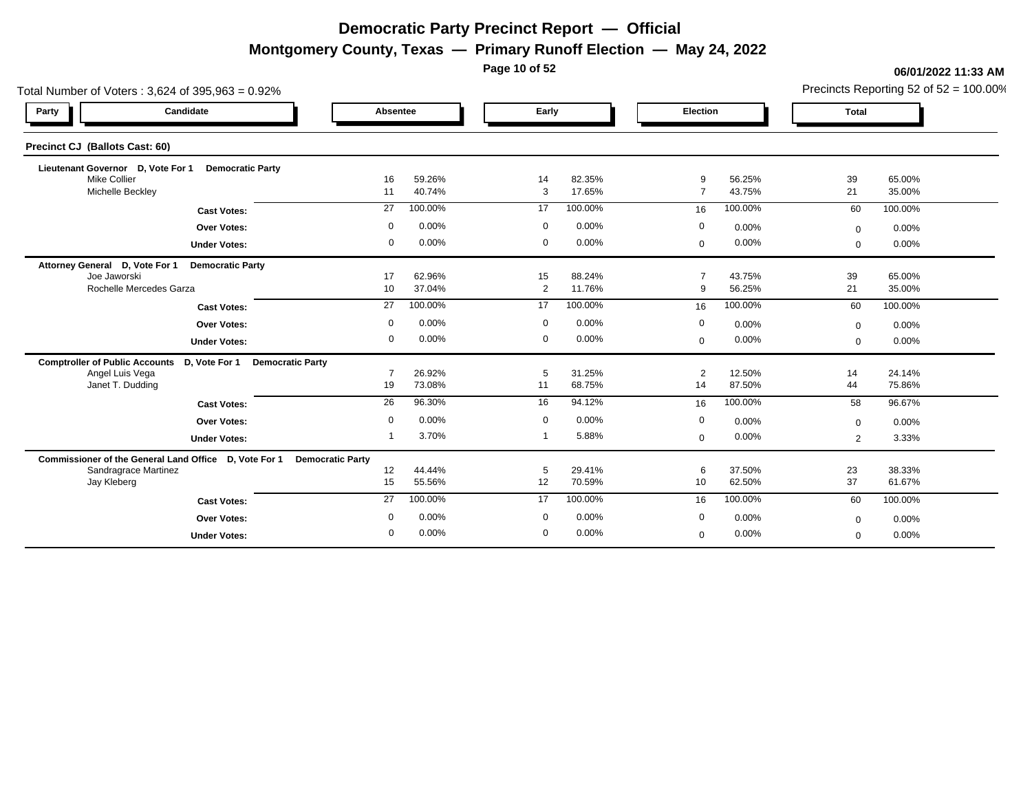**Montgomery County, Texas — Primary Runoff Election — May 24, 2022**

**Page 10 of 52**

|                                                                        | Total Number of Voters: 3,624 of 395,963 = 0.92% |             |                  |  |                      |                  |  |                     |                  |              |                  |  |  |
|------------------------------------------------------------------------|--------------------------------------------------|-------------|------------------|--|----------------------|------------------|--|---------------------|------------------|--------------|------------------|--|--|
| Candidate<br>Party                                                     |                                                  | Absentee    |                  |  | Early                |                  |  | Election            |                  | <b>Total</b> |                  |  |  |
| Precinct CJ (Ballots Cast: 60)                                         |                                                  |             |                  |  |                      |                  |  |                     |                  |              |                  |  |  |
| Lieutenant Governor D, Vote For 1                                      | <b>Democratic Party</b>                          |             |                  |  |                      |                  |  |                     |                  |              |                  |  |  |
| <b>Mike Collier</b><br>Michelle Beckley                                |                                                  | 16<br>11    | 59.26%<br>40.74% |  | 14<br>3              | 82.35%<br>17.65% |  | 9<br>$\overline{7}$ | 56.25%<br>43.75% | 39<br>21     | 65.00%<br>35.00% |  |  |
|                                                                        | <b>Cast Votes:</b>                               | 27          | 100.00%          |  | 17                   | 100.00%          |  | 16                  | 100.00%          | 60           | 100.00%          |  |  |
|                                                                        | <b>Over Votes:</b>                               | $\mathbf 0$ | 0.00%            |  | $\mathbf 0$          | 0.00%            |  | 0                   | 0.00%            | $\Omega$     | 0.00%            |  |  |
| <b>Under Votes:</b>                                                    |                                                  | $\mathbf 0$ | 0.00%            |  | $\mathbf 0$          | 0.00%            |  | $\mathbf 0$         | 0.00%            | $\mathbf{0}$ | 0.00%            |  |  |
| Attorney General D, Vote For 1                                         | <b>Democratic Party</b>                          |             |                  |  |                      |                  |  |                     |                  |              |                  |  |  |
| Joe Jaworski<br>Rochelle Mercedes Garza                                |                                                  | 17<br>10    | 62.96%<br>37.04% |  | 15<br>$\overline{2}$ | 88.24%<br>11.76% |  | $\overline{7}$<br>9 | 43.75%<br>56.25% | 39<br>21     | 65.00%<br>35.00% |  |  |
|                                                                        |                                                  |             |                  |  |                      |                  |  |                     |                  |              |                  |  |  |
|                                                                        | <b>Cast Votes:</b>                               | 27          | 100.00%          |  | 17                   | 100.00%          |  | 16                  | 100.00%          | 60           | 100.00%          |  |  |
|                                                                        | <b>Over Votes:</b>                               | $\mathbf 0$ | 0.00%            |  | $\mathbf 0$          | 0.00%            |  | 0                   | 0.00%            | $\mathbf{0}$ | 0.00%            |  |  |
|                                                                        | <b>Under Votes:</b>                              | $\Omega$    | 0.00%            |  | $\Omega$             | 0.00%            |  | $\mathbf 0$         | 0.00%            | $\mathbf{0}$ | 0.00%            |  |  |
| Comptroller of Public Accounts D, Vote For 1 Democratic Party          |                                                  | 7           |                  |  |                      |                  |  |                     |                  |              |                  |  |  |
| Angel Luis Vega<br>Janet T. Dudding                                    |                                                  | 19          | 26.92%<br>73.08% |  | 5<br>11              | 31.25%<br>68.75% |  | 2<br>14             | 12.50%<br>87.50% | 14<br>44     | 24.14%<br>75.86% |  |  |
|                                                                        | <b>Cast Votes:</b>                               | 26          | 96.30%           |  | 16                   | 94.12%           |  | 16                  | 100.00%          | 58           | 96.67%           |  |  |
|                                                                        | <b>Over Votes:</b>                               | $\mathbf 0$ | 0.00%            |  | $\mathbf 0$          | 0.00%            |  | 0                   | 0.00%            | $\mathbf{0}$ | 0.00%            |  |  |
|                                                                        | <b>Under Votes:</b>                              |             | 3.70%            |  |                      | 5.88%            |  | $\mathbf{0}$        | 0.00%            | 2            | 3.33%            |  |  |
| Commissioner of the General Land Office D, Vote For 1 Democratic Party |                                                  |             |                  |  |                      |                  |  |                     |                  |              |                  |  |  |
| Sandragrace Martinez                                                   |                                                  | 12          | 44.44%           |  | 5                    | 29.41%           |  | 6                   | 37.50%           | 23           | 38.33%           |  |  |
| Jay Kleberg                                                            |                                                  | 15          | 55.56%           |  | 12                   | 70.59%           |  | 10                  | 62.50%           | 37           | 61.67%           |  |  |
|                                                                        | <b>Cast Votes:</b>                               | 27          | 100.00%          |  | 17                   | 100.00%          |  | 16                  | 100.00%          | 60           | 100.00%          |  |  |
|                                                                        | <b>Over Votes:</b>                               | $\mathbf 0$ | 0.00%            |  | $\mathbf 0$          | 0.00%            |  | 0                   | 0.00%            | $\mathbf{0}$ | 0.00%            |  |  |
|                                                                        | <b>Under Votes:</b>                              | 0           | 0.00%            |  | $\mathbf 0$          | 0.00%            |  | $\mathbf{0}$        | 0.00%            | $\mathbf{0}$ | 0.00%            |  |  |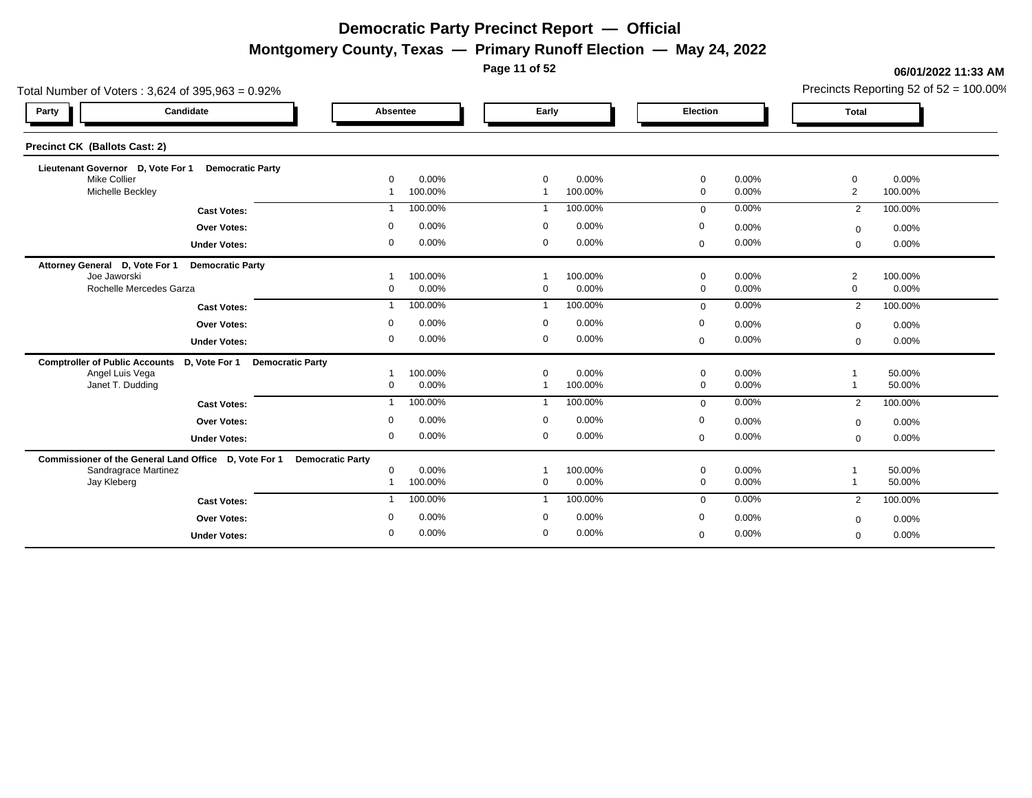**Montgomery County, Texas — Primary Runoff Election — May 24, 2022**

**Page 11 of 52**

| Total Number of Voters: 3,624 of 395,963 = 0.92%                       |                |                  |                               |                  |                         |                |                               |                  |  |  |  |  |  |  |
|------------------------------------------------------------------------|----------------|------------------|-------------------------------|------------------|-------------------------|----------------|-------------------------------|------------------|--|--|--|--|--|--|
| Candidate<br>Party                                                     | Absentee       |                  | Early                         |                  | Election                |                | <b>Total</b>                  |                  |  |  |  |  |  |  |
| <b>Precinct CK (Ballots Cast: 2)</b>                                   |                |                  |                               |                  |                         |                |                               |                  |  |  |  |  |  |  |
| Lieutenant Governor D, Vote For 1 Democratic Party                     |                |                  |                               |                  |                         |                |                               |                  |  |  |  |  |  |  |
| <b>Mike Collier</b><br>Michelle Beckley                                | $\Omega$       | 0.00%<br>100.00% | $\mathbf 0$<br>$\overline{1}$ | 0.00%<br>100.00% | $\mathbf 0$<br>$\Omega$ | 0.00%<br>0.00% | $\mathbf 0$<br>$\overline{2}$ | 0.00%<br>100.00% |  |  |  |  |  |  |
|                                                                        |                |                  |                               |                  |                         | 0.00%          |                               |                  |  |  |  |  |  |  |
| <b>Cast Votes:</b>                                                     |                | 100.00%          |                               | 100.00%          | $\Omega$                |                | 2                             | 100.00%          |  |  |  |  |  |  |
| Over Votes:                                                            | $\Omega$       | 0.00%            | $\mathbf 0$                   | 0.00%            | 0                       | 0.00%          | $\Omega$                      | 0.00%            |  |  |  |  |  |  |
| <b>Under Votes:</b>                                                    | $\mathbf 0$    | 0.00%            | $\mathbf 0$                   | 0.00%            | $\mathbf 0$             | 0.00%          | $\mathbf{0}$                  | 0.00%            |  |  |  |  |  |  |
| Attorney General D, Vote For 1<br><b>Democratic Party</b>              |                |                  |                               |                  |                         |                |                               |                  |  |  |  |  |  |  |
| Joe Jaworski                                                           |                | 100.00%          | $\overline{1}$                | 100.00%          | $\mathbf 0$             | 0.00%          | $\overline{2}$                | 100.00%          |  |  |  |  |  |  |
| Rochelle Mercedes Garza                                                | $\Omega$       | 0.00%            | $\overline{0}$                | 0.00%            | $\mathbf 0$             | 0.00%          | $\mathbf 0$                   | 0.00%            |  |  |  |  |  |  |
| <b>Cast Votes:</b>                                                     | $\mathbf{1}$   | 100.00%          | $\mathbf{1}$                  | 100.00%          | $\Omega$                | 0.00%          | 2                             | 100.00%          |  |  |  |  |  |  |
| <b>Over Votes:</b>                                                     | $\Omega$       | 0.00%            | $\mathbf 0$                   | 0.00%            | $\mathbf{0}$            | 0.00%          | $\mathbf{0}$                  | 0.00%            |  |  |  |  |  |  |
| <b>Under Votes:</b>                                                    | $\mathbf 0$    | 0.00%            | $\mathbf 0$                   | 0.00%            | $\mathbf{0}$            | 0.00%          | $\mathbf 0$                   | 0.00%            |  |  |  |  |  |  |
| Comptroller of Public Accounts D, Vote For 1 Democratic Party          |                |                  |                               |                  |                         |                |                               |                  |  |  |  |  |  |  |
| Angel Luis Vega                                                        |                | 100.00%          | $\Omega$                      | 0.00%            | $\Omega$                | 0.00%          |                               | 50.00%           |  |  |  |  |  |  |
| Janet T. Dudding                                                       | $\Omega$       | 0.00%            |                               | 100.00%          | $\Omega$                | 0.00%          |                               | 50.00%           |  |  |  |  |  |  |
| <b>Cast Votes:</b>                                                     |                | 100.00%          |                               | 100.00%          | $\Omega$                | 0.00%          | 2                             | 100.00%          |  |  |  |  |  |  |
| <b>Over Votes:</b>                                                     | $\mathbf 0$    | 0.00%            | $\Omega$                      | 0.00%            | $\Omega$                | 0.00%          | $\mathbf{0}$                  | 0.00%            |  |  |  |  |  |  |
| <b>Under Votes:</b>                                                    | $\overline{0}$ | 0.00%            | $\mathbf 0$                   | 0.00%            | $\mathbf 0$             | 0.00%          | $\mathbf{0}$                  | 0.00%            |  |  |  |  |  |  |
| Commissioner of the General Land Office D, Vote For 1 Democratic Party |                |                  |                               |                  |                         |                |                               |                  |  |  |  |  |  |  |
| Sandragrace Martinez                                                   | $\mathbf 0$    | 0.00%            |                               | 100.00%          | $\Omega$                | 0.00%          |                               | 50.00%           |  |  |  |  |  |  |
| Jay Kleberg                                                            |                | 100.00%          | $\overline{0}$                | 0.00%            | $\mathbf 0$             | 0.00%          |                               | 50.00%           |  |  |  |  |  |  |
| <b>Cast Votes:</b>                                                     |                | 100.00%          | $\overline{1}$                | 100.00%          | $\Omega$                | 0.00%          | 2                             | 100.00%          |  |  |  |  |  |  |
| Over Votes:                                                            | $\mathbf 0$    | 0.00%            | $\mathbf 0$                   | 0.00%            | 0                       | 0.00%          | $\mathbf{0}$                  | 0.00%            |  |  |  |  |  |  |
| <b>Under Votes:</b>                                                    | $\mathbf 0$    | 0.00%            | $\mathbf 0$                   | 0.00%            | $\Omega$                | 0.00%          | $\overline{0}$                | 0.00%            |  |  |  |  |  |  |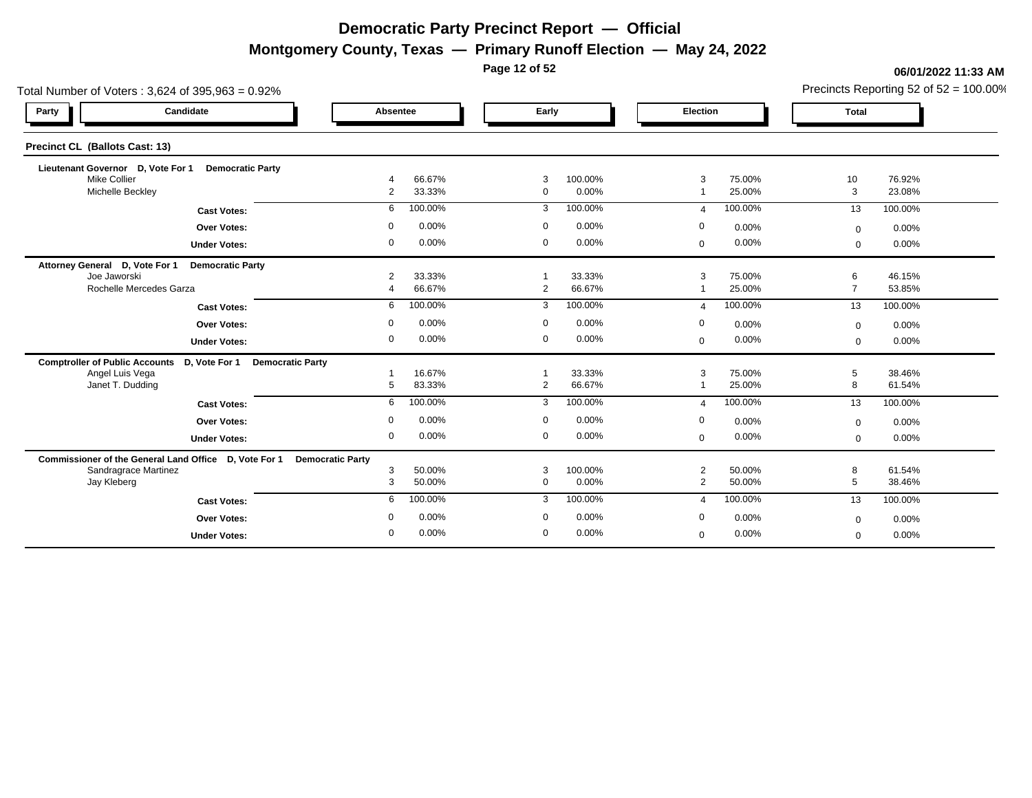**Montgomery County, Texas — Primary Runoff Election — May 24, 2022**

**Page 12 of 52**

|                                         | Total Number of Voters: $3,624$ of $395,963 = 0.92\%$                  | Precincts Reporting 52 of $52 = 100.00\%$ |                  |                  |                  |                        |                  |                |                  |
|-----------------------------------------|------------------------------------------------------------------------|-------------------------------------------|------------------|------------------|------------------|------------------------|------------------|----------------|------------------|
| Party                                   | Candidate                                                              | Absentee                                  |                  | Early            |                  | Election               |                  | <b>Total</b>   |                  |
| <b>Precinct CL (Ballots Cast: 13)</b>   |                                                                        |                                           |                  |                  |                  |                        |                  |                |                  |
| Lieutenant Governor D, Vote For 1       | <b>Democratic Party</b>                                                |                                           |                  |                  |                  |                        |                  |                |                  |
| <b>Mike Collier</b><br>Michelle Beckley |                                                                        | $\overline{2}$                            | 66.67%<br>33.33% | 3<br>$\mathbf 0$ | 100.00%<br>0.00% | 3                      | 75.00%<br>25.00% | 10<br>3        | 76.92%<br>23.08% |
|                                         |                                                                        | 6                                         | 100.00%          | 3                | 100.00%          | $\boldsymbol{\Delta}$  | 100.00%          |                | 100.00%          |
|                                         | <b>Cast Votes:</b>                                                     |                                           |                  |                  |                  |                        |                  | 13             |                  |
|                                         | <b>Over Votes:</b>                                                     | $\mathbf 0$                               | 0.00%            | $\mathbf 0$      | 0.00%            | 0                      | 0.00%            | $\Omega$       | 0.00%            |
|                                         | <b>Under Votes:</b>                                                    | $\Omega$                                  | 0.00%            | $\mathbf 0$      | 0.00%            | $\mathbf 0$            | 0.00%            | $\mathbf{0}$   | 0.00%            |
| Attorney General D, Vote For 1          | <b>Democratic Party</b>                                                |                                           |                  |                  |                  |                        |                  |                |                  |
| Joe Jaworski                            |                                                                        | 2                                         | 33.33%           |                  | 33.33%           | 3                      | 75.00%           | 6              | 46.15%           |
|                                         | Rochelle Mercedes Garza                                                |                                           | 66.67%           | 2                | 66.67%           |                        | 25.00%           | $\overline{7}$ | 53.85%           |
|                                         | <b>Cast Votes:</b>                                                     | 6                                         | 100.00%          | 3                | 100.00%          |                        | 100.00%          | 13             | 100.00%          |
|                                         | <b>Over Votes:</b>                                                     | $\Omega$                                  | 0.00%            | $\mathbf 0$      | 0.00%            | $\mathbf 0$            | 0.00%            | $\mathbf 0$    | 0.00%            |
|                                         | <b>Under Votes:</b>                                                    | $\mathbf 0$                               | 0.00%            | $\mathbf 0$      | 0.00%            | $\mathbf{0}$           | 0.00%            | $\Omega$       | 0.00%            |
|                                         | Comptroller of Public Accounts D, Vote For 1 Democratic Party          |                                           |                  |                  |                  |                        |                  |                |                  |
| Angel Luis Vega                         |                                                                        |                                           | 16.67%           |                  | 33.33%           | 3                      | 75.00%           | 5              | 38.46%           |
| Janet T. Dudding                        |                                                                        | 5                                         | 83.33%           | $\overline{2}$   | 66.67%           |                        | 25.00%           | 8              | 61.54%           |
|                                         | <b>Cast Votes:</b>                                                     | 6                                         | 100.00%          | 3                | 100.00%          |                        | 100.00%          | 13             | 100.00%          |
|                                         | <b>Over Votes:</b>                                                     | 0                                         | 0.00%            | $\mathbf 0$      | 0.00%            | $\mathbf 0$            | 0.00%            | $\Omega$       | 0.00%            |
|                                         | <b>Under Votes:</b>                                                    | $\mathbf 0$                               | 0.00%            | $\mathbf 0$      | 0.00%            | $\mathbf 0$            | 0.00%            | $\Omega$       | 0.00%            |
|                                         | Commissioner of the General Land Office D, Vote For 1 Democratic Party |                                           |                  |                  |                  |                        |                  |                |                  |
|                                         | <b>Sandragrace Martinez</b>                                            | 3                                         | 50.00%           | 3                | 100.00%          | 2                      | 50.00%           | 8              | 61.54%           |
| Jay Kleberg                             |                                                                        | 3                                         | 50.00%           | $\mathbf 0$      | 0.00%            | 2                      | 50.00%           | 5              | 38.46%           |
|                                         | <b>Cast Votes:</b>                                                     | 6                                         | 100.00%          | $\mathbf{3}$     | 100.00%          | $\boldsymbol{\Lambda}$ | 100.00%          | 13             | 100.00%          |
|                                         | <b>Over Votes:</b>                                                     | $\Omega$                                  | 0.00%            | $\mathbf 0$      | 0.00%            | $\mathbf 0$            | 0.00%            | $\mathbf 0$    | 0.00%            |
|                                         | <b>Under Votes:</b>                                                    | $\mathbf 0$                               | 0.00%            | $\mathbf 0$      | 0.00%            | $\mathbf{0}$           | 0.00%            | $\Omega$       | 0.00%            |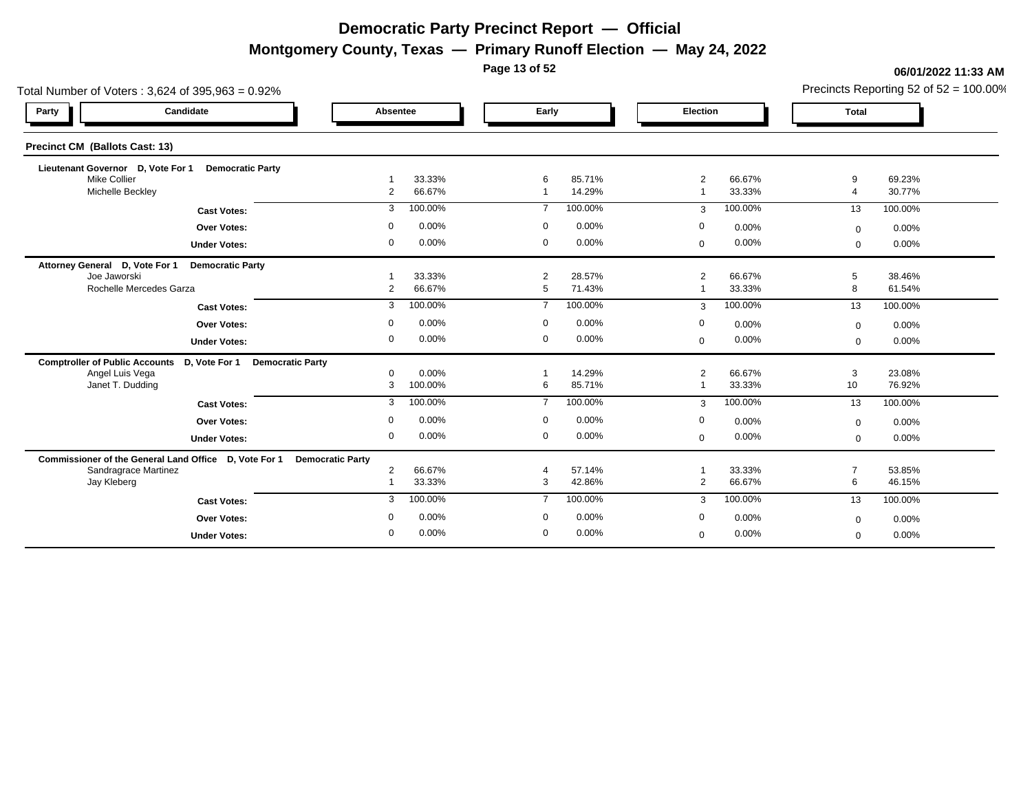**Montgomery County, Texas — Primary Runoff Election — May 24, 2022**

**Page 13 of 52**

|                                       | Total Number of Voters: 3,624 of 395,963 = 0.92%<br>Candidate<br>Absentee<br>Election<br>Early |                |         |                |         |                |         |              |         |  |  |  |  |
|---------------------------------------|------------------------------------------------------------------------------------------------|----------------|---------|----------------|---------|----------------|---------|--------------|---------|--|--|--|--|
| Party                                 |                                                                                                |                |         |                |         |                |         | <b>Total</b> |         |  |  |  |  |
| <b>Precinct CM (Ballots Cast: 13)</b> |                                                                                                |                |         |                |         |                |         |              |         |  |  |  |  |
| Lieutenant Governor D, Vote For 1     | <b>Democratic Party</b>                                                                        |                |         |                |         |                |         |              |         |  |  |  |  |
| <b>Mike Collier</b>                   |                                                                                                |                | 33.33%  | 6              | 85.71%  | 2              | 66.67%  | 9            | 69.23%  |  |  |  |  |
| Michelle Beckley                      |                                                                                                | 2              | 66.67%  |                | 14.29%  |                | 33.33%  |              | 30.77%  |  |  |  |  |
|                                       | <b>Cast Votes:</b>                                                                             | 3              | 100.00% |                | 100.00% | 3              | 100.00% | 13           | 100.00% |  |  |  |  |
|                                       | <b>Over Votes:</b>                                                                             | $\Omega$       | 0.00%   | $\mathbf 0$    | 0.00%   | 0              | 0.00%   | $\Omega$     | 0.00%   |  |  |  |  |
|                                       | <b>Under Votes:</b>                                                                            | $\mathbf 0$    | 0.00%   | $\mathbf 0$    | 0.00%   | 0              | 0.00%   | $\mathbf{0}$ | 0.00%   |  |  |  |  |
| Attorney General D, Vote For 1        | <b>Democratic Party</b>                                                                        |                |         |                |         |                |         |              |         |  |  |  |  |
| Joe Jaworski                          |                                                                                                |                | 33.33%  | 2              | 28.57%  | 2              | 66.67%  | 5            | 38.46%  |  |  |  |  |
| Rochelle Mercedes Garza               |                                                                                                | 2              | 66.67%  | 5              | 71.43%  |                | 33.33%  | 8            | 61.54%  |  |  |  |  |
|                                       | <b>Cast Votes:</b>                                                                             | 3              | 100.00% | $\overline{7}$ | 100.00% | 3              | 100.00% | 13           | 100.00% |  |  |  |  |
|                                       | <b>Over Votes:</b>                                                                             | $\mathbf 0$    | 0.00%   | $\overline{0}$ | 0.00%   | 0              | 0.00%   | $\mathbf{0}$ | 0.00%   |  |  |  |  |
|                                       | <b>Under Votes:</b>                                                                            | $\Omega$       | 0.00%   | $\mathbf 0$    | 0.00%   | $\mathbf{0}$   | 0.00%   | $\Omega$     | 0.00%   |  |  |  |  |
|                                       | Comptroller of Public Accounts D, Vote For 1 Democratic Party                                  |                |         |                |         |                |         |              |         |  |  |  |  |
| Angel Luis Vega                       |                                                                                                |                | 0.00%   |                | 14.29%  | $\overline{2}$ | 66.67%  | 3            | 23.08%  |  |  |  |  |
| Janet T. Dudding                      |                                                                                                | 3              | 100.00% | 6              | 85.71%  |                | 33.33%  | 10           | 76.92%  |  |  |  |  |
|                                       | <b>Cast Votes:</b>                                                                             | 3              | 100.00% |                | 100.00% | 3              | 100.00% | 13           | 100.00% |  |  |  |  |
|                                       | <b>Over Votes:</b>                                                                             | $\mathbf 0$    | 0.00%   | $\mathbf 0$    | 0.00%   | $\mathbf{0}$   | 0.00%   | $\mathbf{0}$ | 0.00%   |  |  |  |  |
|                                       | <b>Under Votes:</b>                                                                            | $\overline{0}$ | 0.00%   | $\mathbf 0$    | 0.00%   | $\mathbf 0$    | 0.00%   | $\mathbf{0}$ | 0.00%   |  |  |  |  |
|                                       | Commissioner of the General Land Office D, Vote For 1 Democratic Party                         |                |         |                |         |                |         |              |         |  |  |  |  |
| <b>Sandragrace Martinez</b>           |                                                                                                | $\overline{2}$ | 66.67%  |                | 57.14%  |                | 33.33%  | -7           | 53.85%  |  |  |  |  |
| Jay Kleberg                           |                                                                                                |                | 33.33%  | 3              | 42.86%  | 2              | 66.67%  | 6            | 46.15%  |  |  |  |  |
|                                       | <b>Cast Votes:</b>                                                                             | 3              | 100.00% | $\overline{7}$ | 100.00% | 3              | 100.00% | 13           | 100.00% |  |  |  |  |
|                                       | <b>Over Votes:</b>                                                                             | $\Omega$       | 0.00%   | $\overline{0}$ | 0.00%   | $\mathbf 0$    | 0.00%   | $\mathbf{0}$ | 0.00%   |  |  |  |  |
|                                       | <b>Under Votes:</b>                                                                            | $\mathbf{0}$   | 0.00%   | $\mathbf 0$    | 0.00%   | $\Omega$       | 0.00%   | $\Omega$     | 0.00%   |  |  |  |  |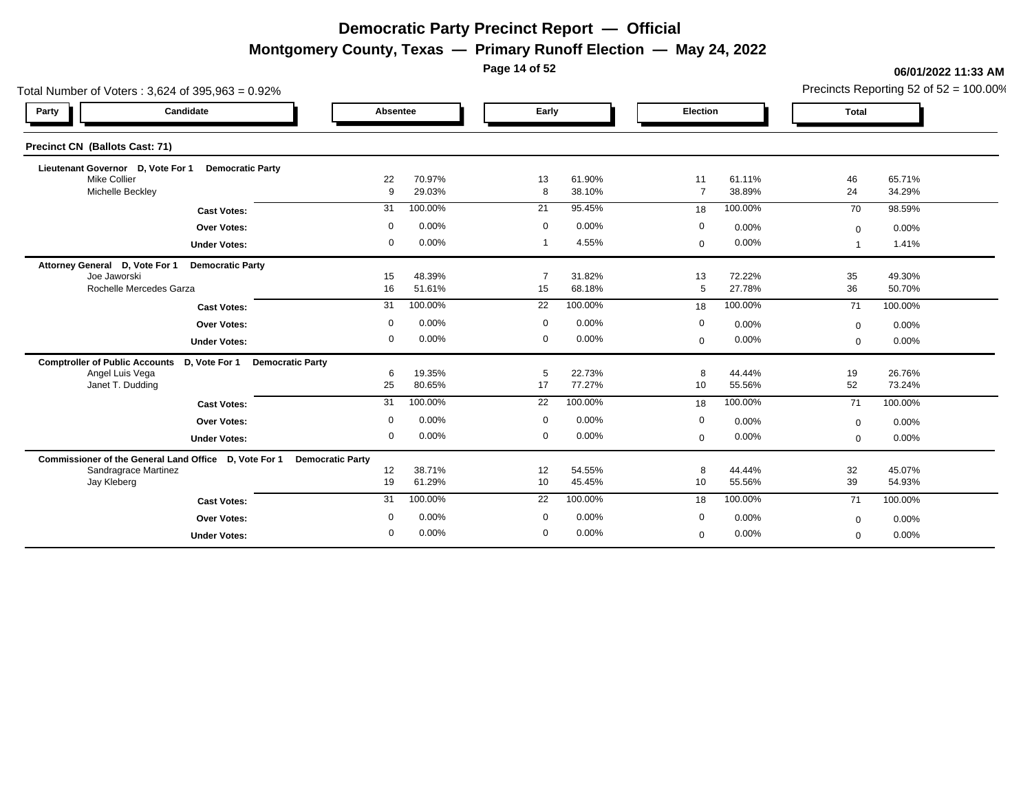**Montgomery County, Texas — Primary Runoff Election — May 24, 2022**

**Page 14 of 52**

| Total Number of Voters: 3,624 of 395,963 = 0.92%                                                         |             |                  |                            |                  |                |                  |                | Precincts Reporting 52 of $52 = 100.00\%$ |
|----------------------------------------------------------------------------------------------------------|-------------|------------------|----------------------------|------------------|----------------|------------------|----------------|-------------------------------------------|
| Candidate<br>Party                                                                                       | Absentee    |                  |                            | Early            |                | Election         |                |                                           |
| Precinct CN (Ballots Cast: 71)                                                                           |             |                  |                            |                  |                |                  |                |                                           |
| Lieutenant Governor D, Vote For 1<br><b>Democratic Party</b><br><b>Mike Collier</b>                      | 22          | 70.97%           | 13                         | 61.90%           | 11             | 61.11%           | 46             | 65.71%                                    |
| Michelle Beckley                                                                                         | 9           | 29.03%           | 8                          | 38.10%           | $\overline{7}$ | 38.89%           | 24             | 34.29%                                    |
| <b>Cast Votes:</b>                                                                                       | 31          | 100.00%          | 21                         | 95.45%           | 18             | 100.00%          | 70             | 98.59%                                    |
| <b>Over Votes:</b>                                                                                       | $\Omega$    | 0.00%            | $\mathbf 0$                | 0.00%            | $\mathbf 0$    | 0.00%            | $\mathbf 0$    | 0.00%                                     |
| <b>Under Votes:</b>                                                                                      | $\mathbf 0$ | 0.00%            | -1                         | 4.55%            | $\mathbf 0$    | 0.00%            |                | 1.41%                                     |
| Attorney General D, Vote For 1<br><b>Democratic Party</b>                                                |             |                  |                            |                  |                |                  |                |                                           |
| Joe Jaworski                                                                                             | 15          | 48.39%           | $\overline{7}$             | 31.82%           | 13             | 72.22%           | 35             | 49.30%                                    |
| Rochelle Mercedes Garza                                                                                  | 16          | 51.61%           | 15                         | 68.18%           | 5              | 27.78%           | 36             | 50.70%                                    |
| <b>Cast Votes:</b>                                                                                       | 31          | 100.00%          | 22                         | 100.00%          | 18             | 100.00%          | 71             | 100.00%                                   |
| <b>Over Votes:</b>                                                                                       | $\Omega$    | 0.00%            | $\mathbf 0$                | 0.00%            | $\mathbf 0$    | 0.00%            | $\mathbf 0$    | 0.00%                                     |
| <b>Under Votes:</b>                                                                                      | $\mathbf 0$ | 0.00%            | $\mathbf 0$                | 0.00%            | $\mathbf 0$    | 0.00%            | $\overline{0}$ | 0.00%                                     |
| <b>Comptroller of Public Accounts</b><br>D, Vote For 1<br><b>Democratic Party</b>                        |             |                  |                            |                  |                |                  |                |                                           |
| Angel Luis Vega<br>Janet T. Dudding                                                                      | 6<br>25     | 19.35%<br>80.65% | 5<br>17                    | 22.73%<br>77.27% | 8<br>10        | 44.44%<br>55.56% | 19<br>52       | 26.76%<br>73.24%                          |
|                                                                                                          | 31          | 100.00%          | 22                         | 100.00%          | 18             | 100.00%          | 71             | 100.00%                                   |
| <b>Cast Votes:</b>                                                                                       | $\Omega$    | 0.00%            |                            | 0.00%            |                |                  |                |                                           |
| <b>Over Votes:</b>                                                                                       | $\mathbf 0$ | 0.00%            | $\mathbf 0$<br>$\mathbf 0$ | 0.00%            | $\mathbf 0$    | 0.00%            | $\mathbf 0$    | 0.00%                                     |
| <b>Under Votes:</b>                                                                                      |             |                  |                            |                  | $\mathbf{0}$   | 0.00%            | $\mathbf 0$    | 0.00%                                     |
| Commissioner of the General Land Office D, Vote For 1<br><b>Democratic Party</b><br>Sandragrace Martinez | 12          | 38.71%           | 12                         | 54.55%           | 8              | 44.44%           | 32             | 45.07%                                    |
| Jay Kleberg                                                                                              | 19          | 61.29%           | 10                         | 45.45%           | 10             | 55.56%           | 39             | 54.93%                                    |
| <b>Cast Votes:</b>                                                                                       | 31          | 100.00%          | 22                         | 100.00%          | 18             | 100.00%          | 71             | 100.00%                                   |
| <b>Over Votes:</b>                                                                                       | 0           | 0.00%            | $\mathbf 0$                | 0.00%            | $\mathbf 0$    | 0.00%            | $\mathbf 0$    | 0.00%                                     |
| <b>Under Votes:</b>                                                                                      | $\Omega$    | 0.00%            | $\mathbf{0}$               | 0.00%            | $\overline{0}$ | 0.00%            | $\mathbf{0}$   | 0.00%                                     |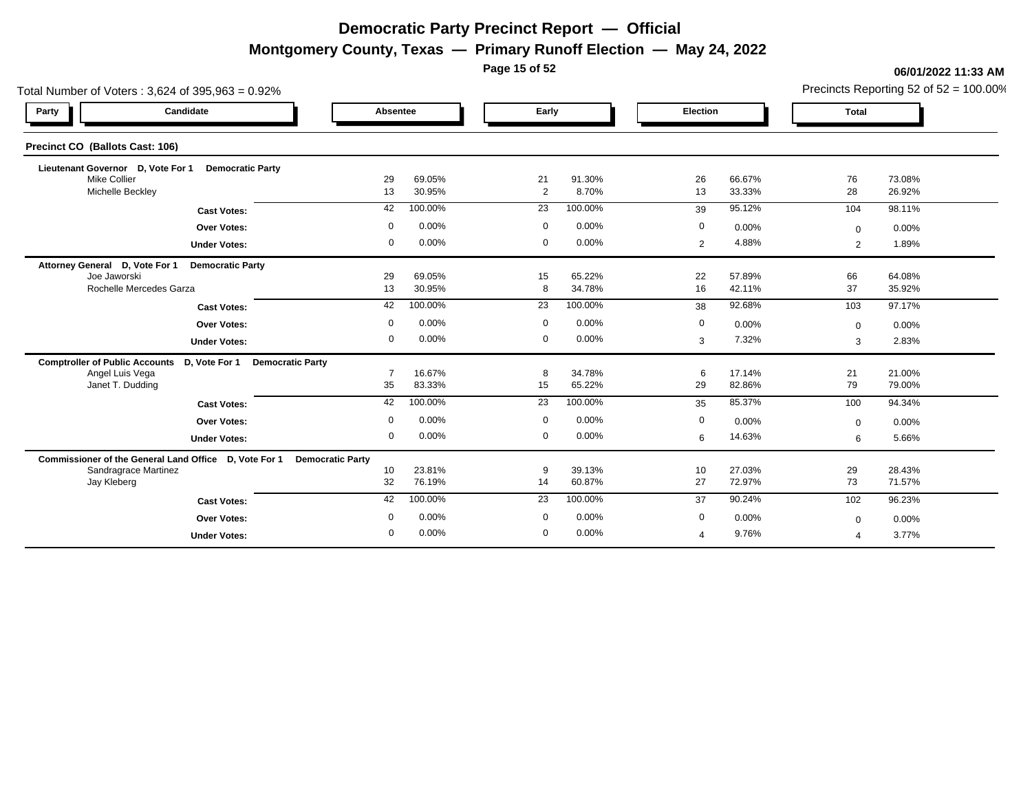**Montgomery County, Texas — Primary Runoff Election — May 24, 2022**

**Page 15 of 52**

|                                         | Precincts Reporting 52 of $52 = 100.00\%$<br>Total Number of Voters: 3,624 of 395,963 = 0.92%<br>Candidate<br>Absentee |                |                  |                      |                   |              |                  |             |                  |  |  |  |  |
|-----------------------------------------|------------------------------------------------------------------------------------------------------------------------|----------------|------------------|----------------------|-------------------|--------------|------------------|-------------|------------------|--|--|--|--|
| Party                                   |                                                                                                                        |                |                  |                      | Election<br>Early |              |                  |             |                  |  |  |  |  |
| Precinct CO (Ballots Cast: 106)         |                                                                                                                        |                |                  |                      |                   |              |                  |             |                  |  |  |  |  |
| Lieutenant Governor D, Vote For 1       | <b>Democratic Party</b>                                                                                                |                |                  |                      |                   |              |                  |             |                  |  |  |  |  |
| <b>Mike Collier</b><br>Michelle Beckley |                                                                                                                        | 29<br>13       | 69.05%<br>30.95% | 21<br>$\overline{2}$ | 91.30%<br>8.70%   | 26<br>13     | 66.67%<br>33.33% | 76<br>28    | 73.08%<br>26.92% |  |  |  |  |
|                                         |                                                                                                                        |                |                  |                      |                   |              |                  |             |                  |  |  |  |  |
|                                         | <b>Cast Votes:</b>                                                                                                     | 42             | 100.00%          | 23                   | 100.00%           | 39           | 95.12%           | 104         | 98.11%           |  |  |  |  |
|                                         | <b>Over Votes:</b>                                                                                                     | $\mathbf 0$    | 0.00%            | $\mathbf 0$          | 0.00%             | 0            | 0.00%            | $\Omega$    | 0.00%            |  |  |  |  |
|                                         | <b>Under Votes:</b>                                                                                                    | $\mathbf 0$    | 0.00%            | $\mathbf 0$          | 0.00%             | 2            | 4.88%            | 2           | 1.89%            |  |  |  |  |
| Attorney General D, Vote For 1          | <b>Democratic Party</b>                                                                                                |                |                  |                      |                   |              |                  |             |                  |  |  |  |  |
| Joe Jaworski                            |                                                                                                                        | 29             | 69.05%           | 15                   | 65.22%            | 22           | 57.89%           | 66          | 64.08%           |  |  |  |  |
| Rochelle Mercedes Garza                 |                                                                                                                        | 13             | 30.95%           | 8                    | 34.78%            | 16           | 42.11%           | 37          | 35.92%           |  |  |  |  |
|                                         | <b>Cast Votes:</b>                                                                                                     | 42             | 100.00%          | 23                   | 100.00%           | 38           | 92.68%           | 103         | 97.17%           |  |  |  |  |
|                                         | <b>Over Votes:</b>                                                                                                     | $\mathbf 0$    | 0.00%            | $\mathbf 0$          | 0.00%             | $\mathbf{0}$ | 0.00%            | $\mathbf 0$ | 0.00%            |  |  |  |  |
|                                         | <b>Under Votes:</b>                                                                                                    | $\mathbf 0$    | 0.00%            | $\mathbf 0$          | 0.00%             | 3            | 7.32%            | 3           | 2.83%            |  |  |  |  |
|                                         | Comptroller of Public Accounts D, Vote For 1 Democratic Party                                                          |                |                  |                      |                   |              |                  |             |                  |  |  |  |  |
| Angel Luis Vega                         |                                                                                                                        | $\overline{7}$ | 16.67%           | 8                    | 34.78%            | 6            | 17.14%           | 21          | 21.00%           |  |  |  |  |
| Janet T. Dudding                        |                                                                                                                        | 35             | 83.33%           | 15                   | 65.22%            | 29           | 82.86%           | 79          | 79.00%           |  |  |  |  |
|                                         | <b>Cast Votes:</b>                                                                                                     | 42             | 100.00%          | 23                   | 100.00%           | 35           | 85.37%           | 100         | 94.34%           |  |  |  |  |
|                                         | <b>Over Votes:</b>                                                                                                     | $\mathbf 0$    | 0.00%            | $\mathbf 0$          | 0.00%             | $\mathbf 0$  | 0.00%            | $\Omega$    | 0.00%            |  |  |  |  |
|                                         | <b>Under Votes:</b>                                                                                                    | $\mathbf{0}$   | 0.00%            | $\mathbf 0$          | 0.00%             | 6            | 14.63%           | 6           | 5.66%            |  |  |  |  |
|                                         | Commissioner of the General Land Office D, Vote For 1 Democratic Party                                                 |                |                  |                      |                   |              |                  |             |                  |  |  |  |  |
| Sandragrace Martinez                    |                                                                                                                        | 10             | 23.81%           | 9                    | 39.13%            | 10           | 27.03%           | 29          | 28.43%           |  |  |  |  |
| Jay Kleberg                             |                                                                                                                        | 32             | 76.19%           | 14                   | 60.87%            | 27           | 72.97%           | 73          | 71.57%           |  |  |  |  |
|                                         | <b>Cast Votes:</b>                                                                                                     | 42             | 100.00%          | 23                   | 100.00%           | 37           | 90.24%           | 102         | 96.23%           |  |  |  |  |
|                                         | <b>Over Votes:</b>                                                                                                     | $\mathbf 0$    | 0.00%            | $\overline{0}$       | 0.00%             | 0            | 0.00%            | $\mathbf 0$ | 0.00%            |  |  |  |  |
|                                         | <b>Under Votes:</b>                                                                                                    | $\mathbf{0}$   | 0.00%            | $\mathbf 0$          | 0.00%             | 4            | 9.76%            | 4           | 3.77%            |  |  |  |  |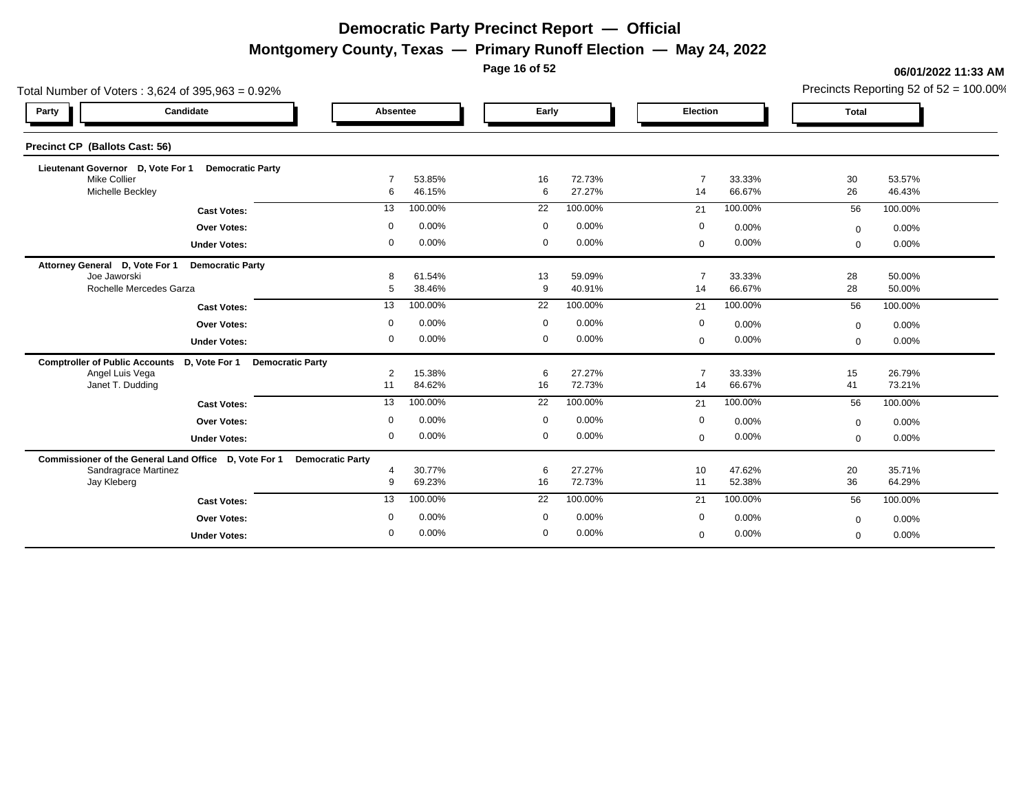**Montgomery County, Texas — Primary Runoff Election — May 24, 2022**

**Page 16 of 52**

|                                         | Total Number of Voters: 3,624 of 395,963 = 0.92%                       |                | Precincts Reporting 52 of $52 = 100.00\%$ |                             |  |                      |                  |              |                  |  |  |
|-----------------------------------------|------------------------------------------------------------------------|----------------|-------------------------------------------|-----------------------------|--|----------------------|------------------|--------------|------------------|--|--|
| Party                                   | Candidate                                                              | Absentee       |                                           | Early                       |  | Election             |                  | <b>Total</b> |                  |  |  |
| Precinct CP (Ballots Cast: 56)          |                                                                        |                |                                           |                             |  |                      |                  |              |                  |  |  |
| Lieutenant Governor D, Vote For 1       | <b>Democratic Party</b>                                                |                |                                           |                             |  |                      |                  |              |                  |  |  |
| <b>Mike Collier</b><br>Michelle Beckley |                                                                        | 6              | 53.85%<br>46.15%                          | 72.73%<br>16<br>27.27%<br>6 |  | $\overline{7}$<br>14 | 33.33%<br>66.67% | 30<br>26     | 53.57%<br>46.43% |  |  |
|                                         |                                                                        | 13             | 100.00%                                   | 22<br>100.00%               |  | 21                   | 100.00%          | 56           | 100.00%          |  |  |
|                                         | <b>Cast Votes:</b>                                                     |                |                                           |                             |  |                      |                  |              |                  |  |  |
|                                         | <b>Over Votes:</b>                                                     | $\mathbf 0$    | 0.00%                                     | $\mathbf 0$<br>0.00%        |  | 0                    | 0.00%            | $\Omega$     | 0.00%            |  |  |
|                                         | <b>Under Votes:</b>                                                    | $\Omega$       | 0.00%                                     | 0.00%<br>$\mathbf 0$        |  | $\mathbf 0$          | 0.00%            | $\mathbf{0}$ | 0.00%            |  |  |
| Attorney General D, Vote For 1          | <b>Democratic Party</b>                                                |                |                                           |                             |  |                      |                  |              |                  |  |  |
| Joe Jaworski                            | Rochelle Mercedes Garza                                                | 8<br>5         | 61.54%<br>38.46%                          | 13<br>59.09%<br>9<br>40.91% |  | $\overline{7}$<br>14 | 33.33%<br>66.67% | 28<br>28     | 50.00%<br>50.00% |  |  |
|                                         |                                                                        |                |                                           |                             |  |                      |                  |              |                  |  |  |
|                                         | <b>Cast Votes:</b>                                                     | 13             | 100.00%                                   | $\overline{22}$<br>100.00%  |  | 21                   | 100.00%          | 56           | 100.00%          |  |  |
|                                         | <b>Over Votes:</b>                                                     | $\mathbf 0$    | 0.00%                                     | 0.00%<br>$\overline{0}$     |  | $\mathbf 0$          | 0.00%            | $\mathbf{0}$ | 0.00%            |  |  |
|                                         | <b>Under Votes:</b>                                                    | $\Omega$       | 0.00%                                     | $\mathbf 0$<br>0.00%        |  | $\Omega$             | 0.00%            | $\mathbf{0}$ | 0.00%            |  |  |
|                                         | Comptroller of Public Accounts D, Vote For 1 Democratic Party          |                |                                           |                             |  |                      |                  |              |                  |  |  |
| Angel Luis Vega                         |                                                                        | 2              | 15.38%                                    | 27.27%<br>6                 |  |                      | 33.33%           | 15           | 26.79%           |  |  |
| Janet T. Dudding                        |                                                                        | 11             | 84.62%                                    | 72.73%<br>16                |  | 14                   | 66.67%           | 41           | 73.21%           |  |  |
|                                         | <b>Cast Votes:</b>                                                     | 13             | 100.00%                                   | 22<br>100.00%               |  | 21                   | 100.00%          | 56           | 100.00%          |  |  |
|                                         | <b>Over Votes:</b>                                                     | $\mathbf 0$    | 0.00%                                     | 0.00%<br>$\mathbf 0$        |  | $\mathbf 0$          | 0.00%            | $\mathbf{0}$ | 0.00%            |  |  |
|                                         | <b>Under Votes:</b>                                                    | $\mathbf 0$    | 0.00%                                     | $\mathbf 0$<br>0.00%        |  | $\mathbf 0$          | 0.00%            | $\Omega$     | 0.00%            |  |  |
|                                         | Commissioner of the General Land Office D, Vote For 1 Democratic Party |                |                                           |                             |  |                      |                  |              |                  |  |  |
| Sandragrace Martinez                    |                                                                        | $\overline{4}$ | 30.77%                                    | 6<br>27.27%                 |  | 10                   | 47.62%           | 20           | 35.71%           |  |  |
| Jay Kleberg                             |                                                                        | 9              | 69.23%                                    | 72.73%<br>16                |  | 11                   | 52.38%           | 36           | 64.29%           |  |  |
|                                         | <b>Cast Votes:</b>                                                     | 13             | 100.00%                                   | 22<br>100.00%               |  | 21                   | 100.00%          | 56           | 100.00%          |  |  |
|                                         | <b>Over Votes:</b>                                                     | $\mathbf 0$    | 0.00%                                     | $\mathbf 0$<br>0.00%        |  | 0                    | 0.00%            | $\mathbf{0}$ | 0.00%            |  |  |
|                                         | <b>Under Votes:</b>                                                    | $\mathbf{0}$   | 0.00%                                     | 0.00%<br>$\mathbf 0$        |  | $\Omega$             | 0.00%            | $\mathbf{0}$ | 0.00%            |  |  |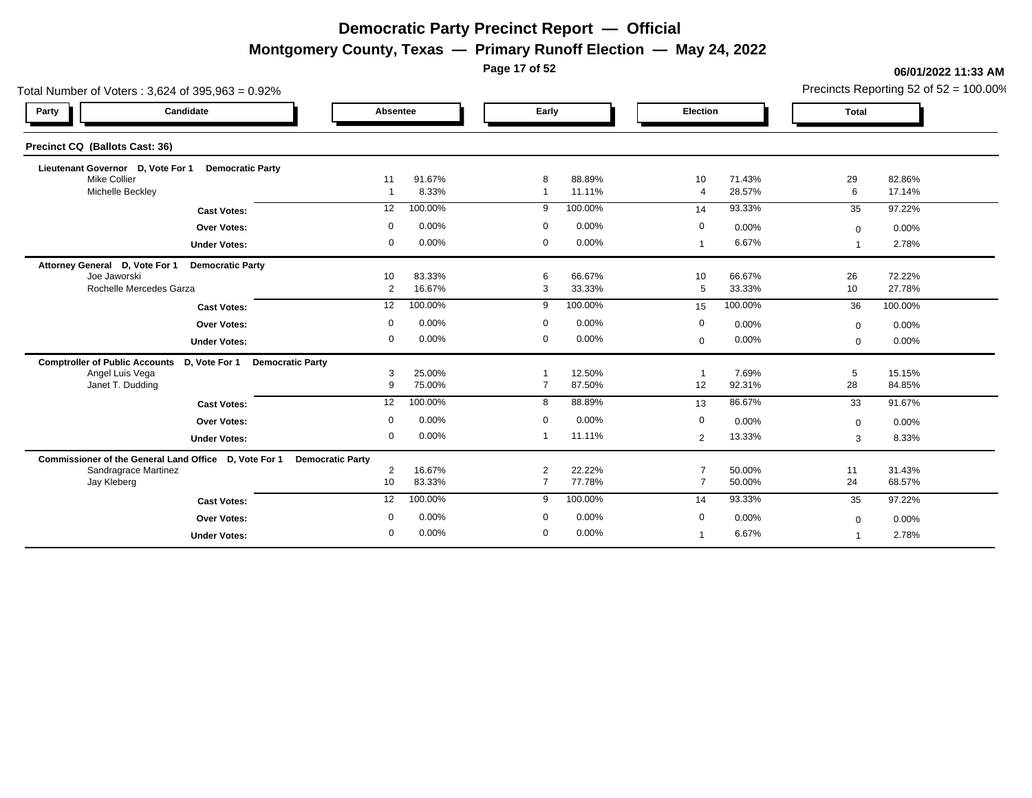**Montgomery County, Texas — Primary Runoff Election — May 24, 2022**

**Page 17 of 52**

| Total Number of Voters: $3,624$ of $395,963 = 0.92\%$                               | Absentee<br>Election |                  |                                  |                  |                        |                 |              |                  |  |  |  |  |  |
|-------------------------------------------------------------------------------------|----------------------|------------------|----------------------------------|------------------|------------------------|-----------------|--------------|------------------|--|--|--|--|--|
| Candidate<br>Party                                                                  |                      |                  |                                  | Early            |                        |                 | <b>Total</b> |                  |  |  |  |  |  |
| Precinct CQ (Ballots Cast: 36)                                                      |                      |                  |                                  |                  |                        |                 |              |                  |  |  |  |  |  |
| Lieutenant Governor D, Vote For 1<br><b>Democratic Party</b><br><b>Mike Collier</b> | 11                   | 91.67%           | 8                                | 88.89%           | 10                     | 71.43%          | 29           | 82.86%           |  |  |  |  |  |
| Michelle Beckley                                                                    |                      | 8.33%            | $\overline{1}$                   | 11.11%           | $\boldsymbol{\Lambda}$ | 28.57%          | 6            | 17.14%           |  |  |  |  |  |
| <b>Cast Votes:</b>                                                                  | 12                   | 100.00%          | 9                                | 100.00%          | 14                     | 93.33%          | 35           | 97.22%           |  |  |  |  |  |
| <b>Over Votes:</b>                                                                  | $\mathbf 0$          | 0.00%            | $\mathbf 0$                      | 0.00%            | 0                      | 0.00%           | $\Omega$     | 0.00%            |  |  |  |  |  |
| <b>Under Votes:</b>                                                                 | $\mathbf 0$          | 0.00%            | $\mathbf 0$                      | 0.00%            |                        | 6.67%           |              | 2.78%            |  |  |  |  |  |
| Attorney General D, Vote For 1<br><b>Democratic Party</b>                           |                      |                  |                                  |                  |                        |                 |              |                  |  |  |  |  |  |
| Joe Jaworski                                                                        | 10                   | 83.33%           | 6                                | 66.67%           | 10                     | 66.67%          | 26           | 72.22%           |  |  |  |  |  |
| Rochelle Mercedes Garza                                                             | 2                    | 16.67%           | 3                                | 33.33%           | 5                      | 33.33%          | 10           | 27.78%           |  |  |  |  |  |
| <b>Cast Votes:</b>                                                                  | 12                   | 100.00%          | 9                                | 100.00%          | 15                     | 100.00%         | 36           | 100.00%          |  |  |  |  |  |
| <b>Over Votes:</b>                                                                  | $\mathbf 0$          | 0.00%            | $\mathbf 0$                      | 0.00%            | 0                      | 0.00%           | $\mathbf 0$  | 0.00%            |  |  |  |  |  |
| <b>Under Votes:</b>                                                                 | $\mathbf 0$          | 0.00%            | $\mathbf 0$                      | 0.00%            | $\Omega$               | 0.00%           | $\Omega$     | 0.00%            |  |  |  |  |  |
| <b>Comptroller of Public Accounts</b><br>D, Vote For 1<br><b>Democratic Party</b>   |                      |                  |                                  |                  |                        |                 |              |                  |  |  |  |  |  |
| Angel Luis Vega<br>Janet T. Dudding                                                 | 3<br>9               | 25.00%<br>75.00% | $\overline{7}$                   | 12.50%<br>87.50% | 12                     | 7.69%<br>92.31% | 5<br>28      | 15.15%<br>84.85% |  |  |  |  |  |
|                                                                                     | 12                   | 100.00%          | 8                                | 88.89%           |                        | 86.67%          |              | 91.67%           |  |  |  |  |  |
| <b>Cast Votes:</b>                                                                  |                      |                  |                                  |                  | 13                     |                 | 33           |                  |  |  |  |  |  |
| <b>Over Votes:</b>                                                                  | $\mathbf 0$          | 0.00%            | $\mathbf 0$                      | 0.00%            | 0                      | 0.00%           | $\mathbf{0}$ | 0.00%            |  |  |  |  |  |
| <b>Under Votes:</b>                                                                 | $\mathbf 0$          | 0.00%            | $\mathbf 1$                      | 11.11%           | $\overline{2}$         | 13.33%          | 3            | 8.33%            |  |  |  |  |  |
| Commissioner of the General Land Office D, Vote For 1 Democratic Party              |                      |                  |                                  |                  |                        |                 |              |                  |  |  |  |  |  |
| <b>Sandragrace Martinez</b>                                                         | 2                    | 16.67%           | $\overline{2}$<br>$\overline{7}$ | 22.22%           | $\overline{7}$         | 50.00%          | 11           | 31.43%           |  |  |  |  |  |
| Jay Kleberg                                                                         | 10                   | 83.33%           |                                  | 77.78%           |                        | 50.00%          | 24           | 68.57%           |  |  |  |  |  |
| <b>Cast Votes:</b>                                                                  | 12 <sup>2</sup>      | 100.00%          | 9                                | 100.00%          | 14                     | 93.33%          | 35           | 97.22%           |  |  |  |  |  |
| <b>Over Votes:</b>                                                                  | $\mathbf 0$          | 0.00%            | $\overline{0}$                   | 0.00%            | 0                      | 0.00%           | $\mathbf{0}$ | 0.00%            |  |  |  |  |  |
| <b>Under Votes:</b>                                                                 | $\mathbf 0$          | 0.00%            | $\mathbf 0$                      | 0.00%            |                        | 6.67%           |              | 2.78%            |  |  |  |  |  |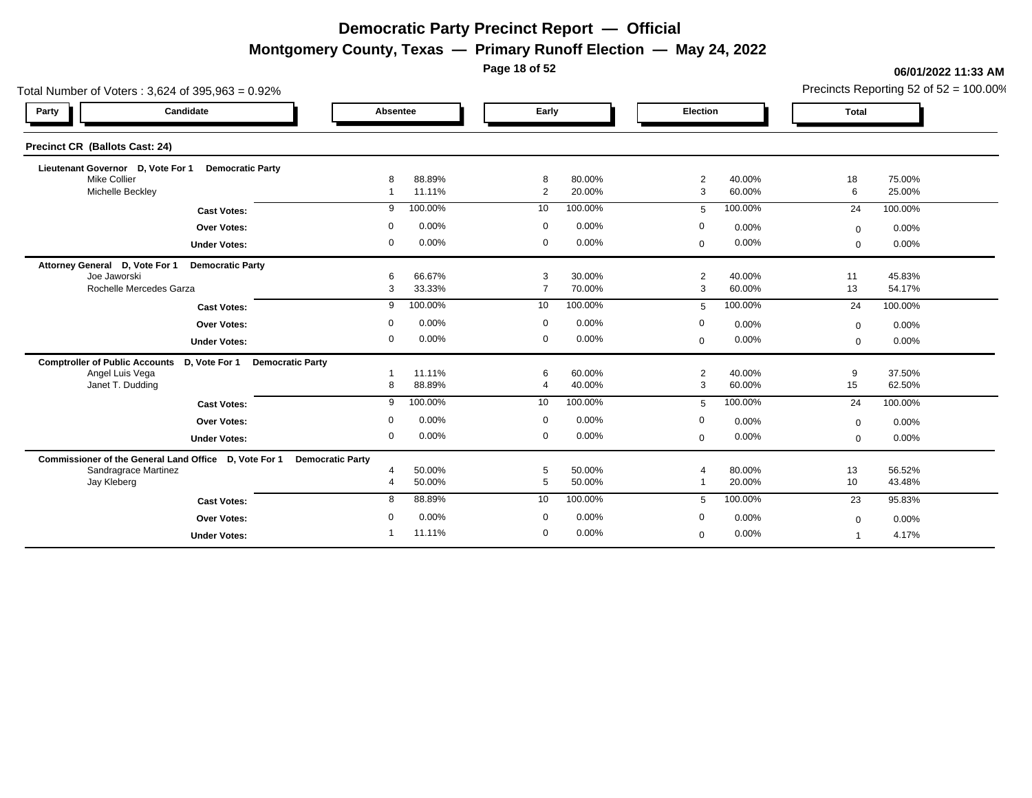**Montgomery County, Texas — Primary Runoff Election — May 24, 2022**

**Page 18 of 52**

|                                         | Total Number of Voters: $3,624$ of $395,963 = 0.92\%$<br>Candidate<br>Absentee<br>Early<br>Election |                |                  |  |                                         |       |                     |                  |                              |                  |  |  |  |
|-----------------------------------------|-----------------------------------------------------------------------------------------------------|----------------|------------------|--|-----------------------------------------|-------|---------------------|------------------|------------------------------|------------------|--|--|--|
| Party                                   |                                                                                                     |                |                  |  |                                         |       |                     |                  | <b>Total</b>                 |                  |  |  |  |
| <b>Precinct CR (Ballots Cast: 24)</b>   |                                                                                                     |                |                  |  |                                         |       |                     |                  |                              |                  |  |  |  |
| Lieutenant Governor D, Vote For 1       | <b>Democratic Party</b>                                                                             |                |                  |  |                                         |       |                     |                  |                              |                  |  |  |  |
| <b>Mike Collier</b><br>Michelle Beckley |                                                                                                     | 8              | 88.89%<br>11.11% |  | 8<br>80.00%<br>$\overline{2}$<br>20.00% |       | 2<br>3              | 40.00%<br>60.00% | 18<br>6                      | 75.00%<br>25.00% |  |  |  |
|                                         | <b>Cast Votes:</b>                                                                                  | -9             | 100.00%          |  | 100.00%<br>10                           |       | $5\overline{5}$     | 100.00%          | 24                           | 100.00%          |  |  |  |
|                                         | <b>Over Votes:</b>                                                                                  | $\Omega$       | 0.00%            |  | $\mathbf 0$                             | 0.00% | 0                   | 0.00%            | $\Omega$                     | 0.00%            |  |  |  |
|                                         | <b>Under Votes:</b>                                                                                 | $\mathbf 0$    | 0.00%            |  | $\mathbf 0$                             | 0.00% | $\mathbf 0$         | 0.00%            | $\mathbf 0$                  | 0.00%            |  |  |  |
| Attorney General D, Vote For 1          | <b>Democratic Party</b>                                                                             |                |                  |  |                                         |       |                     |                  |                              |                  |  |  |  |
| Joe Jaworski<br>Rochelle Mercedes Garza |                                                                                                     | 6              | 66.67%           |  | 3<br>30.00%<br>$\overline{7}$<br>70.00% |       | $\overline{2}$<br>3 | 40.00%           | 11                           | 45.83%           |  |  |  |
|                                         |                                                                                                     | 3              | 33.33%           |  |                                         |       |                     | 60.00%           | 13                           | 54.17%           |  |  |  |
|                                         | <b>Cast Votes:</b>                                                                                  | 9              | 100.00%          |  | 100.00%<br>10 <sup>°</sup>              |       | $5\overline{5}$     | 100.00%          | 24                           | 100.00%          |  |  |  |
|                                         | <b>Over Votes:</b>                                                                                  | $\Omega$       | 0.00%            |  | $\mathbf 0$                             | 0.00% | 0                   | 0.00%            | $\mathbf 0$                  | 0.00%            |  |  |  |
|                                         | <b>Under Votes:</b>                                                                                 | $\mathbf 0$    | 0.00%            |  | $\mathbf 0$                             | 0.00% | $\Omega$            | 0.00%            | $\mathbf{0}$                 | 0.00%            |  |  |  |
| <b>Comptroller of Public Accounts</b>   | D. Vote For 1 Democratic Party                                                                      |                |                  |  |                                         |       |                     |                  |                              |                  |  |  |  |
| Angel Luis Vega<br>Janet T. Dudding     |                                                                                                     | 8              | 11.11%<br>88.89% |  | 60.00%<br>6<br>40.00%                   |       | 2<br>3              | 40.00%<br>60.00% | 9<br>15                      | 37.50%<br>62.50% |  |  |  |
|                                         | <b>Cast Votes:</b>                                                                                  | 9              | 100.00%          |  | 100.00%<br>10                           |       | 5                   | 100.00%          | 24                           | 100.00%          |  |  |  |
|                                         | <b>Over Votes:</b>                                                                                  | $\mathbf 0$    | 0.00%            |  | $\mathbf 0$                             | 0.00% | 0                   | 0.00%            |                              | 0.00%            |  |  |  |
|                                         | <b>Under Votes:</b>                                                                                 | $\mathbf 0$    | 0.00%            |  | $\mathbf 0$                             | 0.00% | $\mathbf 0$         | 0.00%            | $\mathbf{0}$<br>$\mathbf{0}$ | 0.00%            |  |  |  |
|                                         |                                                                                                     |                |                  |  |                                         |       |                     |                  |                              |                  |  |  |  |
| <b>Sandragrace Martinez</b>             | Commissioner of the General Land Office D, Vote For 1 Democratic Party                              | $\overline{4}$ | 50.00%           |  | 50.00%<br>5                             |       |                     | 80.00%           | 13                           | 56.52%           |  |  |  |
| Jay Kleberg                             |                                                                                                     | $\overline{4}$ | 50.00%           |  | $5\phantom{.0}$<br>50.00%               |       |                     | 20.00%           | 10                           | 43.48%           |  |  |  |
|                                         | <b>Cast Votes:</b>                                                                                  | 8              | 88.89%           |  | 10<br>100.00%                           |       | 5                   | 100.00%          | 23                           | 95.83%           |  |  |  |
|                                         | <b>Over Votes:</b>                                                                                  | $\mathbf 0$    | 0.00%            |  | $\mathbf 0$                             | 0.00% | $\mathbf 0$         | 0.00%            | $\mathbf{0}$                 | 0.00%            |  |  |  |
|                                         | <b>Under Votes:</b>                                                                                 |                | 11.11%           |  | $\mathbf 0$                             | 0.00% | $\Omega$            | 0.00%            |                              | 4.17%            |  |  |  |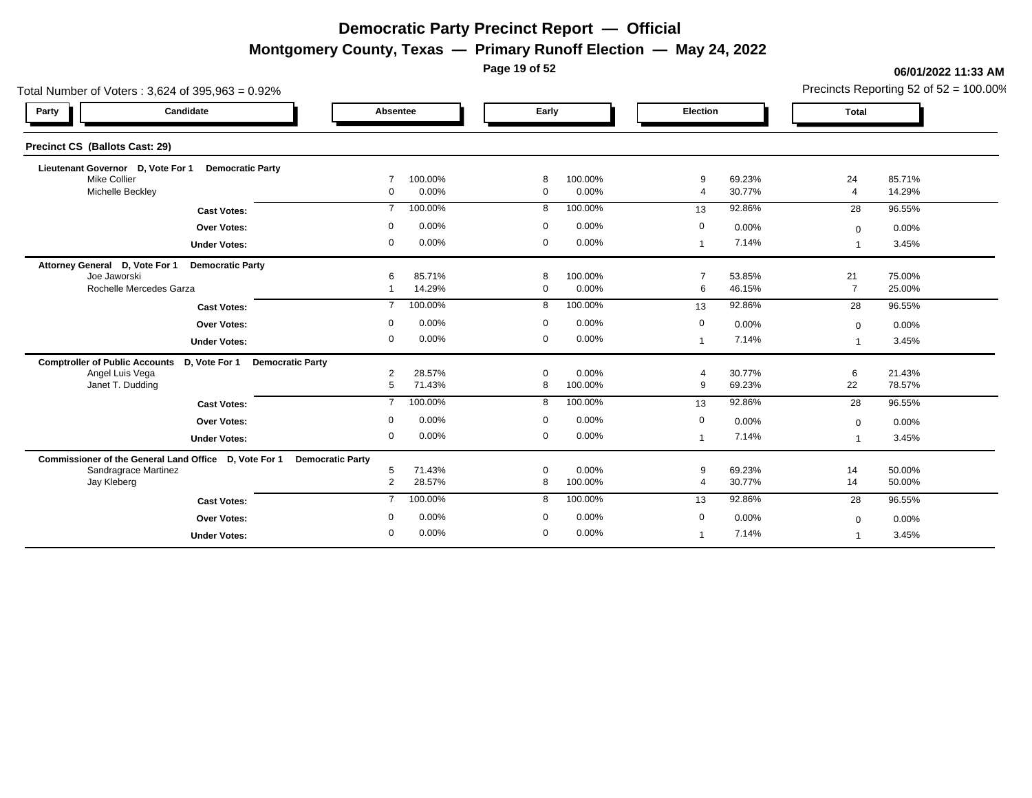**Montgomery County, Texas — Primary Runoff Election — May 24, 2022**

**Page 19 of 52**

#### **06/01/2022 11:33 AM**

Precincts Reporting 52 of 52 = 100.00%

| Total Number of Voters: 3,624 of 395,963 = 0.92%                                  |                                                |                                       |                                         | Precincts Reporting 52 of $52 = 100.00\%$ |
|-----------------------------------------------------------------------------------|------------------------------------------------|---------------------------------------|-----------------------------------------|-------------------------------------------|
| Candidate<br>Party                                                                | Absentee                                       | Early                                 | Election                                | <b>Total</b>                              |
| Precinct CS (Ballots Cast: 29)                                                    |                                                |                                       |                                         |                                           |
| Lieutenant Governor D, Vote For 1<br><b>Democratic Party</b>                      |                                                |                                       |                                         |                                           |
| <b>Mike Collier</b><br>Michelle Beckley                                           | 100.00%<br>$\overline{7}$<br>0.00%<br>$\Omega$ | 8<br>100.00%<br>0.00%<br>$\mathbf{0}$ | 69.23%<br>9<br>30.77%<br>$\overline{4}$ | 24<br>85.71%<br>$\overline{4}$<br>14.29%  |
| <b>Cast Votes:</b>                                                                | 100.00%<br>$\overline{7}$                      | 100.00%<br>8                          | 92.86%<br>13                            | 96.55%<br>28                              |
| Over Votes:                                                                       | 0.00%<br>$\mathbf 0$                           | $\mathbf 0$<br>0.00%                  | $\mathbf 0$<br>0.00%                    | 0.00%                                     |
| <b>Under Votes:</b>                                                               | 0.00%<br>$\mathbf 0$                           | 0.00%<br>$\mathbf 0$                  | 7.14%<br>$\overline{1}$                 | $\mathbf 0$<br>3.45%                      |
|                                                                                   |                                                |                                       |                                         |                                           |
| Attorney General D, Vote For 1<br><b>Democratic Party</b><br>Joe Jaworski         | 85.71%<br>6                                    | 8<br>100.00%                          | $\overline{7}$<br>53.85%                | 21<br>75.00%                              |
| Rochelle Mercedes Garza                                                           | 14.29%                                         | $\mathbf 0$<br>0.00%                  | 6<br>46.15%                             | $\overline{7}$<br>25.00%                  |
| <b>Cast Votes:</b>                                                                | 100.00%<br>$\overline{7}$                      | 100.00%<br>8                          | 92.86%<br>13                            | 96.55%<br>28                              |
| Over Votes:                                                                       | 0.00%<br>$\mathbf 0$                           | 0.00%<br>$\mathbf 0$                  | $\mathbf 0$<br>0.00%                    | 0.00%<br>$\mathbf 0$                      |
| <b>Under Votes:</b>                                                               | 0.00%<br>$\mathbf 0$                           | $\mathbf 0$<br>$0.00\%$               | 7.14%<br>-1                             | 3.45%                                     |
| <b>Comptroller of Public Accounts</b><br>D, Vote For 1<br><b>Democratic Party</b> |                                                |                                       |                                         |                                           |
| Angel Luis Vega                                                                   | 28.57%<br>$\overline{2}$                       | 0.00%<br>$\mathbf 0$                  | 30.77%<br>4                             | 6<br>21.43%                               |
| Janet T. Dudding                                                                  | 5<br>71.43%                                    | 8<br>100.00%                          | 69.23%<br>9                             | 22<br>78.57%                              |
| <b>Cast Votes:</b>                                                                | 100.00%<br>$\overline{7}$                      | 100.00%<br>8                          | 92.86%<br>13                            | 96.55%<br>28                              |
| <b>Over Votes:</b>                                                                | 0.00%<br>0                                     | $\mathbf 0$<br>0.00%                  | $\mathbf 0$<br>0.00%                    | 0.00%<br>$\mathbf{0}$                     |
| <b>Under Votes:</b>                                                               | 0.00%<br>0                                     | $\mathbf 0$<br>$0.00\%$               | 7.14%<br>$\overline{1}$                 | 3.45%                                     |
| Commissioner of the General Land Office D, Vote For 1                             | <b>Democratic Party</b>                        |                                       |                                         |                                           |
| Sandragrace Martinez                                                              | 71.43%<br>5                                    | $\mathbf 0$<br>0.00%                  | 69.23%<br>9                             | 50.00%<br>14                              |
| Jay Kleberg                                                                       | 28.57%<br>2                                    | 8<br>100.00%                          | 30.77%<br>$\overline{4}$                | 14<br>50.00%                              |
| <b>Cast Votes:</b>                                                                | 100.00%<br>$\overline{7}$                      | 100.00%<br>8                          | 92.86%<br>13                            | 28<br>96.55%                              |
| <b>Over Votes:</b>                                                                | 0.00%<br>$\mathbf 0$                           | 0.00%<br>$\mathbf{0}$                 | $\mathbf 0$<br>0.00%                    | 0.00%<br>$\mathbf 0$                      |
| <b>Under Votes:</b>                                                               | 0<br>0.00%                                     | $\mathbf 0$<br>$0.00\%$               | 7.14%                                   | 3.45%                                     |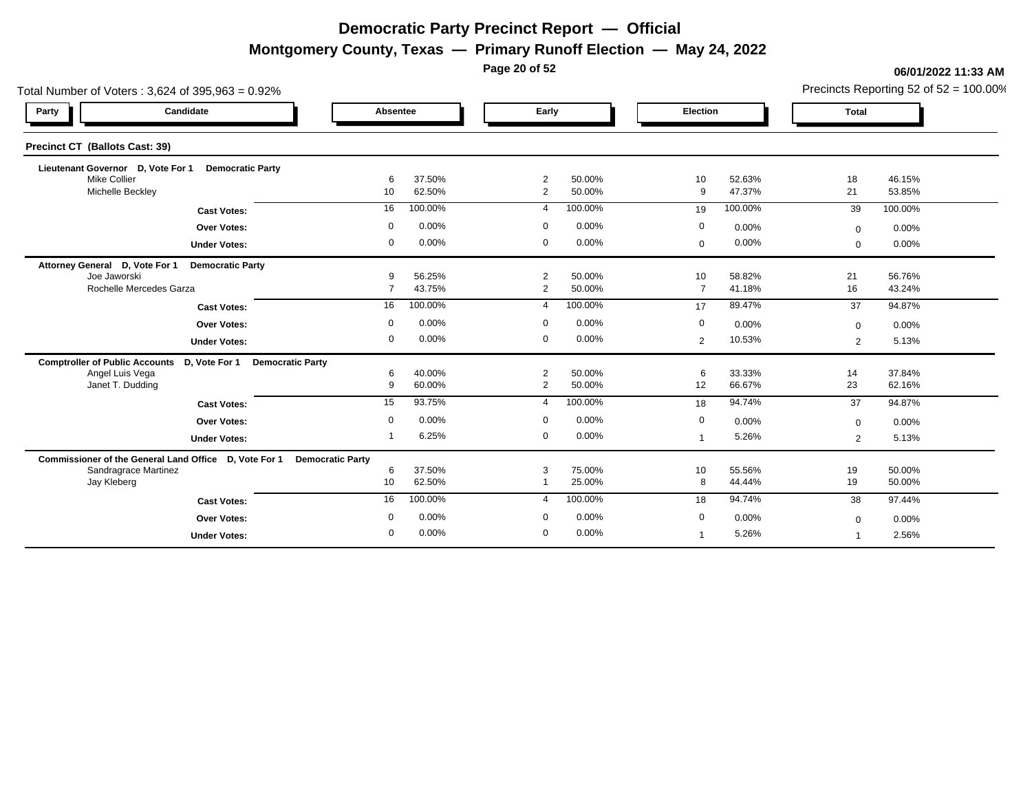**Montgomery County, Texas — Primary Runoff Election — May 24, 2022**

**Page 20 of 52**

| Total Number of Voters: 3,624 of 395,963 = 0.92%                                  |                               |                                         |                                              | Precincts Reporting 52 of $52 = 100.00\%$ |  |  |
|-----------------------------------------------------------------------------------|-------------------------------|-----------------------------------------|----------------------------------------------|-------------------------------------------|--|--|
| Candidate<br>Party                                                                | Absentee                      | Early                                   | Election                                     | <b>Total</b>                              |  |  |
| Precinct CT (Ballots Cast: 39)                                                    |                               |                                         |                                              |                                           |  |  |
| Lieutenant Governor D, Vote For 1 Democratic Party                                |                               |                                         |                                              |                                           |  |  |
| <b>Mike Collier</b><br>Michelle Beckley                                           | 37.50%<br>6<br>10<br>62.50%   | $\overline{2}$<br>50.00%<br>2<br>50.00% | 52.63%<br>10<br>47.37%<br>9                  | 18<br>46.15%<br>53.85%<br>21              |  |  |
|                                                                                   | 100.00%                       | 100.00%                                 | 100.00%                                      |                                           |  |  |
| <b>Cast Votes:</b>                                                                | 16                            | $\overline{4}$                          | 19                                           | 100.00%<br>39                             |  |  |
| <b>Over Votes:</b>                                                                | 0.00%<br>$\Omega$             | 0.00%<br>$\Omega$                       | $\mathbf 0$<br>0.00%                         | 0.00%<br>$\mathbf 0$                      |  |  |
| <b>Under Votes:</b>                                                               | 0.00%<br>$\mathbf 0$          | $\mathbf 0$<br>0.00%                    | 0.00%<br>$\mathbf{0}$                        | 0.00%<br>$\mathbf{0}$                     |  |  |
| Attorney General D, Vote For 1<br><b>Democratic Party</b>                         |                               |                                         |                                              |                                           |  |  |
| Joe Jaworski                                                                      | 56.25%<br>9<br>$\overline{7}$ | $\overline{2}$<br>50.00%                | 10 <sup>10</sup><br>58.82%<br>$\overline{7}$ | 21<br>56.76%                              |  |  |
| Rochelle Mercedes Garza                                                           | 43.75%                        | 2<br>50.00%                             | 41.18%                                       | 16<br>43.24%                              |  |  |
| <b>Cast Votes:</b>                                                                | 100.00%<br>16                 | 100.00%<br>$\overline{4}$               | 89.47%<br>17                                 | 37<br>94.87%                              |  |  |
| <b>Over Votes:</b>                                                                | 0.00%<br>$\Omega$             | 0.00%<br>$\Omega$                       | 0<br>0.00%                                   | 0.00%<br>$\mathbf 0$                      |  |  |
| <b>Under Votes:</b>                                                               | 0.00%<br>$\mathbf 0$          | 0.00%<br>$\mathbf 0$                    | 10.53%<br>2                                  | 5.13%<br>$\overline{2}$                   |  |  |
| <b>Comptroller of Public Accounts</b><br>D, Vote For 1<br><b>Democratic Party</b> |                               |                                         |                                              |                                           |  |  |
| Angel Luis Vega                                                                   | 40.00%<br>6                   | $\overline{2}$<br>50.00%                | 33.33%<br>6                                  | 14<br>37.84%                              |  |  |
| Janet T. Dudding                                                                  | 9<br>60.00%                   | $\overline{2}$<br>50.00%                | 12<br>66.67%                                 | 62.16%<br>23                              |  |  |
| <b>Cast Votes:</b>                                                                | 93.75%<br>15                  | 100.00%<br>$\overline{4}$               | 94.74%<br>18                                 | 94.87%<br>37                              |  |  |
| Over Votes:                                                                       | 0.00%<br>$\Omega$             | $\Omega$<br>0.00%                       | $\mathbf 0$<br>0.00%                         | 0.00%<br>$\mathbf 0$                      |  |  |
| <b>Under Votes:</b>                                                               | 6.25%                         | 0.00%<br>$\mathbf 0$                    | 5.26%<br>$\overline{1}$                      | 5.13%<br>2                                |  |  |
| Commissioner of the General Land Office D, Vote For 1                             | <b>Democratic Party</b>       |                                         |                                              |                                           |  |  |
| Sandragrace Martinez                                                              | 37.50%<br>6                   | 75.00%<br>3                             | 55.56%<br>10                                 | 19<br>50.00%                              |  |  |
| Jay Kleberg                                                                       | 10<br>62.50%                  | 25.00%                                  | 44.44%<br>8                                  | 19<br>50.00%                              |  |  |
| <b>Cast Votes:</b>                                                                | 100.00%<br>16                 | 100.00%<br>$\boldsymbol{\Delta}$        | 94.74%<br>18                                 | 38<br>97.44%                              |  |  |
| <b>Over Votes:</b>                                                                | 0.00%<br>0                    | 0.00%<br>$\mathbf 0$                    | $\mathbf 0$<br>0.00%                         | 0.00%<br>$\mathbf 0$                      |  |  |
| <b>Under Votes:</b>                                                               | 0.00%<br>$\Omega$             | $\overline{0}$<br>0.00%                 | 5.26%<br>$\overline{\mathbf{1}}$             | 2.56%                                     |  |  |
|                                                                                   |                               |                                         |                                              |                                           |  |  |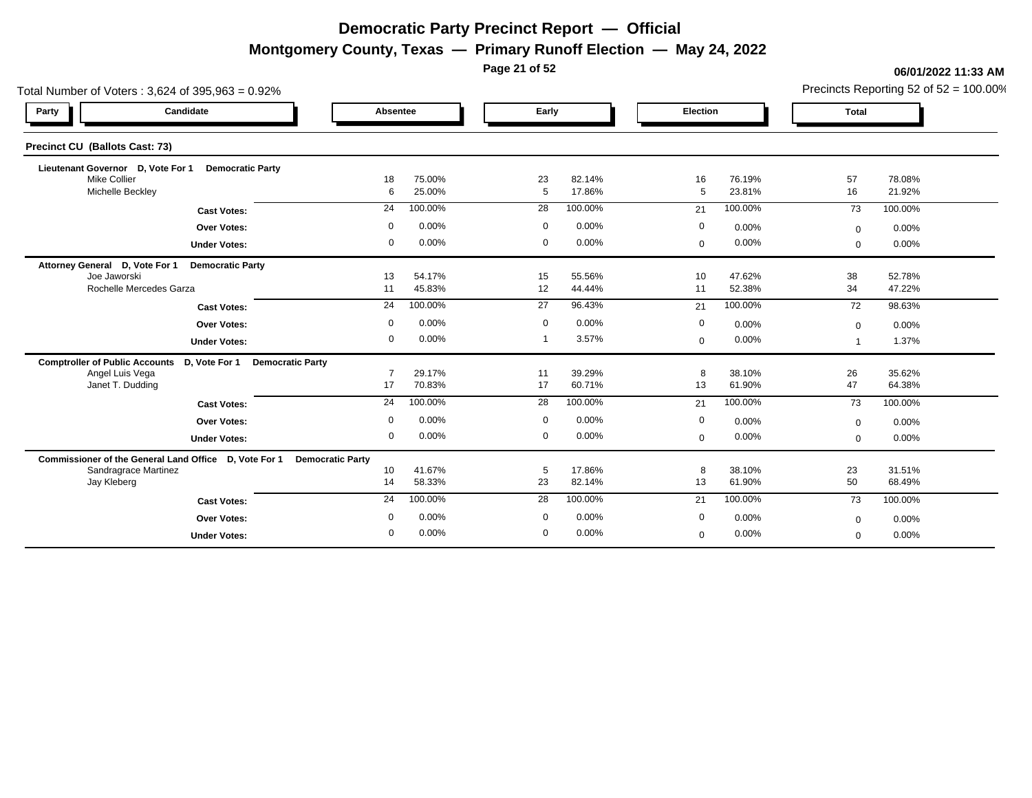**Montgomery County, Texas — Primary Runoff Election — May 24, 2022**

**Page 21 of 52**

| Total Number of Voters: 3,624 of 395,963 = 0.92%                       |                                          |                      |                  |                |                  |              |                  |              | Precincts Reporting 52 of 52 = 100.00% |  |
|------------------------------------------------------------------------|------------------------------------------|----------------------|------------------|----------------|------------------|--------------|------------------|--------------|----------------------------------------|--|
| Party                                                                  | Candidate                                | Absentee             |                  |                | Early            |              | Election         |              | <b>Total</b>                           |  |
| <b>Precinct CU (Ballots Cast: 73)</b>                                  |                                          |                      |                  |                |                  |              |                  |              |                                        |  |
| Lieutenant Governor D, Vote For 1                                      | <b>Democratic Party</b>                  |                      |                  |                |                  |              |                  |              |                                        |  |
| <b>Mike Collier</b><br>Michelle Beckley                                |                                          | 18<br>6              | 75.00%<br>25.00% | 23<br>5        | 82.14%<br>17.86% | 16<br>5      | 76.19%<br>23.81% | 57<br>16     | 78.08%<br>21.92%                       |  |
|                                                                        | <b>Cast Votes:</b>                       | 24                   | 100.00%          | 28             | 100.00%          | 21           | 100.00%          | 73           | 100.00%                                |  |
|                                                                        | <b>Over Votes:</b>                       | $\Omega$             | 0.00%            | $\mathbf 0$    | 0.00%            | 0            | 0.00%            | $\Omega$     | 0.00%                                  |  |
|                                                                        | <b>Under Votes:</b>                      | $\mathbf 0$          | 0.00%            | $\overline{0}$ | 0.00%            | $\mathbf 0$  | 0.00%            | $\mathbf{0}$ | 0.00%                                  |  |
| Attorney General D, Vote For 1                                         | <b>Democratic Party</b>                  |                      |                  |                |                  |              |                  |              |                                        |  |
| Joe Jaworski<br>Rochelle Mercedes Garza                                |                                          | 13<br>11             | 54.17%<br>45.83% | 15<br>12       | 55.56%<br>44.44% | 10<br>11     | 47.62%<br>52.38% | 38<br>34     | 52.78%<br>47.22%                       |  |
|                                                                        | <b>Cast Votes:</b>                       | 24                   | 100.00%          | 27             | 96.43%           | 21           | 100.00%          | 72           | 98.63%                                 |  |
|                                                                        | <b>Over Votes:</b>                       | $\mathbf 0$          | 0.00%            | $\overline{0}$ | 0.00%            | 0            | 0.00%            | $\Omega$     | 0.00%                                  |  |
|                                                                        | <b>Under Votes:</b>                      | 0                    | 0.00%            |                | 3.57%            | $\mathbf 0$  | 0.00%            |              | 1.37%                                  |  |
| <b>Comptroller of Public Accounts</b>                                  | D, Vote For 1<br><b>Democratic Party</b> |                      |                  |                |                  |              |                  |              |                                        |  |
| Angel Luis Vega<br>Janet T. Dudding                                    |                                          | $\overline{7}$<br>17 | 29.17%<br>70.83% | 11<br>17       | 39.29%<br>60.71% | 8<br>13      | 38.10%<br>61.90% | 26<br>47     | 35.62%<br>64.38%                       |  |
|                                                                        | <b>Cast Votes:</b>                       | 24                   | 100.00%          | 28             | 100.00%          | 21           | 100.00%          | 73           | 100.00%                                |  |
|                                                                        | <b>Over Votes:</b>                       | $\mathbf 0$          | 0.00%            | $\mathbf 0$    | 0.00%            | $\mathbf{0}$ | 0.00%            | $\Omega$     | 0.00%                                  |  |
|                                                                        | <b>Under Votes:</b>                      | $\mathbf 0$          | 0.00%            | $\mathbf 0$    | 0.00%            | $\mathbf 0$  | 0.00%            | $\mathbf{0}$ | 0.00%                                  |  |
| Commissioner of the General Land Office D, Vote For 1 Democratic Party |                                          |                      |                  |                |                  |              |                  |              |                                        |  |
| Sandragrace Martinez<br>Jay Kleberg                                    |                                          | 10<br>14             | 41.67%<br>58.33% | 5<br>23        | 17.86%<br>82.14% | 8<br>13      | 38.10%<br>61.90% | 23<br>50     | 31.51%<br>68.49%                       |  |
|                                                                        | <b>Cast Votes:</b>                       | 24                   | 100.00%          | 28             | 100.00%          | 21           | 100.00%          | 73           | 100.00%                                |  |
|                                                                        | <b>Over Votes:</b>                       | $\mathbf 0$          | 0.00%            | $\mathbf 0$    | 0.00%            | $\mathbf 0$  | 0.00%            | $\Omega$     | 0.00%                                  |  |
|                                                                        | <b>Under Votes:</b>                      | $\Omega$             | 0.00%            | $\overline{0}$ | 0.00%            | $\mathbf 0$  | 0.00%            | $\Omega$     | 0.00%                                  |  |
|                                                                        |                                          |                      |                  |                |                  |              |                  |              |                                        |  |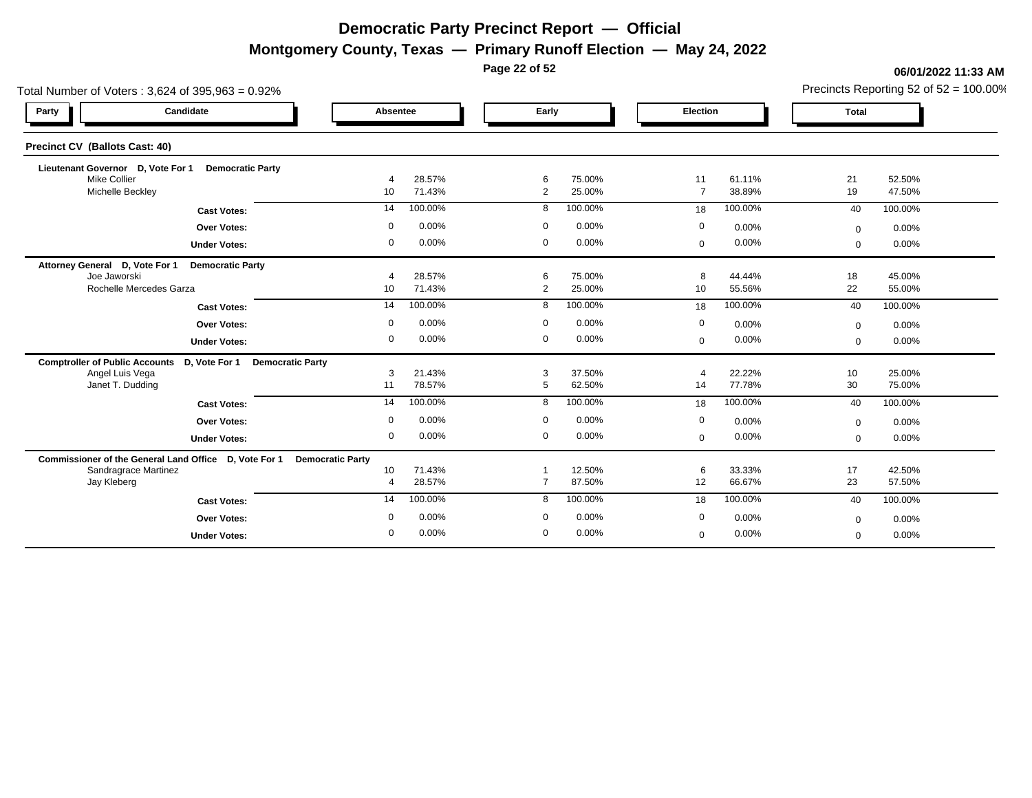**Montgomery County, Texas — Primary Runoff Election — May 24, 2022**

**Page 22 of 52**

|                                         | Total Number of Voters: $3,624$ of $395,963 = 0.92\%$<br>Absentee      |                |                  |                     |                          |  |                      |                  |              |                  |  |  |  |
|-----------------------------------------|------------------------------------------------------------------------|----------------|------------------|---------------------|--------------------------|--|----------------------|------------------|--------------|------------------|--|--|--|
| Party                                   | Candidate                                                              |                |                  |                     | Early                    |  | Election             |                  | <b>Total</b> |                  |  |  |  |
| Precinct CV (Ballots Cast: 40)          |                                                                        |                |                  |                     |                          |  |                      |                  |              |                  |  |  |  |
| Lieutenant Governor D, Vote For 1       | <b>Democratic Party</b>                                                |                |                  |                     |                          |  |                      |                  |              |                  |  |  |  |
| <b>Mike Collier</b><br>Michelle Beckley |                                                                        | 10             | 28.57%<br>71.43% | 6<br>$\overline{2}$ | 75.00%<br>25.00%         |  | 11<br>$\overline{7}$ | 61.11%<br>38.89% | 21<br>19     | 52.50%<br>47.50% |  |  |  |
|                                         | <b>Cast Votes:</b>                                                     | 14             | 100.00%          |                     | 8<br>100.00%             |  | 18                   | 100.00%          | 40           | 100.00%          |  |  |  |
|                                         | <b>Over Votes:</b>                                                     | $\mathbf 0$    | 0.00%            | $\mathbf 0$         | 0.00%                    |  | 0                    | 0.00%            | $\Omega$     | 0.00%            |  |  |  |
|                                         | <b>Under Votes:</b>                                                    | $\mathbf 0$    | 0.00%            |                     | $\mathbf 0$<br>0.00%     |  | $\mathbf 0$          | 0.00%            | $\mathbf 0$  | 0.00%            |  |  |  |
| Attorney General D, Vote For 1          | <b>Democratic Party</b>                                                |                |                  |                     |                          |  |                      |                  |              |                  |  |  |  |
| Joe Jaworski                            |                                                                        |                | 28.57%           | 6                   | 75.00%                   |  | 8                    | 44.44%           | 18           | 45.00%           |  |  |  |
| Rochelle Mercedes Garza                 |                                                                        | 10             | 71.43%           |                     | $\overline{2}$<br>25.00% |  | 10                   | 55.56%           | 22           | 55.00%           |  |  |  |
|                                         | <b>Cast Votes:</b>                                                     | 14             | 100.00%          |                     | 100.00%<br>8             |  | 18                   | 100.00%          | 40           | 100.00%          |  |  |  |
|                                         | <b>Over Votes:</b>                                                     | $\mathbf 0$    | 0.00%            | $\mathbf 0$         | 0.00%                    |  | 0                    | 0.00%            | $\mathbf 0$  | 0.00%            |  |  |  |
|                                         | <b>Under Votes:</b>                                                    | $\mathbf 0$    | 0.00%            | $\mathbf 0$         | 0.00%                    |  | $\Omega$             | 0.00%            | $\Omega$     | 0.00%            |  |  |  |
| <b>Comptroller of Public Accounts</b>   | D, Vote For 1<br><b>Democratic Party</b>                               |                |                  |                     |                          |  |                      |                  |              |                  |  |  |  |
| Angel Luis Vega                         |                                                                        | 3              | 21.43%           | 3                   | 37.50%                   |  | $\mathbf 4$          | 22.22%           | 10           | 25.00%           |  |  |  |
| Janet T. Dudding                        |                                                                        | 11             | 78.57%           |                     | 5<br>62.50%              |  | 14                   | 77.78%           | 30           | 75.00%           |  |  |  |
|                                         | <b>Cast Votes:</b>                                                     | 14             | 100.00%          |                     | 100.00%<br>8             |  | 18                   | 100.00%          | 40           | 100.00%          |  |  |  |
|                                         | <b>Over Votes:</b>                                                     | $\mathbf 0$    | 0.00%            | $\mathbf 0$         | 0.00%                    |  | 0                    | 0.00%            | $\mathbf{0}$ | 0.00%            |  |  |  |
|                                         | <b>Under Votes:</b>                                                    | $\mathbf 0$    | 0.00%            |                     | 0.00%<br>$\mathbf 0$     |  | $\mathbf 0$          | 0.00%            | $\Omega$     | 0.00%            |  |  |  |
|                                         | Commissioner of the General Land Office D, Vote For 1 Democratic Party |                |                  |                     |                          |  |                      |                  |              |                  |  |  |  |
| <b>Sandragrace Martinez</b>             |                                                                        | 10             | 71.43%           |                     | 12.50%                   |  | 6                    | 33.33%           | 17           | 42.50%           |  |  |  |
| Jay Kleberg                             |                                                                        | $\overline{4}$ | 28.57%           | $\overline{7}$      | 87.50%                   |  | 12                   | 66.67%           | 23           | 57.50%           |  |  |  |
|                                         | <b>Cast Votes:</b>                                                     | 14             | 100.00%          |                     | 100.00%<br>8             |  | 18                   | 100.00%          | 40           | 100.00%          |  |  |  |
|                                         | <b>Over Votes:</b>                                                     | $\mathbf 0$    | 0.00%            | $\mathbf 0$         | 0.00%                    |  | 0                    | 0.00%            | $\Omega$     | 0.00%            |  |  |  |
|                                         | <b>Under Votes:</b>                                                    | $\mathbf 0$    | 0.00%            | $\mathbf 0$         | 0.00%                    |  | $\Omega$             | 0.00%            | $\Omega$     | 0.00%            |  |  |  |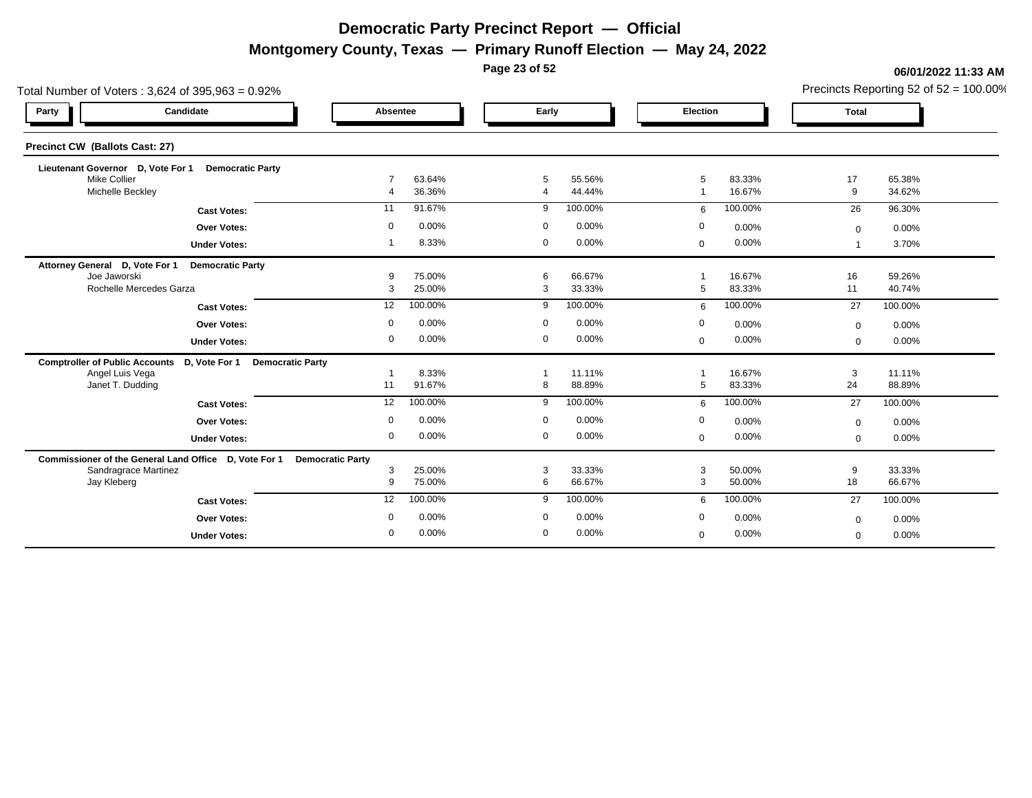**Montgomery County, Texas — Primary Runoff Election — May 24, 2022**

**Page 23 of 52**

| Total Number of Voters: 3,624 of 395,963 = 0.92%         |                                                                        |                            |                   |                            |                  |              |                  |              | Precincts Reporting 52 of 52 = 100.00% |
|----------------------------------------------------------|------------------------------------------------------------------------|----------------------------|-------------------|----------------------------|------------------|--------------|------------------|--------------|----------------------------------------|
| Party                                                    | Candidate                                                              | Absentee<br>Early          |                   |                            | Election         |              | <b>Total</b>     |              |                                        |
| Precinct CW (Ballots Cast: 27)                           |                                                                        |                            |                   |                            |                  |              |                  |              |                                        |
| Lieutenant Governor D, Vote For 1<br><b>Mike Collier</b> | <b>Democratic Party</b>                                                |                            |                   | 5                          |                  | 5            |                  |              |                                        |
| Michelle Beckley                                         |                                                                        | $\overline{4}$             | 63.64%<br>36.36%  | $\overline{4}$             | 55.56%<br>44.44% |              | 83.33%<br>16.67% | 17<br>9      | 65.38%<br>34.62%                       |
|                                                          | <b>Cast Votes:</b>                                                     | 11                         | 91.67%            | 9                          | 100.00%          | 6            | 100.00%          | 26           | 96.30%                                 |
|                                                          | <b>Over Votes:</b>                                                     | $\mathbf 0$                | 0.00%             | $\mathbf 0$                | 0.00%            | 0            | 0.00%            | $\mathbf{0}$ | 0.00%                                  |
|                                                          | <b>Under Votes:</b>                                                    |                            | 8.33%             | $\mathbf 0$                | 0.00%            | $\mathbf 0$  | 0.00%            |              | 3.70%                                  |
| Attorney General D, Vote For 1                           | <b>Democratic Party</b>                                                |                            |                   |                            |                  |              |                  |              |                                        |
| Joe Jaworski<br>Rochelle Mercedes Garza                  |                                                                        | 9<br>3                     | 75.00%<br>25.00%  | 6<br>$\mathbf{3}$          | 66.67%<br>33.33% | 5            | 16.67%<br>83.33% | 16<br>11     | 59.26%<br>40.74%                       |
|                                                          | <b>Cast Votes:</b>                                                     | 12                         | 100.00%           | 9                          | 100.00%          | 6            | 100.00%          | 27           | 100.00%                                |
|                                                          | <b>Over Votes:</b>                                                     | $\mathbf 0$                | 0.00%             | $\Omega$                   | 0.00%            | $\Omega$     | 0.00%            | $\mathbf{0}$ | 0.00%                                  |
|                                                          | <b>Under Votes:</b>                                                    | $\mathbf 0$                | 0.00%             | $\mathbf 0$                | 0.00%            | 0            | 0.00%            | $\mathbf{0}$ | 0.00%                                  |
| <b>Comptroller of Public Accounts</b>                    | D, Vote For 1 Democratic Party                                         |                            |                   |                            |                  |              |                  |              |                                        |
| Angel Luis Vega<br>Janet T. Dudding                      |                                                                        | 11                         | 8.33%<br>91.67%   | 8                          | 11.11%<br>88.89% | 5            | 16.67%<br>83.33% | 3<br>24      | 11.11%<br>88.89%                       |
|                                                          | <b>Cast Votes:</b>                                                     | 12                         | 100.00%           | 9                          | 100.00%          | 6            | 100.00%          | 27           | 100.00%                                |
|                                                          | <b>Over Votes:</b>                                                     | $\mathbf 0$                | 0.00%             | $\mathbf 0$                | 0.00%            | 0            | 0.00%            | $\Omega$     | 0.00%                                  |
|                                                          | <b>Under Votes:</b>                                                    | $\mathbf 0$                | 0.00%             | $\mathbf 0$                | 0.00%            | $\mathbf 0$  | 0.00%            | $\mathbf{0}$ | 0.00%                                  |
|                                                          | Commissioner of the General Land Office D, Vote For 1 Democratic Party |                            |                   |                            |                  |              |                  |              |                                        |
| Sandragrace Martinez                                     |                                                                        | 3                          | 25.00%            | 3                          | 33.33%           | 3            | 50.00%           | 9            | 33.33%                                 |
| Jay Kleberg                                              |                                                                        | 9                          | 75.00%<br>100.00% | 6                          | 66.67%           | 3            | 50.00%           | 18           | 66.67%                                 |
|                                                          | <b>Cast Votes:</b>                                                     | 12                         |                   | 9                          | 100.00%          | 6            | 100.00%          | 27           | 100.00%                                |
|                                                          | <b>Over Votes:</b>                                                     | $\mathbf 0$<br>$\mathbf 0$ | 0.00%             | $\mathbf 0$<br>$\mathbf 0$ | 0.00%<br>0.00%   | $\mathbf{0}$ | 0.00%            | $\Omega$     | 0.00%                                  |
|                                                          | <b>Under Votes:</b>                                                    |                            | 0.00%             |                            |                  | $\mathbf{0}$ | 0.00%            | $\Omega$     | 0.00%                                  |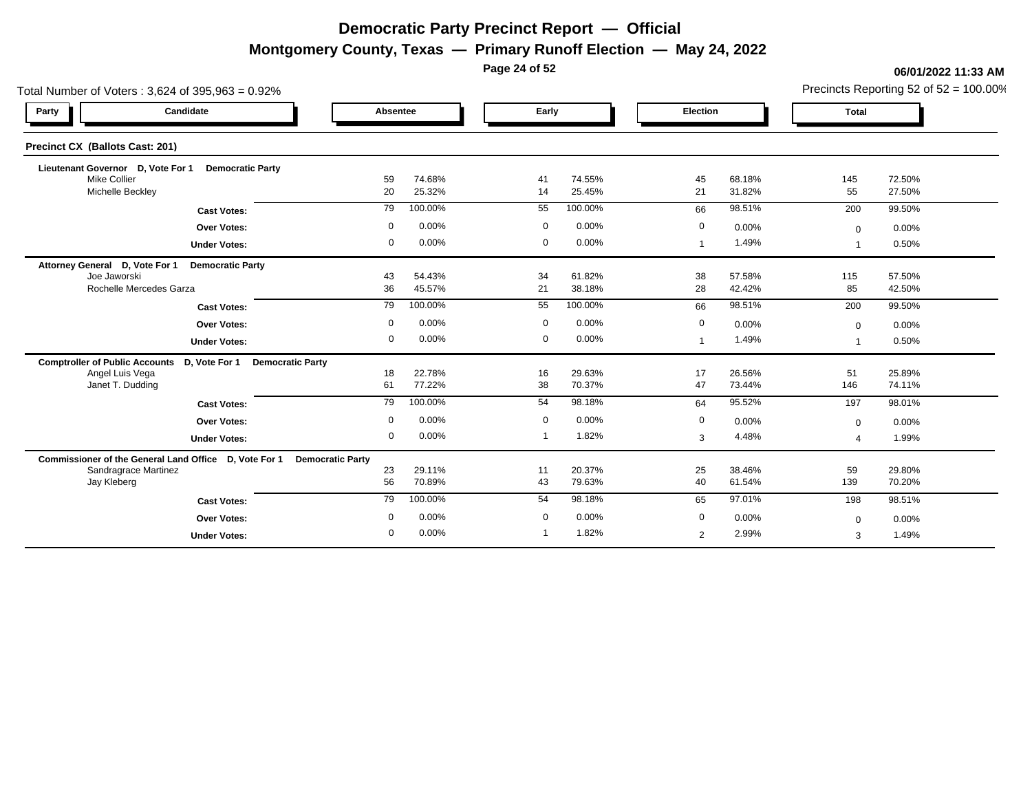**Montgomery County, Texas — Primary Runoff Election — May 24, 2022**

**Page 24 of 52**

| Total Number of Voters: 3,624 of 395,963 = 0.92% |                                                                        |             |                  |          |                         |  |              |                  |              | Precincts Reporting 52 of 52 = 100.00% |  |  |
|--------------------------------------------------|------------------------------------------------------------------------|-------------|------------------|----------|-------------------------|--|--------------|------------------|--------------|----------------------------------------|--|--|
| Party                                            | Candidate                                                              | Absentee    |                  |          | Early                   |  | Election     |                  | <b>Total</b> |                                        |  |  |
| Precinct CX (Ballots Cast: 201)                  |                                                                        |             |                  |          |                         |  |              |                  |              |                                        |  |  |
| Lieutenant Governor D, Vote For 1                | <b>Democratic Party</b>                                                |             |                  |          |                         |  |              |                  |              |                                        |  |  |
| <b>Mike Collier</b><br>Michelle Beckley          |                                                                        | 59<br>20    | 74.68%<br>25.32% | 41<br>14 | 74.55%<br>25.45%        |  | 45<br>21     | 68.18%<br>31.82% | 145<br>55    | 72.50%<br>27.50%                       |  |  |
|                                                  | <b>Cast Votes:</b>                                                     | 79          | 100.00%          |          | 55<br>100.00%           |  | 66           | 98.51%           | 200          | 99.50%                                 |  |  |
|                                                  | <b>Over Votes:</b>                                                     | $\mathbf 0$ | 0.00%            |          | 0.00%<br>$\mathbf 0$    |  | $\mathbf{0}$ | 0.00%            | $\Omega$     | 0.00%                                  |  |  |
|                                                  | <b>Under Votes:</b>                                                    | $\mathbf 0$ | 0.00%            |          | $\mathbf 0$<br>0.00%    |  | $\mathbf 1$  | 1.49%            |              | 0.50%                                  |  |  |
| Attorney General D, Vote For 1                   | <b>Democratic Party</b>                                                |             |                  |          |                         |  |              |                  |              |                                        |  |  |
| Joe Jaworski                                     |                                                                        | 43          | 54.43%           | 34       | 61.82%                  |  | 38           | 57.58%           | 115          | 57.50%                                 |  |  |
| Rochelle Mercedes Garza                          |                                                                        | 36          | 45.57%           | 21       | 38.18%                  |  | 28           | 42.42%           | 85           | 42.50%                                 |  |  |
|                                                  | <b>Cast Votes:</b>                                                     | 79          | 100.00%          | 55       | 100.00%                 |  | 66           | 98.51%           | 200          | 99.50%                                 |  |  |
|                                                  | <b>Over Votes:</b>                                                     | $\mathbf 0$ | 0.00%            |          | $\overline{0}$<br>0.00% |  | $\mathbf 0$  | 0.00%            | $\Omega$     | 0.00%                                  |  |  |
|                                                  | <b>Under Votes:</b>                                                    | $\mathbf 0$ | 0.00%            |          | $\mathbf 0$<br>0.00%    |  |              | 1.49%            |              | 0.50%                                  |  |  |
| <b>Comptroller of Public Accounts</b>            | D, Vote For 1<br><b>Democratic Party</b>                               |             |                  |          |                         |  |              |                  |              |                                        |  |  |
| Angel Luis Vega                                  |                                                                        | 18          | 22.78%           | 16       | 29.63%                  |  | 17           | 26.56%           | 51           | 25.89%                                 |  |  |
| Janet T. Dudding                                 |                                                                        | 61          | 77.22%           | 38       | 70.37%                  |  | 47           | 73.44%           | 146          | 74.11%                                 |  |  |
|                                                  | <b>Cast Votes:</b>                                                     | 79          | 100.00%          |          | 54<br>98.18%            |  | 64           | 95.52%           | 197          | 98.01%                                 |  |  |
|                                                  | <b>Over Votes:</b>                                                     | $\mathbf 0$ | 0.00%            |          | 0.00%<br>$\mathbf 0$    |  | 0            | 0.00%            | $\mathbf 0$  | 0.00%                                  |  |  |
|                                                  | <b>Under Votes:</b>                                                    | 0           | 0.00%            |          | 1.82%                   |  | 3            | 4.48%            | 4            | 1.99%                                  |  |  |
|                                                  | Commissioner of the General Land Office D, Vote For 1 Democratic Party |             |                  |          |                         |  |              |                  |              |                                        |  |  |
| <b>Sandragrace Martinez</b>                      |                                                                        | 23          | 29.11%           | 11       | 20.37%                  |  | 25           | 38.46%           | 59           | 29.80%                                 |  |  |
| Jay Kleberg                                      |                                                                        | 56          | 70.89%           | 43       | 79.63%                  |  | 40           | 61.54%           | 139          | 70.20%                                 |  |  |
|                                                  | <b>Cast Votes:</b>                                                     | 79          | 100.00%          | 54       | 98.18%                  |  | 65           | 97.01%           | 198          | 98.51%                                 |  |  |
|                                                  | <b>Over Votes:</b>                                                     | $\mathbf 0$ | 0.00%            |          | 0.00%<br>$\mathbf 0$    |  | $\Omega$     | 0.00%            | $\mathbf{0}$ | 0.00%                                  |  |  |
|                                                  | <b>Under Votes:</b>                                                    | $\mathbf 0$ | 0.00%            |          | 1.82%<br>$\mathbf 1$    |  | 2            | 2.99%            | 3            | 1.49%                                  |  |  |
|                                                  |                                                                        |             |                  |          |                         |  |              |                  |              |                                        |  |  |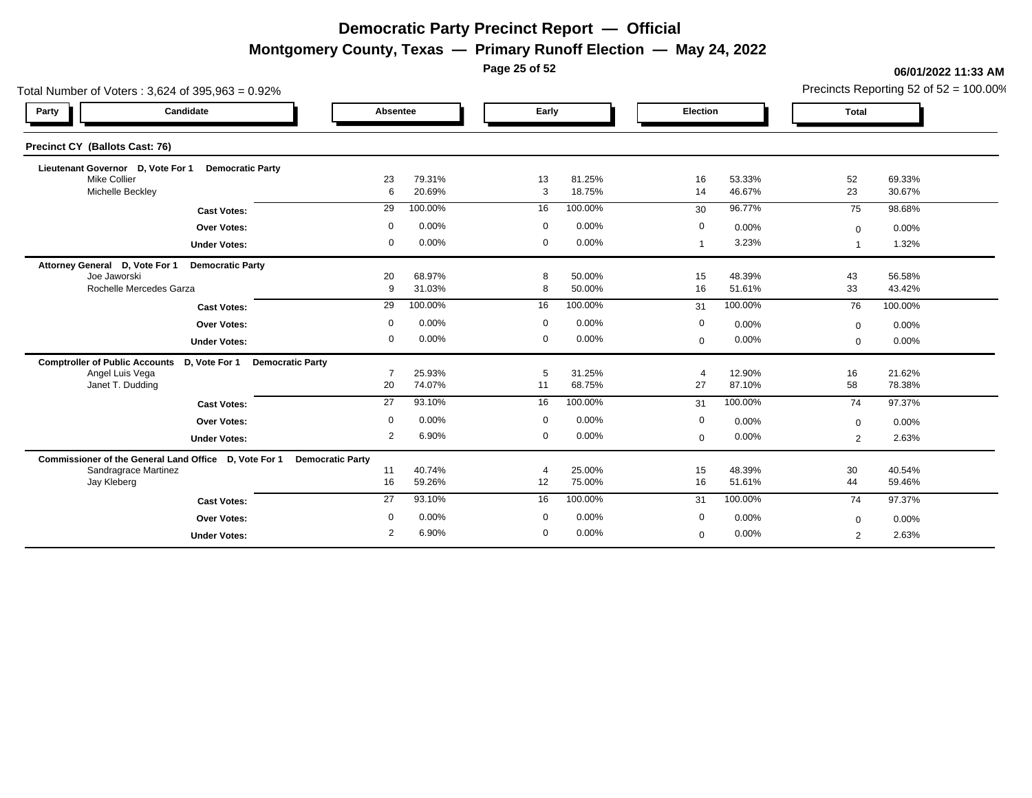**Montgomery County, Texas — Primary Runoff Election — May 24, 2022**

**Page 25 of 52**

| Total Number of Voters: 3,624 of 395,963 = 0.92%                                    |                      |                  |                   |                  |                      |                  |                | Precincts Reporting 52 of 52 = 100.00% |
|-------------------------------------------------------------------------------------|----------------------|------------------|-------------------|------------------|----------------------|------------------|----------------|----------------------------------------|
| Candidate<br>Party                                                                  | Absentee             |                  | Early<br>Election |                  |                      | <b>Total</b>     |                |                                        |
| Precinct CY (Ballots Cast: 76)                                                      |                      |                  |                   |                  |                      |                  |                |                                        |
| Lieutenant Governor D, Vote For 1<br><b>Democratic Party</b><br><b>Mike Collier</b> | 23                   | 79.31%           | 13                | 81.25%           | 16                   | 53.33%           | 52             | 69.33%                                 |
| Michelle Beckley                                                                    | 6                    | 20.69%           | 3                 | 18.75%           | 14                   | 46.67%           | 23             | 30.67%                                 |
| <b>Cast Votes:</b>                                                                  | 29                   | 100.00%          | 16                | 100.00%          | 30                   | 96.77%           | 75             | 98.68%                                 |
| Over Votes:                                                                         | $\Omega$             | 0.00%            | $\mathbf 0$       | 0.00%            | $\mathbf 0$          | 0.00%            | $\mathbf 0$    | 0.00%                                  |
| <b>Under Votes:</b>                                                                 | $\Omega$             | 0.00%            | $\mathbf 0$       | 0.00%            | $\overline{1}$       | 3.23%            | $\overline{ }$ | 1.32%                                  |
| Attorney General D, Vote For 1<br><b>Democratic Party</b>                           |                      |                  |                   |                  |                      |                  |                |                                        |
| Joe Jaworski                                                                        | 20                   | 68.97%           | 8                 | 50.00%           | 15                   | 48.39%           | 43             | 56.58%                                 |
| Rochelle Mercedes Garza                                                             | 9                    | 31.03%           | 8                 | 50.00%           | 16                   | 51.61%           | 33             | 43.42%                                 |
| <b>Cast Votes:</b>                                                                  | 29                   | 100.00%          | 16                | 100.00%          | 31                   | 100.00%          | 76             | 100.00%                                |
| Over Votes:                                                                         | $\Omega$             | 0.00%            | $\mathbf 0$       | 0.00%            | 0                    | 0.00%            | $\Omega$       | 0.00%                                  |
| <b>Under Votes:</b>                                                                 | $\mathbf 0$          | 0.00%            | $\mathbf 0$       | 0.00%            | $\mathbf 0$          | 0.00%            | $\mathbf 0$    | 0.00%                                  |
| <b>Comptroller of Public Accounts</b><br>D, Vote For 1<br><b>Democratic Party</b>   |                      |                  |                   |                  |                      |                  |                |                                        |
| Angel Luis Vega<br>Janet T. Dudding                                                 | $\overline{7}$<br>20 | 25.93%<br>74.07% | 5<br>11           | 31.25%<br>68.75% | $\overline{4}$<br>27 | 12.90%<br>87.10% | 16<br>58       | 21.62%<br>78.38%                       |
|                                                                                     | $\overline{27}$      | 93.10%           |                   | 100.00%          |                      | 100.00%          |                |                                        |
| <b>Cast Votes:</b>                                                                  |                      |                  | 16                |                  | 31                   |                  | 74             | 97.37%                                 |
| <b>Over Votes:</b>                                                                  | $\Omega$             | 0.00%            | $\mathbf 0$       | 0.00%            | $\mathbf 0$          | 0.00%            | $\mathbf 0$    | 0.00%                                  |
| <b>Under Votes:</b>                                                                 | 2                    | 6.90%            | $\mathbf 0$       | 0.00%            | $\mathbf{0}$         | 0.00%            | 2              | 2.63%                                  |
| Commissioner of the General Land Office D, Vote For 1<br><b>Democratic Party</b>    |                      |                  |                   |                  |                      |                  |                |                                        |
| Sandragrace Martinez<br>Jay Kleberg                                                 | 11<br>16             | 40.74%<br>59.26% | 12                | 25.00%<br>75.00% | 15<br>16             | 48.39%<br>51.61% | 30<br>44       | 40.54%<br>59.46%                       |
| <b>Cast Votes:</b>                                                                  | 27                   | 93.10%           | 16                | 100.00%          | 31                   | 100.00%          | 74             | 97.37%                                 |
|                                                                                     | $\Omega$             | 0.00%            | $\mathbf 0$       | 0.00%            | $\mathbf 0$          |                  |                |                                        |
| <b>Over Votes:</b>                                                                  | 2                    | 6.90%            | $\mathbf 0$       | 0.00%            |                      | 0.00%<br>0.00%   | $\mathbf 0$    | 0.00%                                  |
| <b>Under Votes:</b>                                                                 |                      |                  |                   |                  | $\overline{0}$       |                  | 2              | 2.63%                                  |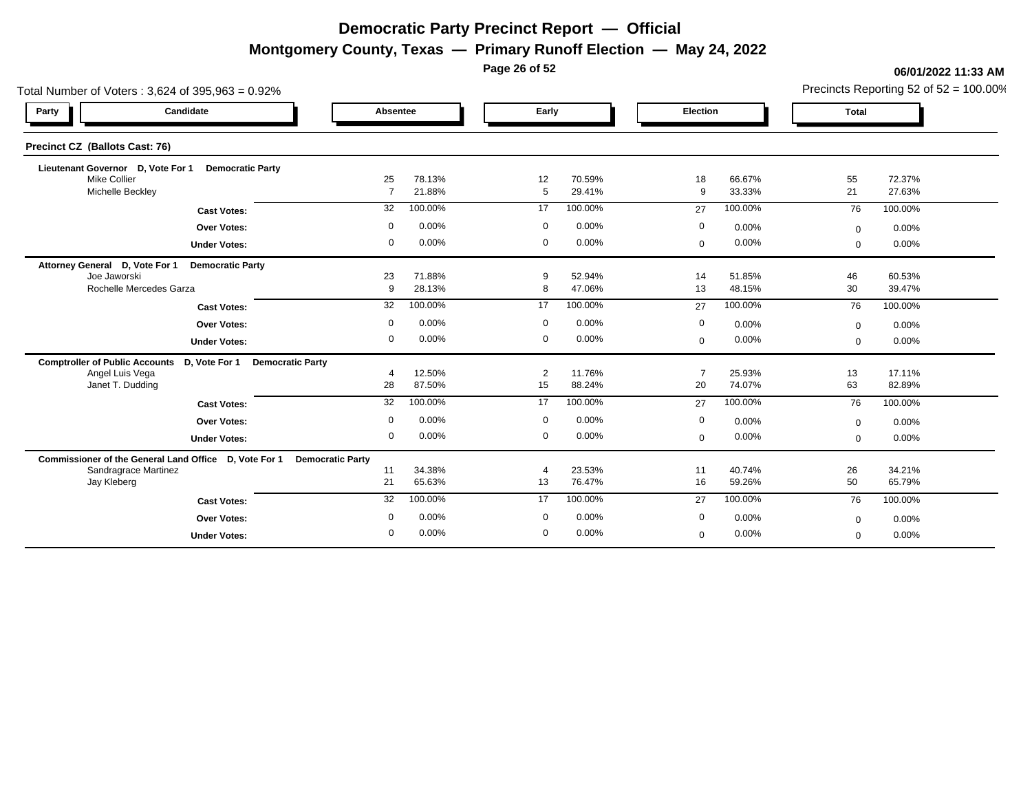**Montgomery County, Texas — Primary Runoff Election — May 24, 2022**

**Page 26 of 52**

| Total Number of Voters: 3,624 of 395,963 = 0.92%                                  |                      |                  |                      |                  |             |                  |                | Precincts Reporting 52 of $52 = 100.00\%$ |
|-----------------------------------------------------------------------------------|----------------------|------------------|----------------------|------------------|-------------|------------------|----------------|-------------------------------------------|
| Candidate<br>Party                                                                | Absentee             |                  | Early                |                  | Election    |                  | <b>Total</b>   |                                           |
| Precinct CZ (Ballots Cast: 76)                                                    |                      |                  |                      |                  |             |                  |                |                                           |
| Lieutenant Governor D, Vote For 1<br><b>Democratic Party</b><br>Mike Collier      | 25                   | 78.13%           | 12                   | 70.59%           | 18          | 66.67%           | 55             | 72.37%                                    |
| Michelle Beckley                                                                  | $\overline{7}$       | 21.88%           | 5                    | 29.41%           | 9           | 33.33%           | 21             | 27.63%                                    |
| <b>Cast Votes:</b>                                                                | 32                   | 100.00%          | 17                   | 100.00%          | 27          | 100.00%          | 76             | 100.00%                                   |
| <b>Over Votes:</b>                                                                | $\Omega$             | 0.00%            | $\Omega$             | 0.00%            | 0           | 0.00%            | $\mathbf 0$    | 0.00%                                     |
| <b>Under Votes:</b>                                                               | $\Omega$             | 0.00%            | $\mathbf 0$          | 0.00%            | $\mathbf 0$ | 0.00%            | $\mathbf 0$    | 0.00%                                     |
| Attorney General D, Vote For 1<br><b>Democratic Party</b>                         |                      |                  |                      |                  |             |                  |                |                                           |
| Joe Jaworski                                                                      | 23                   | 71.88%           | $\mathbf{Q}$         | 52.94%           | 14          | 51.85%           | 46             | 60.53%                                    |
| Rochelle Mercedes Garza                                                           | 9                    | 28.13%           | 8                    | 47.06%           | 13          | 48.15%           | 30             | 39.47%                                    |
| <b>Cast Votes:</b>                                                                | 32                   | 100.00%          | 17                   | 100.00%          | 27          | 100.00%          | 76             | 100.00%                                   |
| <b>Over Votes:</b>                                                                | $\Omega$             | 0.00%            | $\mathbf 0$          | 0.00%            | $\mathbf 0$ | 0.00%            | $\mathbf 0$    | 0.00%                                     |
| <b>Under Votes:</b>                                                               | $\Omega$             | 0.00%            | $\mathbf 0$          | 0.00%            | $\mathbf 0$ | 0.00%            | $\overline{0}$ | 0.00%                                     |
| <b>Comptroller of Public Accounts</b><br>D, Vote For 1<br><b>Democratic Party</b> |                      |                  |                      |                  |             |                  |                |                                           |
| Angel Luis Vega<br>Janet T. Dudding                                               | $\overline{4}$<br>28 | 12.50%<br>87.50% | $\overline{2}$<br>15 | 11.76%<br>88.24% | 7<br>20     | 25.93%<br>74.07% | 13<br>63       | 17.11%<br>82.89%                          |
| <b>Cast Votes:</b>                                                                | $\overline{32}$      | 100.00%          | 17                   | 100.00%          | 27          | 100.00%          | 76             | 100.00%                                   |
| <b>Over Votes:</b>                                                                | $\Omega$             | 0.00%            | $\mathbf 0$          | 0.00%            | $\mathbf 0$ | 0.00%            | $\mathbf 0$    | 0.00%                                     |
| <b>Under Votes:</b>                                                               | $\Omega$             | 0.00%            | $\mathbf 0$          | 0.00%            | $\mathbf 0$ | 0.00%            | $\mathbf 0$    | 0.00%                                     |
| Commissioner of the General Land Office D, Vote For 1<br><b>Democratic Party</b>  |                      |                  |                      |                  |             |                  |                |                                           |
| Sandragrace Martinez                                                              | 11                   | 34.38%           |                      | 23.53%           | 11          | 40.74%           | 26             | 34.21%                                    |
| Jay Kleberg                                                                       | 21                   | 65.63%           | 13                   | 76.47%           | 16          | 59.26%           | 50             | 65.79%                                    |
| <b>Cast Votes:</b>                                                                | 32                   | 100.00%          | 17                   | 100.00%          | 27          | 100.00%          | 76             | 100.00%                                   |
| <b>Over Votes:</b>                                                                | $\Omega$             | 0.00%            | $\mathbf 0$          | 0.00%            | 0           | 0.00%            | $\mathbf 0$    | 0.00%                                     |
| <b>Under Votes:</b>                                                               | $\Omega$             | 0.00%            | $\mathbf{0}$         | 0.00%            | $\mathbf 0$ | 0.00%            | $\Omega$       | 0.00%                                     |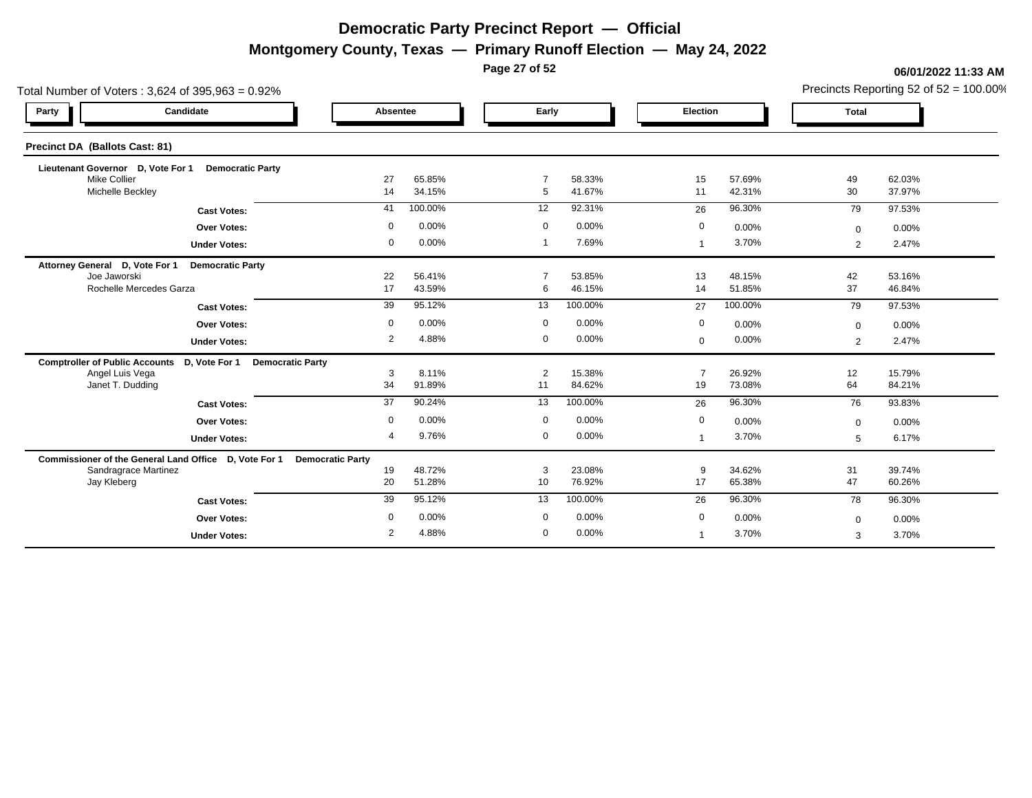**Montgomery County, Texas — Primary Runoff Election — May 24, 2022**

**Page 27 of 52**

|                                       | Total Number of Voters: 3,624 of 395,963 = 0.92%                       |                |                  |                     |                         |              |                  |              | Precincts Reporting 52 of $52 = 100.00\%$ |
|---------------------------------------|------------------------------------------------------------------------|----------------|------------------|---------------------|-------------------------|--------------|------------------|--------------|-------------------------------------------|
| Party                                 | Candidate                                                              | Absentee       |                  |                     | Early                   | Election     |                  | <b>Total</b> |                                           |
| <b>Precinct DA (Ballots Cast: 81)</b> |                                                                        |                |                  |                     |                         |              |                  |              |                                           |
|                                       | Lieutenant Governor D, Vote For 1<br><b>Democratic Party</b>           |                |                  |                     |                         |              |                  |              |                                           |
| <b>Mike Collier</b>                   | Michelle Beckley                                                       | 27<br>14       | 65.85%<br>34.15% | 7                   | 58.33%<br>41.67%<br>5   | 15<br>11     | 57.69%<br>42.31% | 49<br>30     | 62.03%<br>37.97%                          |
|                                       |                                                                        | 41             | 100.00%          | 12                  | 92.31%                  | 26           | 96.30%           | 79           | 97.53%                                    |
|                                       | <b>Cast Votes:</b>                                                     |                |                  |                     |                         |              |                  |              |                                           |
|                                       | <b>Over Votes:</b>                                                     | $\Omega$       | 0.00%            | $\overline{0}$      | 0.00%                   | 0            | 0.00%            | $\Omega$     | 0.00%                                     |
|                                       | <b>Under Votes:</b>                                                    | $\mathbf 0$    | 0.00%            |                     | 7.69%<br>$\overline{1}$ |              | 3.70%            | 2            | 2.47%                                     |
| Attorney General D, Vote For 1        | <b>Democratic Party</b>                                                |                |                  |                     |                         |              |                  |              |                                           |
| Joe Jaworski                          | Rochelle Mercedes Garza                                                | 22<br>17       | 56.41%<br>43.59% | $\overline{7}$<br>6 | 53.85%<br>46.15%        | 13<br>14     | 48.15%<br>51.85% | 42<br>37     | 53.16%<br>46.84%                          |
|                                       |                                                                        |                |                  |                     |                         |              |                  |              |                                           |
|                                       | <b>Cast Votes:</b>                                                     | 39             | 95.12%           | 13                  | 100.00%                 | 27           | 100.00%          | 79           | 97.53%                                    |
|                                       | <b>Over Votes:</b>                                                     | $\mathbf 0$    | 0.00%            | $\mathbf 0$         | 0.00%                   | 0            | 0.00%            | $\mathbf{0}$ | 0.00%                                     |
|                                       | <b>Under Votes:</b>                                                    | 2              | 4.88%            | $\mathbf 0$         | 0.00%                   | $\mathbf{0}$ | 0.00%            | 2            | 2.47%                                     |
|                                       | Comptroller of Public Accounts D, Vote For 1 Democratic Party          |                |                  |                     |                         |              |                  |              |                                           |
|                                       | Angel Luis Vega                                                        | 3              | 8.11%            | $\overline{2}$      | 15.38%                  |              | 26.92%           | 12           | 15.79%                                    |
|                                       | Janet T. Dudding                                                       | 34             | 91.89%           | 11                  | 84.62%                  | 19           | 73.08%           | 64           | 84.21%                                    |
|                                       | <b>Cast Votes:</b>                                                     | 37             | 90.24%           | 13                  | 100.00%                 | 26           | 96.30%           | 76           | 93.83%                                    |
|                                       | <b>Over Votes:</b>                                                     | $\mathbf 0$    | 0.00%            | $\mathbf 0$         | 0.00%                   | 0            | 0.00%            | $\mathbf{0}$ | 0.00%                                     |
|                                       | <b>Under Votes:</b>                                                    | $\overline{4}$ | 9.76%            |                     | 0.00%<br>$\mathbf 0$    |              | 3.70%            | 5            | 6.17%                                     |
|                                       | Commissioner of the General Land Office D, Vote For 1 Democratic Party |                |                  |                     |                         |              |                  |              |                                           |
|                                       | <b>Sandragrace Martinez</b>                                            | 19             | 48.72%           | 3                   | 23.08%                  | 9            | 34.62%           | 31           | 39.74%                                    |
| Jay Kleberg                           |                                                                        | 20             | 51.28%           | 10                  | 76.92%                  | 17           | 65.38%           | 47           | 60.26%                                    |
|                                       | <b>Cast Votes:</b>                                                     | 39             | 95.12%           | 13                  | 100.00%                 | 26           | 96.30%           | 78           | 96.30%                                    |
|                                       | <b>Over Votes:</b>                                                     | $\mathbf 0$    | 0.00%            | $\mathbf 0$         | 0.00%                   | 0            | 0.00%            | $\mathbf{0}$ | 0.00%                                     |
|                                       | <b>Under Votes:</b>                                                    | 2              | 4.88%            | $\mathbf 0$         | 0.00%                   |              | 3.70%            | 3            | 3.70%                                     |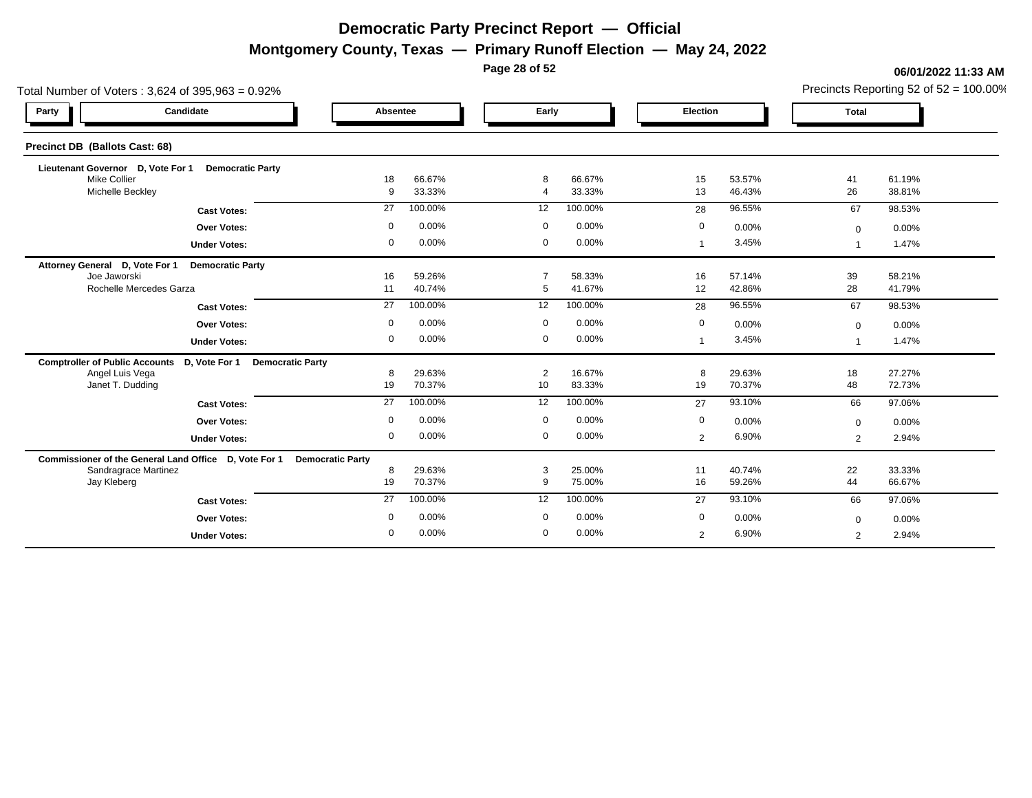**Montgomery County, Texas — Primary Runoff Election — May 24, 2022**

**Page 28 of 52**

| Total Number of Voters: 3,624 of 395,963 = 0.92%                                 |              |                  |                             |                  |             |                  |              | Precincts Reporting 52 of $52 = 100.00\%$ |
|----------------------------------------------------------------------------------|--------------|------------------|-----------------------------|------------------|-------------|------------------|--------------|-------------------------------------------|
| Candidate<br>Party                                                               | Absentee     |                  | Early                       |                  | Election    |                  | <b>Total</b> |                                           |
| Precinct DB (Ballots Cast: 68)                                                   |              |                  |                             |                  |             |                  |              |                                           |
| Lieutenant Governor D, Vote For 1<br><b>Democratic Party</b>                     |              |                  |                             |                  |             |                  |              |                                           |
| <b>Mike Collier</b><br>Michelle Beckley                                          | 18<br>9      | 66.67%<br>33.33% | 8<br>$\boldsymbol{\Lambda}$ | 66.67%<br>33.33% | 15<br>13    | 53.57%<br>46.43% | 41<br>26     | 61.19%<br>38.81%                          |
| <b>Cast Votes:</b>                                                               | 27           | 100.00%          | 12                          | 100.00%          | 28          | 96.55%           | 67           | 98.53%                                    |
| <b>Over Votes:</b>                                                               | $\mathbf 0$  | 0.00%            | $\mathbf 0$                 | 0.00%            | 0           | 0.00%            | $\Omega$     | 0.00%                                     |
| <b>Under Votes:</b>                                                              | $\mathbf 0$  | 0.00%            | $\mathbf 0$                 | 0.00%            |             | 3.45%            |              | 1.47%                                     |
| <b>Democratic Party</b><br>Attorney General D, Vote For 1                        |              |                  |                             |                  |             |                  |              |                                           |
| Joe Jaworski<br>Rochelle Mercedes Garza                                          | 16<br>11     | 59.26%<br>40.74% | $\overline{7}$<br>5         | 58.33%<br>41.67% | 16<br>12    | 57.14%<br>42.86% | 39<br>28     | 58.21%<br>41.79%                          |
|                                                                                  | 27           | 100.00%          | 12                          | 100.00%          | 28          | 96.55%           | 67           | 98.53%                                    |
| <b>Cast Votes:</b>                                                               | $\mathbf 0$  | 0.00%            | $\mathbf 0$                 |                  |             |                  |              |                                           |
| <b>Over Votes:</b>                                                               | $\mathbf 0$  | 0.00%            | $\mathbf 0$                 | 0.00%<br>0.00%   | $\mathbf 0$ | 0.00%<br>3.45%   | $\mathbf 0$  | 0.00%                                     |
| <b>Under Votes:</b>                                                              |              |                  |                             |                  |             |                  |              | 1.47%                                     |
| Comptroller of Public Accounts D, Vote For 1 Democratic Party<br>Angel Luis Vega | 8            | 29.63%           | $\overline{2}$              | 16.67%           | 8           | 29.63%           | 18           | 27.27%                                    |
| Janet T. Dudding                                                                 | 19           | 70.37%           | 10                          | 83.33%           | 19          | 70.37%           | 48           | 72.73%                                    |
| <b>Cast Votes:</b>                                                               | 27           | 100.00%          | 12                          | 100.00%          | 27          | 93.10%           | 66           | 97.06%                                    |
| <b>Over Votes:</b>                                                               | $\mathbf 0$  | 0.00%            | $\mathbf 0$                 | 0.00%            | $\mathbf 0$ | 0.00%            | $\mathbf 0$  | 0.00%                                     |
| <b>Under Votes:</b>                                                              | $\mathbf 0$  | 0.00%            | $\mathbf 0$                 | 0.00%            | 2           | 6.90%            | 2            | 2.94%                                     |
| Commissioner of the General Land Office D, Vote For 1 Democratic Party           |              |                  |                             |                  |             |                  |              |                                           |
| Sandragrace Martinez                                                             | 8            | 29.63%           | 3                           | 25.00%           | 11          | 40.74%           | 22           | 33.33%                                    |
| Jay Kleberg                                                                      | 19           | 70.37%           | 9                           | 75.00%           | 16          | 59.26%           | 44           | 66.67%                                    |
| <b>Cast Votes:</b>                                                               | 27           | 100.00%          | 12                          | 100.00%          | 27          | 93.10%           | 66           | 97.06%                                    |
| <b>Over Votes:</b>                                                               | $\mathbf 0$  | 0.00%            | $\mathbf 0$                 | 0.00%            | 0           | 0.00%            | $\mathbf{0}$ | 0.00%                                     |
| <b>Under Votes:</b>                                                              | $\mathbf{0}$ | 0.00%            | $\mathbf 0$                 | 0.00%            | 2           | 6.90%            | 2            | 2.94%                                     |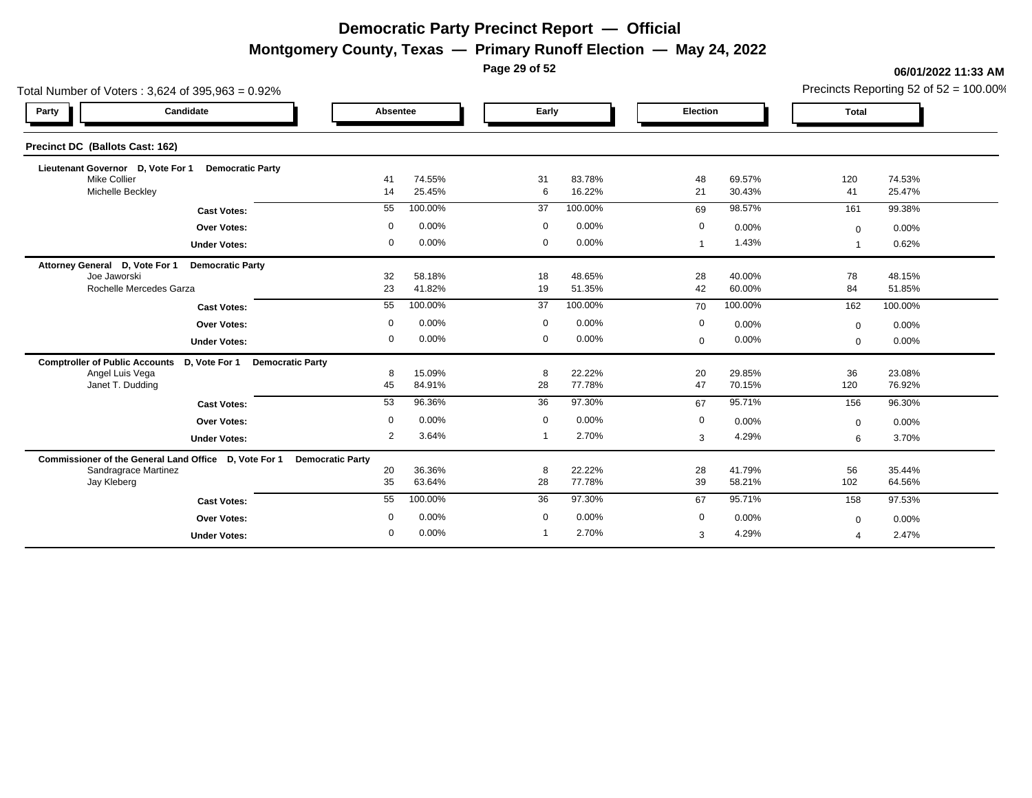**Montgomery County, Texas — Primary Runoff Election — May 24, 2022**

**Page 29 of 52**

| Total Number of Voters: 3,624 of 395,963 = 0.92%                                    |                |         |                |         |                |          |                | Precincts Reporting 52 of $52 = 100.00\%$ |
|-------------------------------------------------------------------------------------|----------------|---------|----------------|---------|----------------|----------|----------------|-------------------------------------------|
| Candidate<br>Party                                                                  | Absentee       |         | Early          |         |                | Election |                |                                           |
| Precinct DC (Ballots Cast: 162)                                                     |                |         |                |         |                |          |                |                                           |
| Lieutenant Governor D, Vote For 1<br><b>Democratic Party</b><br><b>Mike Collier</b> | 41             | 74.55%  | 31             | 83.78%  | 48             | 69.57%   | 120            | 74.53%                                    |
| Michelle Beckley                                                                    | 14             | 25.45%  | 6              | 16.22%  | 21             | 30.43%   | 41             | 25.47%                                    |
| <b>Cast Votes:</b>                                                                  | 55             | 100.00% | 37             | 100.00% | 69             | 98.57%   | 161            | 99.38%                                    |
| <b>Over Votes:</b>                                                                  | $\Omega$       | 0.00%   | $\mathbf 0$    | 0.00%   | $\mathbf 0$    | 0.00%    | $\mathbf 0$    | 0.00%                                     |
| <b>Under Votes:</b>                                                                 | $\mathbf 0$    | 0.00%   | $\mathbf 0$    | 0.00%   | $\overline{1}$ | 1.43%    |                | 0.62%                                     |
| Attorney General D, Vote For 1<br><b>Democratic Party</b>                           |                |         |                |         |                |          |                |                                           |
| Joe Jaworski                                                                        | 32             | 58.18%  | 18             | 48.65%  | 28             | 40.00%   | 78             | 48.15%                                    |
| Rochelle Mercedes Garza                                                             | 23             | 41.82%  | 19             | 51.35%  | 42             | 60.00%   | 84             | 51.85%                                    |
| <b>Cast Votes:</b>                                                                  | 55             | 100.00% | 37             | 100.00% | 70             | 100.00%  | 162            | 100.00%                                   |
| Over Votes:                                                                         | $\Omega$       | 0.00%   | $\mathbf 0$    | 0.00%   | 0              | 0.00%    | $\Omega$       | 0.00%                                     |
| <b>Under Votes:</b>                                                                 | $\mathbf 0$    | 0.00%   | $\mathbf 0$    | 0.00%   | $\overline{0}$ | 0.00%    | $\mathbf 0$    | 0.00%                                     |
| <b>Comptroller of Public Accounts</b><br>D, Vote For 1<br><b>Democratic Party</b>   |                |         |                |         |                |          |                |                                           |
| Angel Luis Vega                                                                     | 8              | 15.09%  | 8              | 22.22%  | 20             | 29.85%   | 36             | 23.08%                                    |
| Janet T. Dudding                                                                    | 45             | 84.91%  | 28             | 77.78%  | 47             | 70.15%   | 120            | 76.92%                                    |
| <b>Cast Votes:</b>                                                                  | 53             | 96.36%  | 36             | 97.30%  | 67             | 95.71%   | 156            | 96.30%                                    |
| <b>Over Votes:</b>                                                                  | $\Omega$       | 0.00%   | $\mathbf 0$    | 0.00%   | $\mathbf 0$    | 0.00%    | $\mathbf 0$    | 0.00%                                     |
| <b>Under Votes:</b>                                                                 | $\overline{2}$ | 3.64%   |                | 2.70%   | 3              | 4.29%    | 6              | 3.70%                                     |
| Commissioner of the General Land Office D, Vote For 1<br><b>Democratic Party</b>    |                |         |                |         |                |          |                |                                           |
| Sandragrace Martinez                                                                | 20             | 36.36%  | 8              | 22.22%  | 28             | 41.79%   | 56             | 35.44%                                    |
| Jay Kleberg                                                                         | 35             | 63.64%  | 28             | 77.78%  | 39             | 58.21%   | 102            | 64.56%                                    |
| <b>Cast Votes:</b>                                                                  | 55             | 100.00% | 36             | 97.30%  | 67             | 95.71%   | 158            | 97.53%                                    |
| Over Votes:                                                                         | $\Omega$       | 0.00%   | $\mathbf 0$    | 0.00%   | 0              | 0.00%    | $\mathbf 0$    | 0.00%                                     |
| <b>Under Votes:</b>                                                                 | $\Omega$       | 0.00%   | $\overline{1}$ | 2.70%   | 3              | 4.29%    | $\overline{4}$ | 2.47%                                     |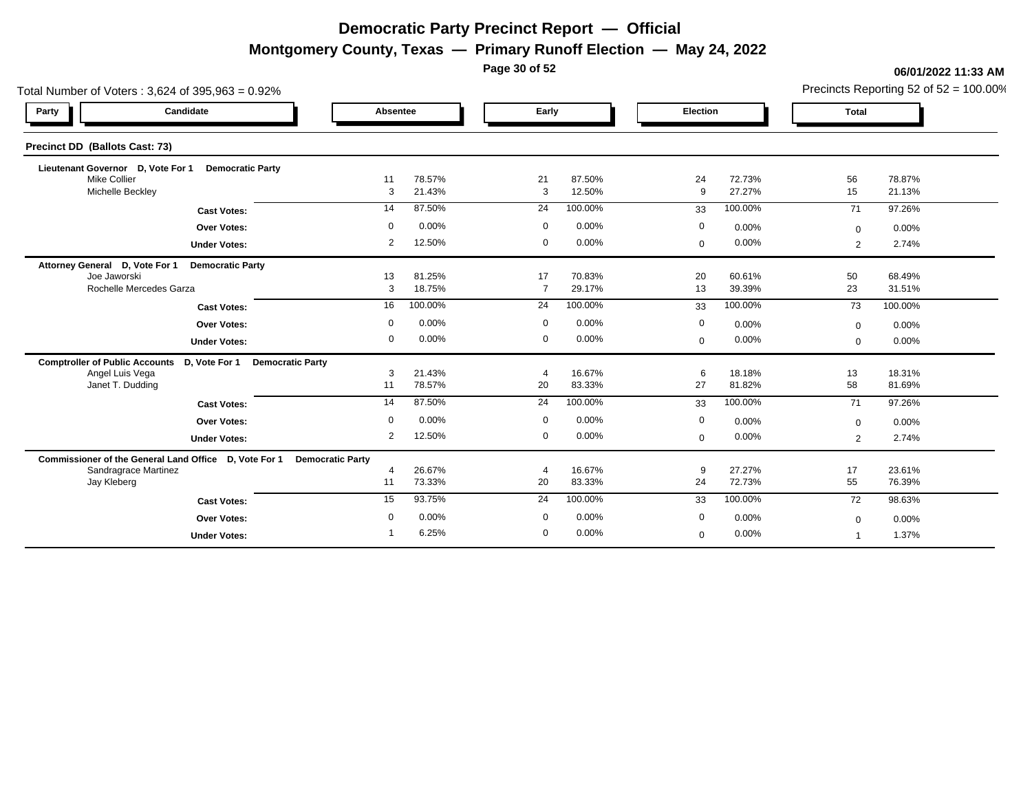**Montgomery County, Texas — Primary Runoff Election — May 24, 2022**

**Page 30 of 52**

| Total Number of Voters: 3,624 of 395,963 = 0.92%                                 |                |                  |                      |                  |              |                  |                            | Precincts Reporting 52 of $52 = 100.00\%$ |
|----------------------------------------------------------------------------------|----------------|------------------|----------------------|------------------|--------------|------------------|----------------------------|-------------------------------------------|
| Candidate<br>Party                                                               | Absentee       |                  | Early                |                  | Election     |                  | <b>Total</b>               |                                           |
| Precinct DD (Ballots Cast: 73)                                                   |                |                  |                      |                  |              |                  |                            |                                           |
| Lieutenant Governor D, Vote For 1<br><b>Democratic Party</b>                     |                |                  |                      |                  |              |                  |                            |                                           |
| <b>Mike Collier</b><br>Michelle Beckley                                          | 11<br>3        | 78.57%<br>21.43% | 21<br>$\mathbf{3}$   | 87.50%<br>12.50% | 24<br>9      | 72.73%<br>27.27% | 56<br>15                   | 78.87%<br>21.13%                          |
| <b>Cast Votes:</b>                                                               | 14             | 87.50%           | 24                   | 100.00%          | 33           | 100.00%          | 71                         | 97.26%                                    |
| <b>Over Votes:</b>                                                               | $\mathbf 0$    | 0.00%            | $\mathbf 0$          | 0.00%            | 0            | 0.00%            | $\Omega$                   | 0.00%                                     |
| <b>Under Votes:</b>                                                              | $\overline{2}$ | 12.50%           | $\mathbf 0$          | 0.00%            | $\mathbf 0$  | 0.00%            | $\overline{2}$             | 2.74%                                     |
| Attorney General D, Vote For 1<br><b>Democratic Party</b>                        |                |                  |                      |                  |              |                  |                            |                                           |
| Joe Jaworski<br>Rochelle Mercedes Garza                                          | 13<br>3        | 81.25%<br>18.75% | 17<br>$\overline{7}$ | 70.83%<br>29.17% | 20<br>13     | 60.61%<br>39.39% | 50<br>23                   | 68.49%<br>31.51%                          |
|                                                                                  | 16             | 100.00%          | 24                   | 100.00%          | 33           | 100.00%          | 73                         | 100.00%                                   |
| <b>Cast Votes:</b>                                                               | $\mathbf 0$    | 0.00%            | $\mathbf 0$          | 0.00%            | $\mathbf{0}$ | 0.00%            |                            |                                           |
| <b>Over Votes:</b><br><b>Under Votes:</b>                                        | $\mathbf 0$    | 0.00%            | $\mathbf 0$          | 0.00%            | $\mathbf{0}$ | 0.00%            | $\mathbf 0$<br>$\mathbf 0$ | 0.00%<br>0.00%                            |
|                                                                                  |                |                  |                      |                  |              |                  |                            |                                           |
| Comptroller of Public Accounts D, Vote For 1 Democratic Party<br>Angel Luis Vega | 3              | 21.43%           | $\overline{4}$       | 16.67%           | 6            | 18.18%           | 13                         | 18.31%                                    |
| Janet T. Dudding                                                                 | 11             | 78.57%           | 20                   | 83.33%           | 27           | 81.82%           | 58                         | 81.69%                                    |
| <b>Cast Votes:</b>                                                               | 14             | 87.50%           | 24                   | 100.00%          | 33           | 100.00%          | 71                         | 97.26%                                    |
| <b>Over Votes:</b>                                                               | $\mathbf 0$    | 0.00%            | $\mathbf 0$          | 0.00%            | $\mathbf 0$  | 0.00%            | $\mathbf{0}$               | 0.00%                                     |
| <b>Under Votes:</b>                                                              | 2              | 12.50%           | $\mathbf 0$          | 0.00%            | $\mathbf 0$  | 0.00%            | 2                          | 2.74%                                     |
| Commissioner of the General Land Office D, Vote For 1 Democratic Party           |                |                  |                      |                  |              |                  |                            |                                           |
| Sandragrace Martinez                                                             | $\overline{4}$ | 26.67%           | $\overline{4}$       | 16.67%           | -9           | 27.27%           | 17                         | 23.61%                                    |
| Jay Kleberg                                                                      | 11             | 73.33%           | 20                   | 83.33%           | 24           | 72.73%           | 55                         | 76.39%                                    |
| <b>Cast Votes:</b>                                                               | 15             | 93.75%           | 24                   | 100.00%          | 33           | 100.00%          | 72                         | 98.63%                                    |
| <b>Over Votes:</b>                                                               | $\mathbf 0$    | 0.00%            | $\mathbf 0$          | 0.00%            | 0            | 0.00%            | $\mathbf 0$                | 0.00%                                     |
| <b>Under Votes:</b>                                                              |                | 6.25%            | $\mathbf 0$          | 0.00%            | $\Omega$     | 0.00%            |                            | 1.37%                                     |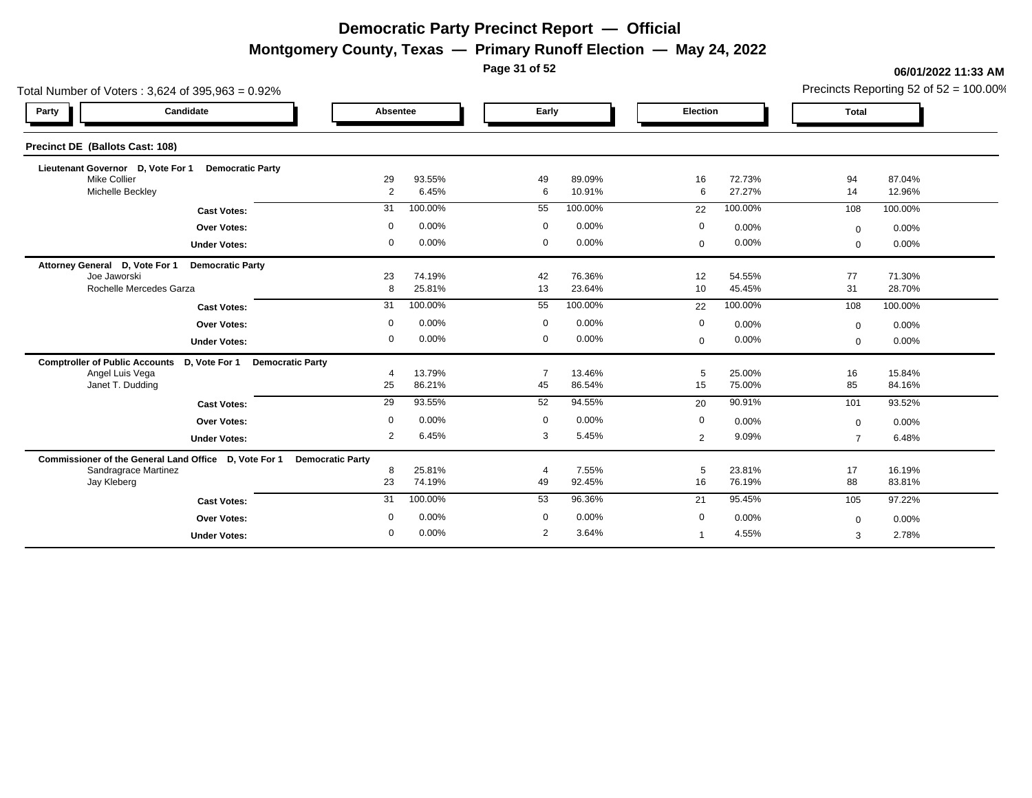**Montgomery County, Texas — Primary Runoff Election — May 24, 2022**

**Page 31 of 52**

| Total Number of Voters: 3,624 of 395,963 = 0.92%                        |                         |                  |                |                  |              |                  |              | Precincts Reporting 52 of 52 = 100.00% |
|-------------------------------------------------------------------------|-------------------------|------------------|----------------|------------------|--------------|------------------|--------------|----------------------------------------|
| Candidate<br>Party                                                      | Absentee                |                  | Early          |                  | Election     |                  | <b>Total</b> |                                        |
| Precinct DE (Ballots Cast: 108)                                         |                         |                  |                |                  |              |                  |              |                                        |
| Lieutenant Governor D, Vote For 1<br><b>Democratic Party</b>            |                         |                  |                |                  |              |                  |              |                                        |
| <b>Mike Collier</b><br>Michelle Beckley                                 | 29<br>2                 | 93.55%<br>6.45%  | 49<br>6        | 89.09%<br>10.91% | 16<br>6      | 72.73%<br>27.27% | 94<br>14     | 87.04%<br>12.96%                       |
| <b>Cast Votes:</b>                                                      | 31                      | 100.00%          | 55             | 100.00%          | 22           | 100.00%          | 108          | 100.00%                                |
|                                                                         | $\mathbf 0$             | 0.00%            | $\mathbf 0$    | 0.00%            | $\mathbf{0}$ |                  |              |                                        |
| <b>Over Votes:</b>                                                      |                         |                  |                |                  |              | 0.00%            | $\Omega$     | 0.00%                                  |
| <b>Under Votes:</b>                                                     | 0                       | 0.00%            | $\mathbf 0$    | 0.00%            | $\mathbf{0}$ | 0.00%            | $\mathbf{0}$ | 0.00%                                  |
| Attorney General D, Vote For 1<br><b>Democratic Party</b>               |                         |                  |                |                  |              |                  |              |                                        |
| Joe Jaworski<br>Rochelle Mercedes Garza                                 | 23<br>8                 | 74.19%<br>25.81% | 42<br>13       | 76.36%<br>23.64% | 12<br>10     | 54.55%<br>45.45% | 77<br>31     | 71.30%<br>28.70%                       |
|                                                                         |                         |                  |                |                  |              |                  |              |                                        |
| <b>Cast Votes:</b>                                                      | 31                      | 100.00%          | 55             | 100.00%          | 22           | 100.00%          | 108          | 100.00%                                |
| <b>Over Votes:</b>                                                      | $\Omega$                | 0.00%            | $\overline{0}$ | 0.00%            | $\mathbf 0$  | 0.00%            | $\Omega$     | 0.00%                                  |
| <b>Under Votes:</b>                                                     | $\mathbf 0$             | 0.00%            | $\mathsf 0$    | 0.00%            | $\mathbf 0$  | 0.00%            | $\mathbf{0}$ | 0.00%                                  |
| <b>Comptroller of Public Accounts</b><br>D, Vote For 1 Democratic Party |                         |                  |                |                  |              |                  |              |                                        |
| Angel Luis Vega                                                         | $\boldsymbol{\Delta}$   | 13.79%           | $\overline{7}$ | 13.46%           | 5            | 25.00%           | 16           | 15.84%                                 |
| Janet T. Dudding                                                        | 25                      | 86.21%           | 45             | 86.54%           | 15           | 75.00%           | 85           | 84.16%                                 |
| <b>Cast Votes:</b>                                                      | 29                      | 93.55%           | 52             | 94.55%           | 20           | 90.91%           | 101          | 93.52%                                 |
| <b>Over Votes:</b>                                                      | $\mathbf 0$             | 0.00%            | $\mathbf 0$    | 0.00%            | $\mathbf{0}$ | 0.00%            | $\Omega$     | 0.00%                                  |
| <b>Under Votes:</b>                                                     | 2                       | 6.45%            | $\mathbf{3}$   | 5.45%            | 2            | 9.09%            |              | 6.48%                                  |
| Commissioner of the General Land Office D, Vote For 1                   | <b>Democratic Party</b> |                  |                |                  |              |                  |              |                                        |
| Sandragrace Martinez                                                    | 8                       | 25.81%           | $\overline{4}$ | 7.55%            | -5           | 23.81%           | 17           | 16.19%                                 |
| Jay Kleberg                                                             | 23                      | 74.19%           | 49             | 92.45%           | 16           | 76.19%           | 88           | 83.81%                                 |
| <b>Cast Votes:</b>                                                      | 31                      | 100.00%          | 53             | 96.36%           | 21           | 95.45%           | 105          | 97.22%                                 |
| <b>Over Votes:</b>                                                      | $\mathbf 0$             | 0.00%            | $\mathbf 0$    | 0.00%            | 0            | 0.00%            | $\Omega$     | 0.00%                                  |
| <b>Under Votes:</b>                                                     | $\mathbf 0$             | 0.00%            | $\overline{2}$ | 3.64%            |              | 4.55%            | 3            | 2.78%                                  |
|                                                                         |                         |                  |                |                  |              |                  |              |                                        |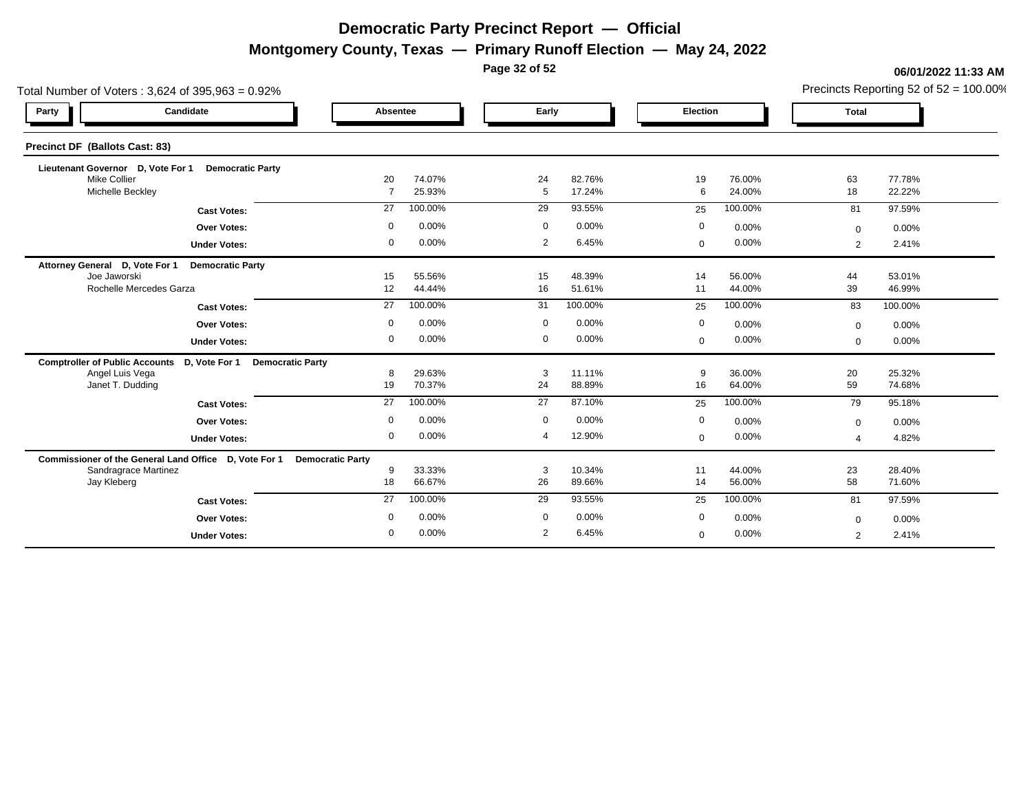**Montgomery County, Texas — Primary Runoff Election — May 24, 2022**

**Page 32 of 52**

| Total Number of Voters: 3,624 of 395,963 = 0.92%         |                                                                        |                      |                  |                 |                  |              |                  |                | Precincts Reporting 52 of 52 = 100.00% |
|----------------------------------------------------------|------------------------------------------------------------------------|----------------------|------------------|-----------------|------------------|--------------|------------------|----------------|----------------------------------------|
| Party                                                    | Candidate                                                              | Absentee             |                  |                 | Early            | Election     |                  | <b>Total</b>   |                                        |
| Precinct DF (Ballots Cast: 83)                           |                                                                        |                      |                  |                 |                  |              |                  |                |                                        |
| Lieutenant Governor D, Vote For 1<br><b>Mike Collier</b> | <b>Democratic Party</b>                                                |                      | 74.07%           |                 | 82.76%           |              | 76.00%           |                | 77.78%                                 |
| Michelle Beckley                                         |                                                                        | 20<br>$\overline{7}$ | 25.93%           | 24<br>5         | 17.24%           | 19<br>6      | 24.00%           | 63<br>18       | 22.22%                                 |
|                                                          | <b>Cast Votes:</b>                                                     | 27                   | 100.00%          | 29              | 93.55%           | 25           | 100.00%          | 81             | 97.59%                                 |
|                                                          | <b>Over Votes:</b>                                                     | $\mathbf 0$          | 0.00%            | $\mathbf 0$     | 0.00%            | $\Omega$     | 0.00%            | $\mathbf{0}$   | 0.00%                                  |
|                                                          | <b>Under Votes:</b>                                                    | $\mathbf 0$          | 0.00%            | $\overline{2}$  | 6.45%            | $\mathbf 0$  | 0.00%            | $\overline{2}$ | 2.41%                                  |
| Attorney General D, Vote For 1                           | <b>Democratic Party</b>                                                |                      |                  |                 |                  |              |                  |                |                                        |
| Joe Jaworski<br>Rochelle Mercedes Garza                  |                                                                        | 15<br>12             | 55.56%<br>44.44% | 15<br>16        | 48.39%<br>51.61% | 14<br>11     | 56.00%<br>44.00% | 44             | 53.01%<br>46.99%                       |
|                                                          |                                                                        |                      |                  |                 |                  |              |                  | 39             |                                        |
|                                                          | <b>Cast Votes:</b>                                                     | 27                   | 100.00%          | 31              | 100.00%          | 25           | 100.00%          | 83             | 100.00%                                |
|                                                          | <b>Over Votes:</b>                                                     | $\Omega$             | 0.00%            | $\mathbf 0$     | 0.00%            | $\mathbf 0$  | 0.00%            | $\Omega$       | 0.00%                                  |
|                                                          | <b>Under Votes:</b>                                                    | $\mathbf 0$          | 0.00%            | $\mathbf 0$     | 0.00%            | $\mathbf 0$  | 0.00%            | $\mathbf{0}$   | 0.00%                                  |
| <b>Comptroller of Public Accounts</b>                    | D, Vote For 1<br><b>Democratic Party</b>                               |                      |                  |                 |                  |              |                  |                |                                        |
| Angel Luis Vega<br>Janet T. Dudding                      |                                                                        | 8<br>19              | 29.63%<br>70.37% | 3<br>24         | 11.11%<br>88.89% | 9<br>16      | 36.00%<br>64.00% | 20<br>59       | 25.32%<br>74.68%                       |
|                                                          | <b>Cast Votes:</b>                                                     | $\overline{27}$      | 100.00%          | $\overline{27}$ | 87.10%           | 25           | 100.00%          | 79             | 95.18%                                 |
|                                                          | <b>Over Votes:</b>                                                     | $\mathbf 0$          | 0.00%            | $\mathbf 0$     | 0.00%            | $\mathbf{0}$ | 0.00%            | $\mathbf{0}$   | 0.00%                                  |
|                                                          | <b>Under Votes:</b>                                                    | 0                    | 0.00%            | $\overline{4}$  | 12.90%           | $\mathbf 0$  | 0.00%            |                | 4.82%                                  |
|                                                          | Commissioner of the General Land Office D, Vote For 1 Democratic Party |                      |                  |                 |                  |              |                  |                |                                        |
| <b>Sandragrace Martinez</b>                              |                                                                        | 9                    | 33.33%           | 3               | 10.34%           | 11           | 44.00%           | 23             | 28.40%                                 |
| Jay Kleberg                                              |                                                                        | 18                   | 66.67%           | 26              | 89.66%           | 14           | 56.00%           | 58             | 71.60%                                 |
|                                                          | <b>Cast Votes:</b>                                                     | 27                   | 100.00%          | 29              | 93.55%           | 25           | 100.00%          | 81             | 97.59%                                 |
|                                                          | <b>Over Votes:</b>                                                     | $\mathbf 0$          | 0.00%            | $\mathbf 0$     | 0.00%            | 0            | 0.00%            | $\mathbf{0}$   | 0.00%                                  |
|                                                          | <b>Under Votes:</b>                                                    | $\mathbf 0$          | 0.00%            | $\overline{2}$  | 6.45%            | 0            | 0.00%            | 2              | 2.41%                                  |
|                                                          |                                                                        |                      |                  |                 |                  |              |                  |                |                                        |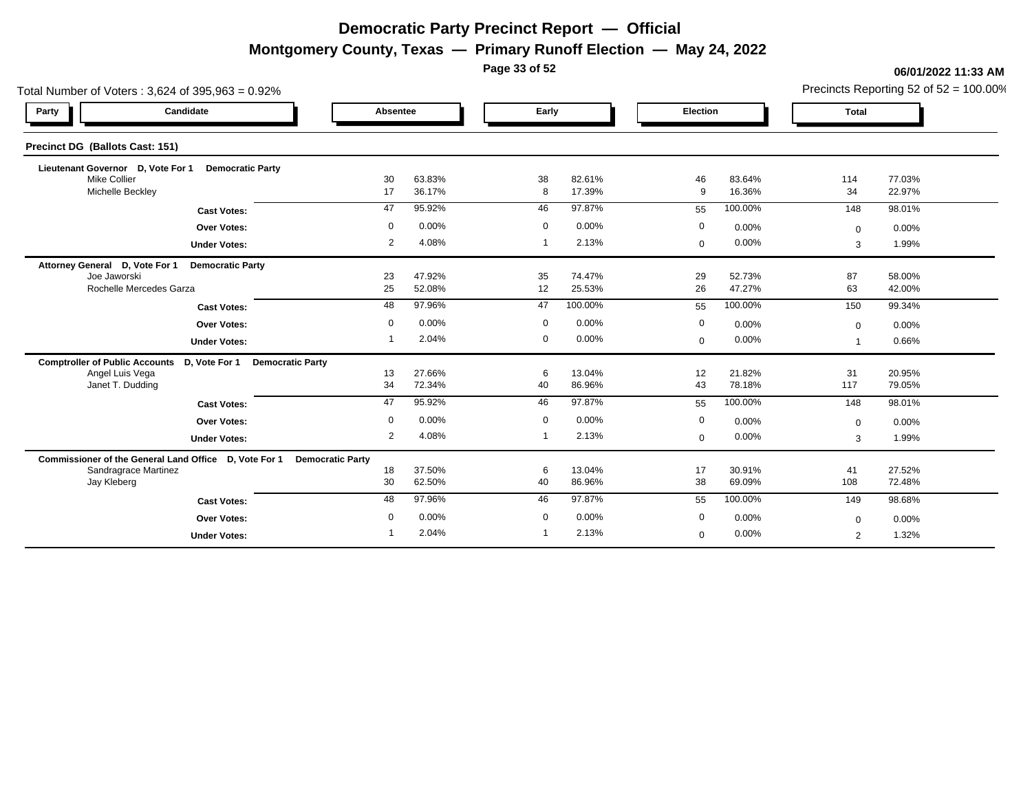**Montgomery County, Texas — Primary Runoff Election — May 24, 2022**

**Page 33 of 52**

| Total Number of Voters: 3,624 of 395,963 = 0.92%                                  |                         |                  |                |                  |              |                  |              | Precincts Reporting 52 of 52 = 100.00% |
|-----------------------------------------------------------------------------------|-------------------------|------------------|----------------|------------------|--------------|------------------|--------------|----------------------------------------|
| Candidate<br>Party                                                                | Absentee                |                  | Early          |                  | Election     |                  | <b>Total</b> |                                        |
| Precinct DG (Ballots Cast: 151)                                                   |                         |                  |                |                  |              |                  |              |                                        |
| Lieutenant Governor D, Vote For 1<br><b>Democratic Party</b>                      |                         |                  |                |                  |              |                  |              | 77.03%                                 |
| <b>Mike Collier</b><br>Michelle Beckley                                           | 30<br>17                | 63.83%<br>36.17% | 38<br>8        | 82.61%<br>17.39% | 46<br>9      | 83.64%<br>16.36% | 114<br>34    | 22.97%                                 |
| <b>Cast Votes:</b>                                                                | 47                      | 95.92%           | 46             | 97.87%           | 55           | 100.00%          | 148          | 98.01%                                 |
| <b>Over Votes:</b>                                                                | $\mathbf 0$             | 0.00%            | $\overline{0}$ | 0.00%            | 0            | 0.00%            | $\Omega$     | 0.00%                                  |
| <b>Under Votes:</b>                                                               | $\overline{2}$          | 4.08%            | $\mathbf 1$    | 2.13%            | $\mathbf 0$  | 0.00%            | 3            | 1.99%                                  |
| Attorney General D, Vote For 1<br><b>Democratic Party</b>                         |                         |                  |                |                  |              |                  |              |                                        |
| Joe Jaworski<br>Rochelle Mercedes Garza                                           | 23<br>25                | 47.92%<br>52.08% | 35<br>12       | 74.47%<br>25.53% | 29<br>26     | 52.73%<br>47.27% | 87<br>63     | 58.00%<br>42.00%                       |
| <b>Cast Votes:</b>                                                                | 48                      | 97.96%           | 47             | 100.00%          | 55           | 100.00%          | 150          | 99.34%                                 |
| <b>Over Votes:</b>                                                                | $\mathbf 0$             | 0.00%            | $\mathbf 0$    | 0.00%            | 0            | 0.00%            | $\mathbf 0$  | 0.00%                                  |
| <b>Under Votes:</b>                                                               |                         | 2.04%            | $\mathbf 0$    | 0.00%            | $\Omega$     | 0.00%            |              | 0.66%                                  |
| <b>Comptroller of Public Accounts</b><br>D. Vote For 1<br><b>Democratic Party</b> |                         |                  |                |                  |              |                  |              |                                        |
| Angel Luis Vega                                                                   | 13                      | 27.66%           | 6              | 13.04%           | 12           | 21.82%           | 31           | 20.95%                                 |
| Janet T. Dudding                                                                  | 34                      | 72.34%           | 40             | 86.96%           | 43           | 78.18%           | 117          | 79.05%                                 |
| <b>Cast Votes:</b>                                                                | 47                      | 95.92%           | 46             | 97.87%           | 55           | 100.00%          | 148          | 98.01%                                 |
| <b>Over Votes:</b>                                                                | $\mathbf 0$             | 0.00%            | $\mathbf 0$    | 0.00%            | 0            | 0.00%            | $\Omega$     | 0.00%                                  |
| <b>Under Votes:</b>                                                               | $\overline{2}$          | 4.08%            | $\mathbf 1$    | 2.13%            | $\mathbf{0}$ | 0.00%            | 3            | 1.99%                                  |
| Commissioner of the General Land Office D, Vote For 1                             | <b>Democratic Party</b> |                  |                |                  |              |                  |              |                                        |
| Sandragrace Martinez<br>Jay Kleberg                                               | 18<br>30                | 37.50%<br>62.50% | 6<br>40        | 13.04%<br>86.96% | 17<br>38     | 30.91%<br>69.09% | 41<br>108    | 27.52%<br>72.48%                       |
| <b>Cast Votes:</b>                                                                | 48                      | 97.96%           | 46             | 97.87%           | 55           | 100.00%          | 149          | 98.68%                                 |
| <b>Over Votes:</b>                                                                | $\mathbf 0$             | 0.00%            | $\mathbf 0$    | 0.00%            | $\mathbf 0$  | 0.00%            | $\mathbf 0$  | 0.00%                                  |
| <b>Under Votes:</b>                                                               |                         | 2.04%            |                | 2.13%            | $\Omega$     | 0.00%            | 2            | 1.32%                                  |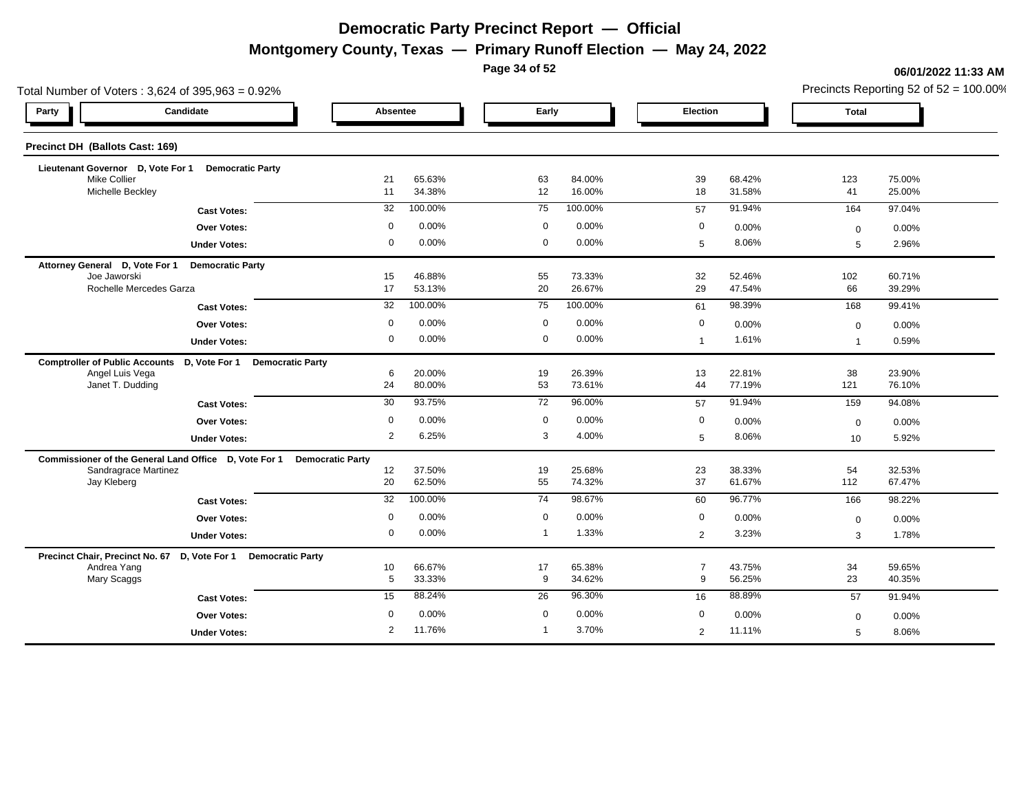**Montgomery County, Texas — Primary Runoff Election — May 24, 2022**

**Under Votes:**

**Page 34 of 52**

**06/01/2022 11:33 AM**

11.11% 8.06% 5

| Total Number of Voters: $3,624$ of $395,963 = 0.92\%$                                                |                               |                  |                |                  |                |                  |              | <b><i><u>UWUHEULL IIIVU MIII</u></i></b><br>Precincts Reporting 52 of $52 = 100.00\%$ |
|------------------------------------------------------------------------------------------------------|-------------------------------|------------------|----------------|------------------|----------------|------------------|--------------|---------------------------------------------------------------------------------------|
| Candidate<br>Party                                                                                   | Absentee                      |                  | Early          |                  | Election       |                  | <b>Total</b> |                                                                                       |
| Precinct DH (Ballots Cast: 169)                                                                      |                               |                  |                |                  |                |                  |              |                                                                                       |
| Lieutenant Governor D, Vote For 1<br><b>Democratic Party</b>                                         |                               |                  |                |                  |                |                  |              |                                                                                       |
| <b>Mike Collier</b><br>Michelle Beckley                                                              | 21<br>11                      | 65.63%<br>34.38% | 63<br>12       | 84.00%<br>16.00% | 39<br>18       | 68.42%<br>31.58% | 123<br>41    | 75.00%<br>25.00%                                                                      |
|                                                                                                      | 32                            | 100.00%          | 75             | 100.00%          | 57             | 91.94%           | 164          | 97.04%                                                                                |
| <b>Cast Votes:</b>                                                                                   | $\Omega$                      | 0.00%            | $\mathbf 0$    | 0.00%            | $\mathbf 0$    |                  |              |                                                                                       |
| <b>Over Votes:</b>                                                                                   | $\overline{0}$                | 0.00%            | $\mathbf 0$    | 0.00%            |                | 0.00%<br>8.06%   | $\mathbf 0$  | 0.00%                                                                                 |
| <b>Under Votes:</b>                                                                                  |                               |                  |                |                  | 5              |                  | 5            | 2.96%                                                                                 |
| Attorney General D, Vote For 1<br><b>Democratic Party</b><br>Joe Jaworski                            |                               | 46.88%           | 55             | 73.33%           | 32             | 52.46%           | 102          | 60.71%                                                                                |
| Rochelle Mercedes Garza                                                                              | 15<br>17                      | 53.13%           | 20             | 26.67%           | 29             | 47.54%           | 66           | 39.29%                                                                                |
| <b>Cast Votes:</b>                                                                                   | 32                            | 100.00%          | 75             | 100.00%          | 61             | 98.39%           | 168          | 99.41%                                                                                |
| <b>Over Votes:</b>                                                                                   | $\Omega$                      | 0.00%            | $\mathbf{0}$   | 0.00%            | $\mathbf 0$    | 0.00%            | $\mathbf 0$  | 0.00%                                                                                 |
| <b>Under Votes:</b>                                                                                  | $\mathbf 0$                   | 0.00%            | $\mathbf 0$    | 0.00%            | $\overline{1}$ | 1.61%            | 1            | 0.59%                                                                                 |
|                                                                                                      |                               |                  |                |                  |                |                  |              |                                                                                       |
| <b>Comptroller of Public Accounts</b><br>D, Vote For 1<br><b>Democratic Party</b><br>Angel Luis Vega | 6                             | 20.00%           | 19             | 26.39%           | 13             | 22.81%           | 38           | 23.90%                                                                                |
| Janet T. Dudding                                                                                     | 24                            | 80.00%           | 53             | 73.61%           | 44             | 77.19%           | 121          | 76.10%                                                                                |
| <b>Cast Votes:</b>                                                                                   | 30                            | 93.75%           | 72             | 96.00%           | 57             | 91.94%           | 159          | 94.08%                                                                                |
| Over Votes:                                                                                          | $\Omega$                      | 0.00%            | $\mathbf 0$    | 0.00%            | $\mathbf 0$    | 0.00%            | $\mathbf 0$  | 0.00%                                                                                 |
| <b>Under Votes:</b>                                                                                  | $\overline{2}$                | 6.25%            | 3              | 4.00%            | 5              | 8.06%            | 10           | 5.92%                                                                                 |
| Commissioner of the General Land Office D, Vote For 1                                                |                               |                  |                |                  |                |                  |              |                                                                                       |
| Sandragrace Martinez                                                                                 | <b>Democratic Party</b><br>12 | 37.50%           | 19             | 25.68%           | 23             | 38.33%           | 54           | 32.53%                                                                                |
| Jay Kleberg                                                                                          | 20                            | 62.50%           | 55             | 74.32%           | 37             | 61.67%           | 112          | 67.47%                                                                                |
| <b>Cast Votes:</b>                                                                                   | 32                            | 100.00%          | 74             | 98.67%           | 60             | 96.77%           | 166          | 98.22%                                                                                |
| <b>Over Votes:</b>                                                                                   | $\mathbf{0}$                  | 0.00%            | $\mathbf 0$    | 0.00%            | $\mathbf 0$    | 0.00%            | $\mathbf 0$  | 0.00%                                                                                 |
| <b>Under Votes:</b>                                                                                  | $\mathbf 0$                   | 0.00%            | $\overline{1}$ | 1.33%            | 2              | 3.23%            | 3            | 1.78%                                                                                 |
| Precinct Chair, Precinct No. 67<br>D, Vote For 1<br><b>Democratic Party</b>                          |                               |                  |                |                  |                |                  |              |                                                                                       |
| Andrea Yang                                                                                          | 10                            | 66.67%           | 17             | 65.38%           | $\overline{7}$ | 43.75%           | 34           | 59.65%                                                                                |
| Mary Scaggs                                                                                          | 5                             | 33.33%           | 9              | 34.62%           | 9              | 56.25%           | 23           | 40.35%                                                                                |
| <b>Cast Votes:</b>                                                                                   | 15                            | 88.24%           | 26             | 96.30%           | 16             | 88.89%           | 57           | 91.94%                                                                                |
| <b>Over Votes:</b>                                                                                   | $\mathbf 0$                   | 0.00%            | $\mathbf 0$    | 0.00%            | $\mathbf 0$    | 0.00%            | $\mathbf 0$  | 0.00%                                                                                 |

11.76% 2

1 3.70%

11.11%

2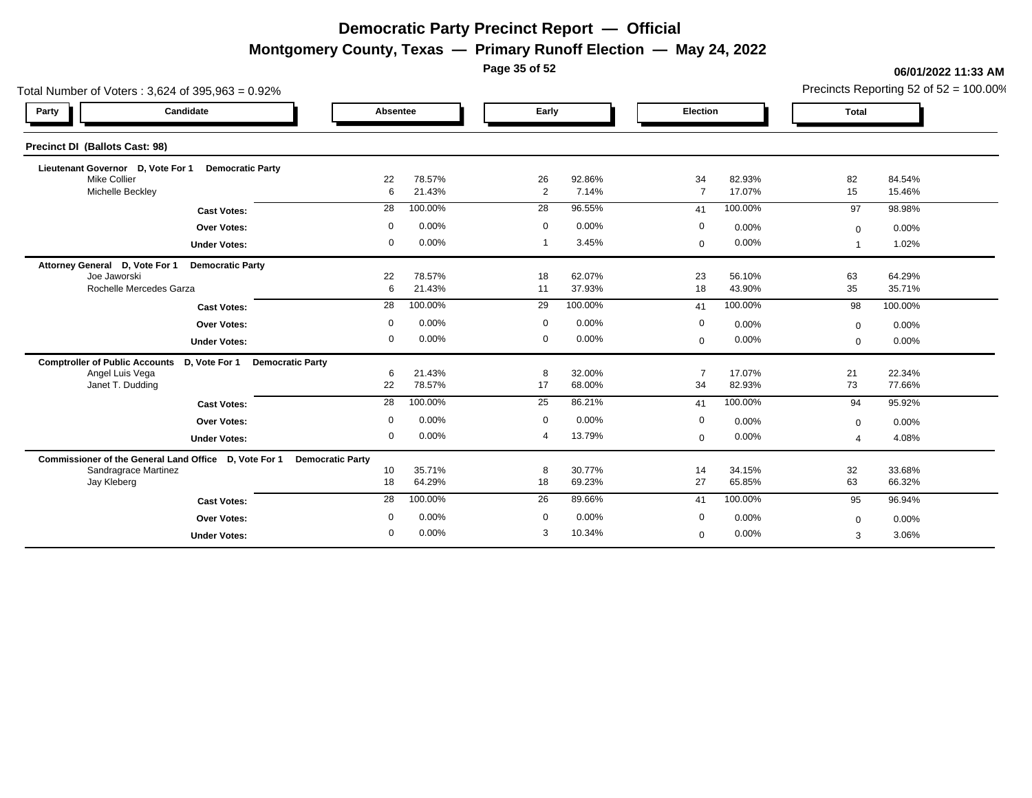**Montgomery County, Texas — Primary Runoff Election — May 24, 2022**

**Page 35 of 52**

| Total Number of Voters: 3,624 of 395,963 = 0.92%                       |              |                  |                      |                  |                      |                  |                   | Precincts Reporting 52 of $52 = 100.00\%$ |
|------------------------------------------------------------------------|--------------|------------------|----------------------|------------------|----------------------|------------------|-------------------|-------------------------------------------|
| Candidate<br>Party                                                     | Absentee     |                  | Early                |                  | Election             |                  | <b>Total</b>      |                                           |
| <b>Precinct DI (Ballots Cast: 98)</b>                                  |              |                  |                      |                  |                      |                  |                   |                                           |
| Lieutenant Governor D, Vote For 1<br><b>Democratic Party</b>           |              | 78.57%           |                      |                  |                      |                  |                   |                                           |
| <b>Mike Collier</b><br>Michelle Beckley                                | 22<br>6      | 21.43%           | 26<br>$\overline{2}$ | 92.86%<br>7.14%  | 34<br>$\overline{7}$ | 82.93%<br>17.07% | 82<br>15          | 84.54%<br>15.46%                          |
| <b>Cast Votes:</b>                                                     | 28           | 100.00%          | 28                   | 96.55%           | 41                   | 100.00%          | 97                | 98.98%                                    |
| <b>Over Votes:</b>                                                     | $\mathbf 0$  | 0.00%            | $\mathbf 0$          | 0.00%            | 0                    | 0.00%            | $\Omega$          | 0.00%                                     |
| <b>Under Votes:</b>                                                    | $\mathbf 0$  | 0.00%            | -1                   | 3.45%            | $\mathbf 0$          | 0.00%            |                   | 1.02%                                     |
| Attorney General D, Vote For 1<br><b>Democratic Party</b>              |              |                  |                      |                  |                      |                  |                   |                                           |
| Joe Jaworski<br>Rochelle Mercedes Garza                                | 22<br>6      | 78.57%<br>21.43% | 18<br>11             | 62.07%<br>37.93% | 23<br>18             | 56.10%<br>43.90% | 63<br>35          | 64.29%<br>35.71%                          |
| <b>Cast Votes:</b>                                                     | 28           | 100.00%          | 29                   | 100.00%          | 41                   | 100.00%          | 98                | 100.00%                                   |
| <b>Over Votes:</b>                                                     | $\mathbf 0$  | 0.00%            | $\mathbf 0$          | 0.00%            | 0                    | 0.00%            | $\mathbf{0}$      | 0.00%                                     |
| <b>Under Votes:</b>                                                    | $\Omega$     | 0.00%            | $\mathbf 0$          | 0.00%            | $\Omega$             | 0.00%            | $\mathbf{0}$      | 0.00%                                     |
| Comptroller of Public Accounts D, Vote For 1 Democratic Party          |              |                  |                      |                  |                      |                  |                   |                                           |
| Angel Luis Vega                                                        | 6            | 21.43%           | 8                    | 32.00%           | $\overline{7}$       | 17.07%           | 21                | 22.34%                                    |
| Janet T. Dudding                                                       | 22           | 78.57%           | 17                   | 68.00%           | 34                   | 82.93%           | 73                | 77.66%                                    |
| <b>Cast Votes:</b>                                                     | 28           | 100.00%          | 25                   | 86.21%           | 41                   | 100.00%          | 94                | 95.92%                                    |
| <b>Over Votes:</b>                                                     | $\mathbf 0$  | 0.00%            | $\mathbf 0$          | 0.00%            | $\mathbf 0$          | 0.00%            | $\Omega$          | 0.00%                                     |
| <b>Under Votes:</b>                                                    | $\mathbf 0$  | 0.00%            | $\overline{4}$       | 13.79%           | $\mathbf 0$          | 0.00%            |                   | 4.08%                                     |
| Commissioner of the General Land Office D, Vote For 1 Democratic Party |              |                  |                      |                  |                      |                  |                   |                                           |
| Sandragrace Martinez<br>Jay Kleberg                                    | 10<br>18     | 35.71%<br>64.29% | 8<br>18              | 30.77%<br>69.23% | 14<br>27             | 34.15%<br>65.85% | 32<br>63          | 33.68%<br>66.32%                          |
| <b>Cast Votes:</b>                                                     | 28           | 100.00%          | 26                   | 89.66%           | 41                   | 100.00%          | 95                | 96.94%                                    |
| <b>Over Votes:</b>                                                     | $\mathbf 0$  | 0.00%            | $\mathbf 0$          | 0.00%            | 0                    | 0.00%            |                   | 0.00%                                     |
| <b>Under Votes:</b>                                                    | $\mathbf{0}$ | 0.00%            | 3                    | 10.34%           | $\Omega$             | 0.00%            | $\mathbf{0}$<br>3 | 3.06%                                     |
|                                                                        |              |                  |                      |                  |                      |                  |                   |                                           |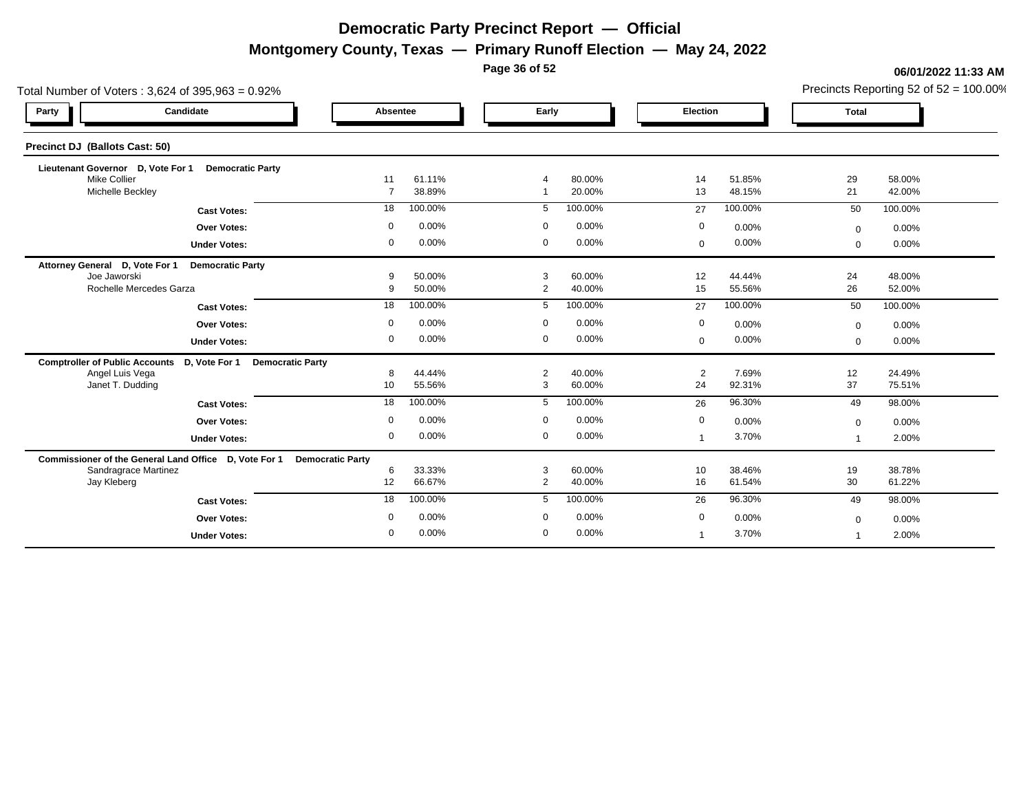**Montgomery County, Texas — Primary Runoff Election — May 24, 2022**

**Page 36 of 52**

| Total Number of Voters: 3,624 of 395,963 = 0.92%                       |                      |                  |                     |                        |       |              |                  |              | Precincts Reporting 52 of $52 = 100.00\%$ |
|------------------------------------------------------------------------|----------------------|------------------|---------------------|------------------------|-------|--------------|------------------|--------------|-------------------------------------------|
| Candidate<br>Party                                                     | Absentee             |                  |                     | Early                  |       | Election     |                  | <b>Total</b> |                                           |
| Precinct DJ (Ballots Cast: 50)                                         |                      |                  |                     |                        |       |              |                  |              |                                           |
| Lieutenant Governor D, Vote For 1<br><b>Democratic Party</b>           |                      |                  |                     |                        |       |              |                  |              |                                           |
| <b>Mike Collier</b><br>Michelle Beckley                                | 11<br>$\overline{7}$ | 61.11%<br>38.89% |                     | 80.00%<br>20.00%       |       | 14<br>13     | 51.85%<br>48.15% | 29<br>21     | 58.00%<br>42.00%                          |
| <b>Cast Votes:</b>                                                     | 18                   | 100.00%          |                     | 100.00%<br>5           |       | 27           | 100.00%          | 50           | 100.00%                                   |
| Over Votes:                                                            | $\mathbf 0$          | 0.00%            | $\mathbf 0$         |                        | 0.00% | 0            | 0.00%            | $\Omega$     | 0.00%                                     |
| <b>Under Votes:</b>                                                    | $\mathbf 0$          | 0.00%            | $\mathbf 0$         |                        | 0.00% | $\mathbf 0$  | 0.00%            | $\mathbf{0}$ | 0.00%                                     |
| Attorney General D, Vote For 1<br><b>Democratic Party</b>              |                      |                  |                     |                        |       |              |                  |              |                                           |
| Joe Jaworski                                                           | 9                    | 50.00%           | 3                   | 60.00%                 |       | 12           | 44.44%           | 24           | 48.00%                                    |
| Rochelle Mercedes Garza                                                | 9                    | 50.00%           | $\overline{2}$      | 40.00%                 |       | 15           | 55.56%           | 26           | 52.00%                                    |
| <b>Cast Votes:</b>                                                     | 18                   | 100.00%          |                     | 100.00%<br>5           |       | 27           | 100.00%          | 50           | 100.00%                                   |
| <b>Over Votes:</b>                                                     | $\Omega$             | 0.00%            | $\mathbf 0$         |                        | 0.00% | 0            | 0.00%            | $\mathbf 0$  | 0.00%                                     |
| <b>Under Votes:</b>                                                    | $\mathbf 0$          | 0.00%            | $\mathbf 0$         |                        | 0.00% | $\mathbf{0}$ | 0.00%            | $\mathbf 0$  | 0.00%                                     |
| Comptroller of Public Accounts D, Vote For 1 Democratic Party          |                      |                  |                     |                        |       |              |                  |              |                                           |
| Angel Luis Vega<br>Janet T. Dudding                                    | 8<br>10              | 44.44%<br>55.56% | $\overline{2}$<br>3 | 40.00%<br>60.00%       |       | 2<br>24      | 7.69%<br>92.31%  | 12<br>37     | 24.49%<br>75.51%                          |
|                                                                        | 18                   | 100.00%          |                     | 100.00%<br>5           |       | 26           | 96.30%           | 49           | 98.00%                                    |
| <b>Cast Votes:</b>                                                     |                      |                  |                     |                        |       |              |                  |              |                                           |
| <b>Over Votes:</b>                                                     | $\mathbf 0$          | 0.00%            | $\Omega$            |                        | 0.00% | 0            | 0.00%            | $\mathbf{0}$ | 0.00%                                     |
| <b>Under Votes:</b>                                                    | $\overline{0}$       | 0.00%            | $\mathbf 0$         |                        | 0.00% |              | 3.70%            |              | 2.00%                                     |
| Commissioner of the General Land Office D, Vote For 1 Democratic Party |                      |                  |                     |                        |       |              |                  |              |                                           |
| Sandragrace Martinez                                                   | 6                    | 33.33%           | 3<br>$\overline{2}$ | 60.00%                 |       | 10<br>16     | 38.46%<br>61.54% | 19           | 38.78%<br>61.22%                          |
| Jay Kleberg                                                            | 12                   | 66.67%           |                     | 40.00%                 |       |              |                  | 30           |                                           |
| <b>Cast Votes:</b>                                                     | 18                   | 100.00%          |                     | 100.00%<br>$5^{\circ}$ |       | 26           | 96.30%           | 49           | 98.00%                                    |
| <b>Over Votes:</b>                                                     | $\mathbf 0$          | 0.00%            | $\overline{0}$      |                        | 0.00% | 0            | 0.00%            | $\mathbf{0}$ | 0.00%                                     |
| <b>Under Votes:</b>                                                    | $\mathbf{0}$         | 0.00%            | $\mathbf 0$         |                        | 0.00% |              | 3.70%            |              | 2.00%                                     |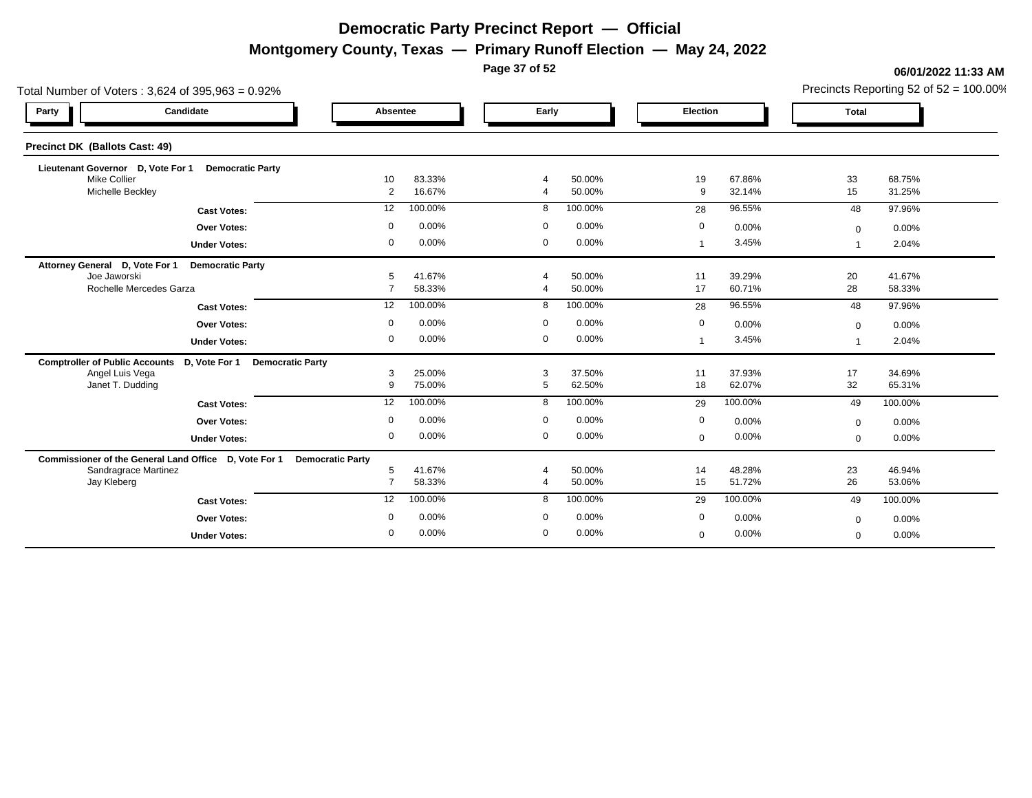**Montgomery County, Texas — Primary Runoff Election — May 24, 2022**

**Page 37 of 52**

| Total Number of Voters: 3,624 of 395,963 = 0.92%                       |                |                  |                |                  |             |                  |                |                  |  |  |  |  |  |
|------------------------------------------------------------------------|----------------|------------------|----------------|------------------|-------------|------------------|----------------|------------------|--|--|--|--|--|
| Candidate<br>Party                                                     | Absentee       |                  | Early          |                  | Election    |                  | <b>Total</b>   |                  |  |  |  |  |  |
| <b>Precinct DK (Ballots Cast: 49)</b>                                  |                |                  |                |                  |             |                  |                |                  |  |  |  |  |  |
| Lieutenant Governor D, Vote For 1<br><b>Democratic Party</b>           |                |                  |                |                  |             |                  |                |                  |  |  |  |  |  |
| <b>Mike Collier</b><br>Michelle Beckley                                | 10<br>2        | 83.33%<br>16.67% |                | 50.00%<br>50.00% | 19<br>9     | 67.86%<br>32.14% | 33<br>15       | 68.75%<br>31.25% |  |  |  |  |  |
| <b>Cast Votes:</b>                                                     | 12             | 100.00%          | 8              | 100.00%          | 28          | 96.55%           | 48             | 97.96%           |  |  |  |  |  |
| <b>Over Votes:</b>                                                     | $\mathbf 0$    | 0.00%            | $\mathbf 0$    | 0.00%            | 0           | 0.00%            | $\Omega$       | 0.00%            |  |  |  |  |  |
| <b>Under Votes:</b>                                                    | $\mathbf 0$    | 0.00%            | $\mathbf 0$    | 0.00%            |             | 3.45%            |                | 2.04%            |  |  |  |  |  |
| <b>Democratic Party</b><br>Attorney General D, Vote For 1              |                |                  |                |                  |             |                  |                |                  |  |  |  |  |  |
| Joe Jaworski                                                           | 5              | 41.67%           |                | 50.00%           | 11          | 39.29%           | 20             | 41.67%           |  |  |  |  |  |
| Rochelle Mercedes Garza                                                | $\overline{7}$ | 58.33%           | $\overline{4}$ | 50.00%           | 17          | 60.71%           | 28             | 58.33%           |  |  |  |  |  |
| <b>Cast Votes:</b>                                                     | 12             | 100.00%          | 8              | 100.00%          | 28          | 96.55%           | 48             | 97.96%           |  |  |  |  |  |
| <b>Over Votes:</b>                                                     | $\mathbf 0$    | 0.00%            | $\mathbf 0$    | 0.00%            | $\mathbf 0$ | 0.00%            | $\mathbf 0$    | 0.00%            |  |  |  |  |  |
| <b>Under Votes:</b>                                                    | $\mathbf 0$    | 0.00%            | $\mathbf 0$    | 0.00%            |             | 3.45%            |                | 2.04%            |  |  |  |  |  |
| Comptroller of Public Accounts D, Vote For 1 Democratic Party          |                |                  |                |                  |             |                  |                |                  |  |  |  |  |  |
| Angel Luis Vega                                                        | 3              | 25.00%           | 3              | 37.50%           | 11          | 37.93%           | 17             | 34.69%           |  |  |  |  |  |
| Janet T. Dudding                                                       | 9              | 75.00%           | 5              | 62.50%           | 18          | 62.07%           | 32             | 65.31%           |  |  |  |  |  |
| <b>Cast Votes:</b>                                                     | 12             | 100.00%          | 8              | 100.00%          | 29          | 100.00%          | 49             | 100.00%          |  |  |  |  |  |
| <b>Over Votes:</b>                                                     | $\mathbf 0$    | 0.00%            | $\mathbf 0$    | 0.00%            | $\mathbf 0$ | 0.00%            | $\mathbf{0}$   | 0.00%            |  |  |  |  |  |
| <b>Under Votes:</b>                                                    | $\mathbf 0$    | 0.00%            | $\mathbf 0$    | 0.00%            | $\mathbf 0$ | 0.00%            | $\Omega$       | 0.00%            |  |  |  |  |  |
| Commissioner of the General Land Office D, Vote For 1 Democratic Party |                |                  |                |                  |             |                  |                |                  |  |  |  |  |  |
| Sandragrace Martinez                                                   | 5              | 41.67%           |                | 50.00%           | 14          | 48.28%           | 23             | 46.94%           |  |  |  |  |  |
| Jay Kleberg                                                            | $\overline{7}$ | 58.33%           | $\overline{4}$ | 50.00%           | 15          | 51.72%           | 26             | 53.06%           |  |  |  |  |  |
| <b>Cast Votes:</b>                                                     | 12             | 100.00%          | 8              | 100.00%          | 29          | 100.00%          | 49             | 100.00%          |  |  |  |  |  |
| <b>Over Votes:</b>                                                     | $\mathbf 0$    | 0.00%            | $\mathbf 0$    | 0.00%            | 0           | 0.00%            | $\mathbf{0}$   | 0.00%            |  |  |  |  |  |
| <b>Under Votes:</b>                                                    | $\mathbf{0}$   | 0.00%            | $\mathbf 0$    | 0.00%            | $\Omega$    | 0.00%            | $\overline{0}$ | 0.00%            |  |  |  |  |  |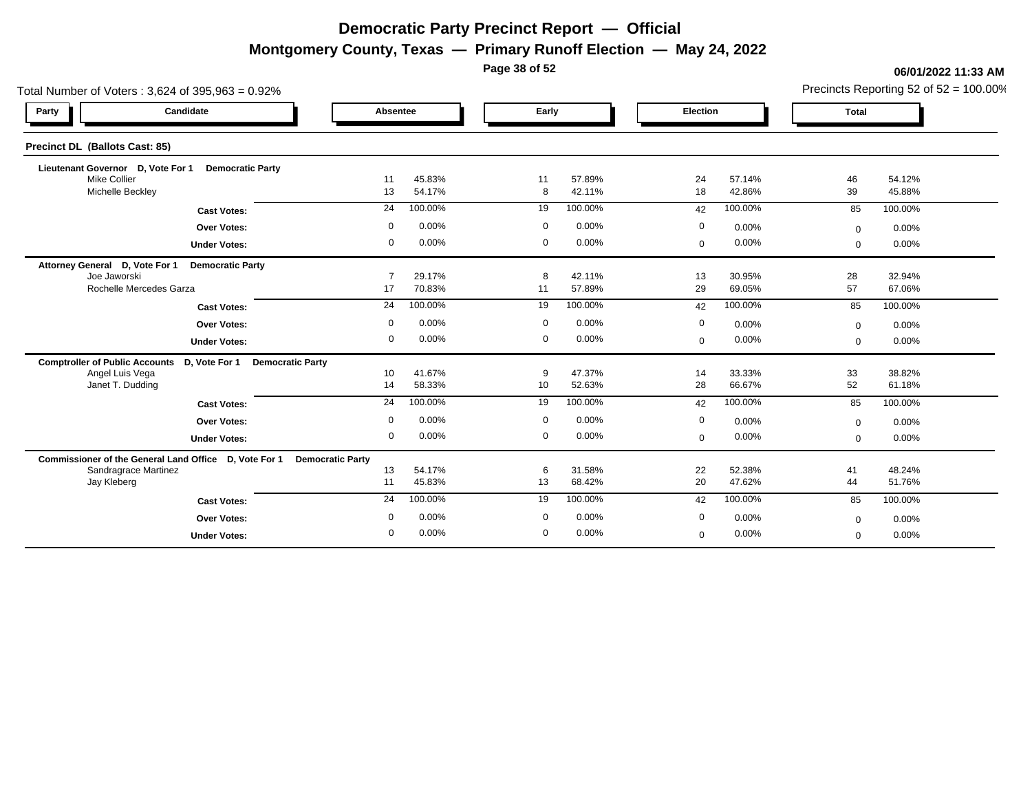**Montgomery County, Texas — Primary Runoff Election — May 24, 2022**

**Page 38 of 52**

|                                                                        | Total Number of Voters: 3,624 of 395,963 = 0.92% |                  |    |                       |  |              |                  |              |                  |  |  |  |  |
|------------------------------------------------------------------------|--------------------------------------------------|------------------|----|-----------------------|--|--------------|------------------|--------------|------------------|--|--|--|--|
| Candidate<br>Party                                                     | Absentee                                         |                  |    | Early                 |  | Election     |                  | <b>Total</b> |                  |  |  |  |  |
| Precinct DL (Ballots Cast: 85)                                         |                                                  |                  |    |                       |  |              |                  |              |                  |  |  |  |  |
| Lieutenant Governor D, Vote For 1<br><b>Democratic Party</b>           |                                                  |                  |    |                       |  |              |                  |              |                  |  |  |  |  |
| <b>Mike Collier</b><br>Michelle Beckley                                | 11<br>13                                         | 45.83%<br>54.17% | 11 | 57.89%<br>42.11%<br>8 |  | 24<br>18     | 57.14%<br>42.86% | 46<br>39     | 54.12%<br>45.88% |  |  |  |  |
| <b>Cast Votes:</b>                                                     | 24                                               | 100.00%          |    | 100.00%<br>19         |  | 42           | 100.00%          | 85           | 100.00%          |  |  |  |  |
| <b>Over Votes:</b>                                                     | $\mathbf 0$                                      | 0.00%            |    | 0.00%<br>$\mathbf 0$  |  | 0            | 0.00%            | $\Omega$     | 0.00%            |  |  |  |  |
| <b>Under Votes:</b>                                                    | $\mathbf 0$                                      | 0.00%            |    | 0.00%<br>$\mathbf 0$  |  | 0            | 0.00%            | $\mathbf{0}$ | 0.00%            |  |  |  |  |
| Attorney General D, Vote For 1<br><b>Democratic Party</b>              |                                                  |                  |    |                       |  |              |                  |              |                  |  |  |  |  |
| Joe Jaworski<br>Rochelle Mercedes Garza                                | 17                                               | 29.17%<br>70.83% | 11 | 8<br>42.11%<br>57.89% |  | 13<br>29     | 30.95%<br>69.05% | 28<br>57     | 32.94%<br>67.06% |  |  |  |  |
| <b>Cast Votes:</b>                                                     | 24                                               | 100.00%          |    | 100.00%<br>19         |  | 42           | 100.00%          | 85           | 100.00%          |  |  |  |  |
| <b>Over Votes:</b>                                                     | $\mathbf 0$                                      | 0.00%            |    | 0.00%<br>$\mathbf 0$  |  | $\mathbf 0$  | 0.00%            | $\mathbf{0}$ | 0.00%            |  |  |  |  |
| <b>Under Votes:</b>                                                    | $\Omega$                                         | 0.00%            |    | 0.00%<br>$\mathbf 0$  |  | $\mathbf 0$  | 0.00%            | $\mathbf{0}$ | 0.00%            |  |  |  |  |
| Comptroller of Public Accounts D, Vote For 1 Democratic Party          |                                                  |                  |    |                       |  |              |                  |              |                  |  |  |  |  |
| Angel Luis Vega                                                        | 10 <sup>1</sup>                                  | 41.67%           |    | 47.37%<br>9           |  | 14           | 33.33%           | 33           | 38.82%           |  |  |  |  |
| Janet T. Dudding                                                       | 14                                               | 58.33%           |    | 10<br>52.63%          |  | 28           | 66.67%           | 52           | 61.18%           |  |  |  |  |
| <b>Cast Votes:</b>                                                     | 24                                               | 100.00%          | 19 | 100.00%               |  | 42           | 100.00%          | 85           | 100.00%          |  |  |  |  |
| <b>Over Votes:</b>                                                     | $\Omega$                                         | 0.00%            |    | 0.00%<br>$\mathbf 0$  |  | $\mathbf 0$  | 0.00%            | $\mathbf{0}$ | 0.00%            |  |  |  |  |
| <b>Under Votes:</b>                                                    | $\mathbf 0$                                      | 0.00%            |    | $\mathbf 0$<br>0.00%  |  | $\mathbf{0}$ | 0.00%            | $\Omega$     | 0.00%            |  |  |  |  |
| Commissioner of the General Land Office D, Vote For 1 Democratic Party |                                                  |                  |    |                       |  |              |                  |              |                  |  |  |  |  |
| Sandragrace Martinez                                                   | 13                                               | 54.17%           |    | 6<br>31.58%           |  | 22           | 52.38%           | 41           | 48.24%           |  |  |  |  |
| Jay Kleberg                                                            | 11                                               | 45.83%           | 13 | 68.42%                |  | 20           | 47.62%           | 44           | 51.76%           |  |  |  |  |
| <b>Cast Votes:</b>                                                     | 24                                               | 100.00%          |    | 100.00%<br>19         |  | 42           | 100.00%          | 85           | 100.00%          |  |  |  |  |
| <b>Over Votes:</b>                                                     | $\mathbf 0$                                      | 0.00%            |    | $\mathbf 0$<br>0.00%  |  | 0            | 0.00%            | $\Omega$     | 0.00%            |  |  |  |  |
| <b>Under Votes:</b>                                                    | $\mathbf 0$                                      | 0.00%            |    | 0.00%<br>$\mathbf 0$  |  | $\mathbf 0$  | 0.00%            | $\mathbf{0}$ | 0.00%            |  |  |  |  |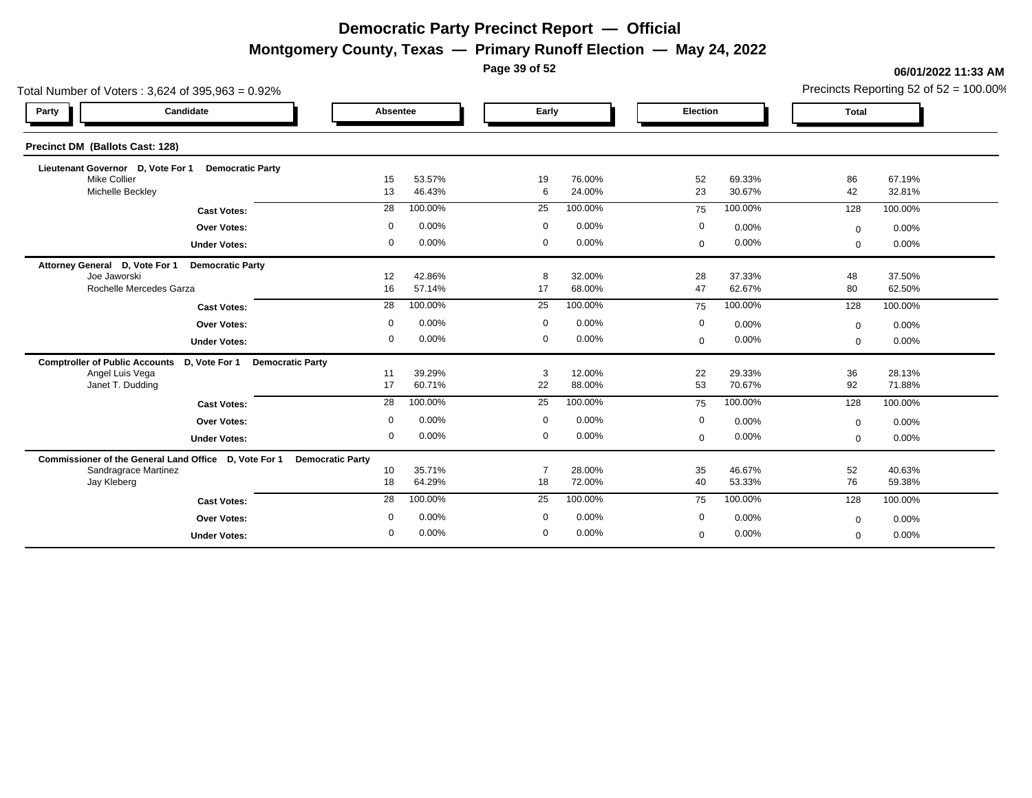**Montgomery County, Texas — Primary Runoff Election — May 24, 2022**

**Page 39 of 52**

| Total Number of Voters: 3,624 of 395,963 = 0.92%                                  |                 |                  |                |                  |              |                  |              | Precincts Reporting 52 of 52 = 100.00% |
|-----------------------------------------------------------------------------------|-----------------|------------------|----------------|------------------|--------------|------------------|--------------|----------------------------------------|
| Candidate<br>Party                                                                | Absentee        |                  | Early          |                  | Election     |                  | <b>Total</b> |                                        |
| Precinct DM (Ballots Cast: 128)                                                   |                 |                  |                |                  |              |                  |              |                                        |
| Lieutenant Governor D, Vote For 1<br><b>Democratic Party</b>                      |                 |                  |                |                  |              |                  |              |                                        |
| <b>Mike Collier</b><br>Michelle Beckley                                           | 15<br>13        | 53.57%<br>46.43% | 19<br>6        | 76.00%<br>24.00% | 52<br>23     | 69.33%<br>30.67% | 86<br>42     | 67.19%<br>32.81%                       |
| <b>Cast Votes:</b>                                                                | 28              | 100.00%          | 25             | 100.00%          | 75           | 100.00%          | 128          | 100.00%                                |
| <b>Over Votes:</b>                                                                | $\mathbf 0$     | 0.00%            | $\mathbf 0$    | 0.00%            | 0            | 0.00%            | $\Omega$     | 0.00%                                  |
| <b>Under Votes:</b>                                                               | $\mathbf 0$     | 0.00%            | $\mathbf 0$    | 0.00%            | $\mathbf 0$  | 0.00%            | $\mathbf 0$  | 0.00%                                  |
| Attorney General D, Vote For 1<br><b>Democratic Party</b>                         |                 |                  |                |                  |              |                  |              |                                        |
| Joe Jaworski<br>Rochelle Mercedes Garza                                           | 12<br>16        | 42.86%<br>57.14% | 8<br>17        | 32.00%<br>68.00% | 28<br>47     | 37.33%<br>62.67% | 48<br>80     | 37.50%<br>62.50%                       |
| <b>Cast Votes:</b>                                                                | 28              | 100.00%          | 25             | 100.00%          | 75           | 100.00%          | 128          | 100.00%                                |
| <b>Over Votes:</b>                                                                | $\mathbf 0$     | 0.00%            | $\mathbf 0$    | 0.00%            | 0            | 0.00%            | $\Omega$     | 0.00%                                  |
| <b>Under Votes:</b>                                                               | $\mathbf 0$     | 0.00%            | $\mathbf 0$    | 0.00%            | $\mathbf 0$  | 0.00%            | $\mathbf{0}$ | 0.00%                                  |
| <b>Comptroller of Public Accounts</b><br>D, Vote For 1<br><b>Democratic Party</b> |                 |                  |                |                  |              |                  |              |                                        |
| Angel Luis Vega<br>Janet T. Dudding                                               | 11<br>17        | 39.29%<br>60.71% | 3<br>22        | 12.00%<br>88.00% | 22<br>53     | 29.33%<br>70.67% | 36<br>92     | 28.13%<br>71.88%                       |
| <b>Cast Votes:</b>                                                                | 28              | 100.00%          | 25             | 100.00%          | 75           | 100.00%          | 128          | 100.00%                                |
| <b>Over Votes:</b>                                                                | $\mathbf 0$     | 0.00%            | $\mathbf 0$    | 0.00%            | $\mathbf{0}$ | 0.00%            | $\mathbf{0}$ | 0.00%                                  |
| <b>Under Votes:</b>                                                               | $\mathbf 0$     | 0.00%            | $\mathbf 0$    | 0.00%            | 0            | 0.00%            | $\mathbf{0}$ | 0.00%                                  |
| Commissioner of the General Land Office D, Vote For 1 Democratic Party            |                 |                  |                |                  |              |                  |              |                                        |
| Sandragrace Martinez                                                              | 10 <sup>1</sup> | 35.71%           |                | 28.00%           | 35           | 46.67%           | 52           | 40.63%                                 |
| Jay Kleberg                                                                       | 18              | 64.29%           | 18             | 72.00%           | 40           | 53.33%           | 76           | 59.38%                                 |
| <b>Cast Votes:</b>                                                                | 28              | 100.00%          | 25             | 100.00%          | 75           | 100.00%          | 128          | 100.00%                                |
| <b>Over Votes:</b>                                                                | $\mathbf 0$     | 0.00%            | $\mathbf 0$    | 0.00%            | 0            | 0.00%            | $\Omega$     | 0.00%                                  |
| <b>Under Votes:</b>                                                               | $\Omega$        | 0.00%            | $\overline{0}$ | 0.00%            | $\mathbf{0}$ | 0.00%            | $\mathbf{0}$ | 0.00%                                  |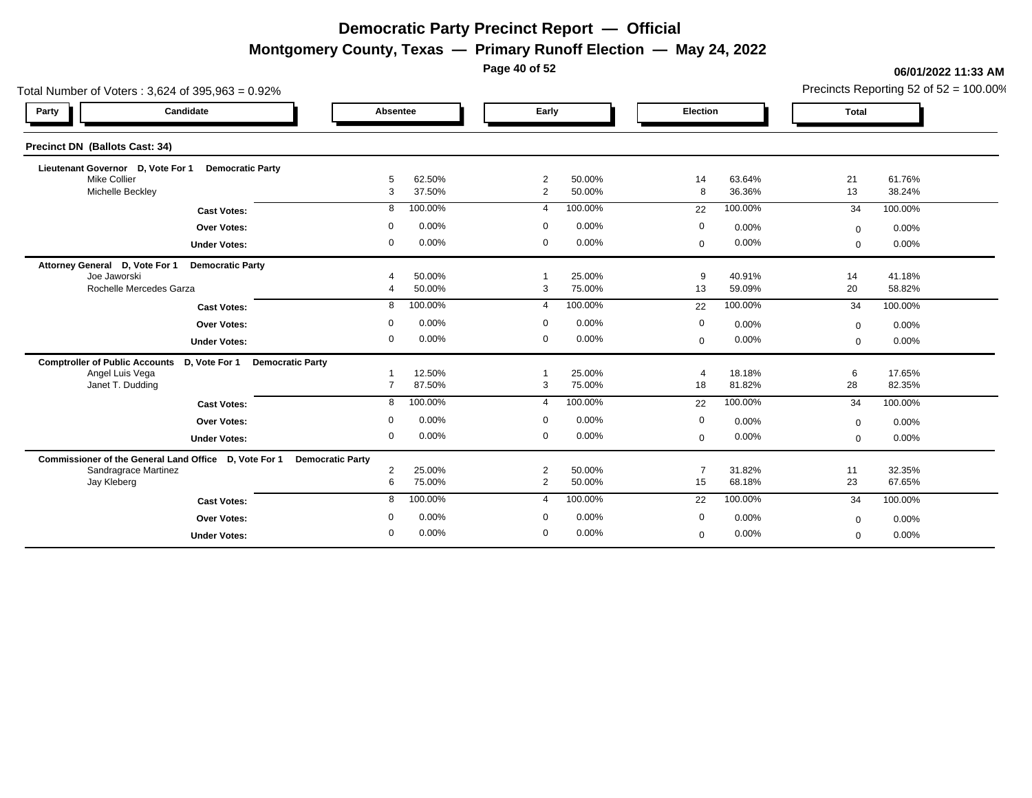**Montgomery County, Texas — Primary Runoff Election — May 24, 2022**

**Page 40 of 52**

|                                         | Total Number of Voters: $3,624$ of $395,963 = 0.92\%$                  |                |                  |                                  |                  |                    |                  |              |                  |  |  |  |  |
|-----------------------------------------|------------------------------------------------------------------------|----------------|------------------|----------------------------------|------------------|--------------------|------------------|--------------|------------------|--|--|--|--|
| Party                                   | Candidate                                                              | Absentee       |                  | Early                            |                  | Election           |                  | <b>Total</b> |                  |  |  |  |  |
| <b>Precinct DN (Ballots Cast: 34)</b>   |                                                                        |                |                  |                                  |                  |                    |                  |              |                  |  |  |  |  |
| Lieutenant Governor D, Vote For 1       | <b>Democratic Party</b>                                                |                |                  |                                  |                  |                    |                  |              |                  |  |  |  |  |
| <b>Mike Collier</b><br>Michelle Beckley |                                                                        | 5<br>3         | 62.50%<br>37.50% | $\overline{2}$<br>$\overline{2}$ | 50.00%<br>50.00% | 14<br>$\mathsf{R}$ | 63.64%<br>36.36% | 21<br>13     | 61.76%<br>38.24% |  |  |  |  |
|                                         |                                                                        | 8              | 100.00%          | $\overline{\mathbf{4}}$          | 100.00%          | 22                 | 100.00%          | 34           | 100.00%          |  |  |  |  |
|                                         | <b>Cast Votes:</b>                                                     |                |                  |                                  |                  |                    |                  |              |                  |  |  |  |  |
|                                         | <b>Over Votes:</b>                                                     | $\Omega$       | 0.00%            | $\mathbf 0$                      | 0.00%            | $\mathbf 0$        | 0.00%            | $\Omega$     | 0.00%            |  |  |  |  |
|                                         | <b>Under Votes:</b>                                                    | $\mathbf 0$    | 0.00%            | $\mathbf 0$                      | 0.00%            | $\mathbf 0$        | 0.00%            | $\mathbf 0$  | 0.00%            |  |  |  |  |
| Attorney General D, Vote For 1          | <b>Democratic Party</b>                                                |                |                  |                                  |                  |                    |                  |              |                  |  |  |  |  |
| Joe Jaworski                            |                                                                        |                | 50.00%           |                                  | 25.00%           | 9                  | 40.91%           | 14           | 41.18%           |  |  |  |  |
|                                         | Rochelle Mercedes Garza                                                |                | 50.00%           | 3                                | 75.00%           | 13                 | 59.09%           | 20           | 58.82%           |  |  |  |  |
|                                         | <b>Cast Votes:</b>                                                     | 8              | 100.00%          | $\overline{\mathbf{4}}$          | 100.00%          | 22                 | 100.00%          | 34           | 100.00%          |  |  |  |  |
|                                         | <b>Over Votes:</b>                                                     | $\Omega$       | 0.00%            | $\mathbf 0$                      | 0.00%            | 0                  | 0.00%            | $\mathbf 0$  | 0.00%            |  |  |  |  |
|                                         | <b>Under Votes:</b>                                                    | $\mathbf 0$    | 0.00%            | $\mathbf 0$                      | 0.00%            | $\Omega$           | 0.00%            | $\Omega$     | 0.00%            |  |  |  |  |
| <b>Comptroller of Public Accounts</b>   | D, Vote For 1<br><b>Democratic Party</b>                               |                |                  |                                  |                  |                    |                  |              |                  |  |  |  |  |
| Angel Luis Vega                         |                                                                        |                | 12.50%           |                                  | 25.00%           | $\overline{a}$     | 18.18%           | 6            | 17.65%           |  |  |  |  |
| Janet T. Dudding                        |                                                                        | $\overline{7}$ | 87.50%           | $\mathbf{3}$                     | 75.00%           | 18                 | 81.82%           | 28           | 82.35%           |  |  |  |  |
|                                         | <b>Cast Votes:</b>                                                     | 8              | 100.00%          | $\boldsymbol{\Delta}$            | 100.00%          | 22                 | 100.00%          | 34           | 100.00%          |  |  |  |  |
|                                         | <b>Over Votes:</b>                                                     | $\mathbf 0$    | 0.00%            | $\mathbf 0$                      | 0.00%            | 0                  | 0.00%            | $\mathbf{0}$ | 0.00%            |  |  |  |  |
|                                         | <b>Under Votes:</b>                                                    | $\mathbf 0$    | 0.00%            | $\mathbf 0$                      | 0.00%            | $\mathbf 0$        | 0.00%            | $\mathbf{0}$ | 0.00%            |  |  |  |  |
|                                         | Commissioner of the General Land Office D, Vote For 1 Democratic Party |                |                  |                                  |                  |                    |                  |              |                  |  |  |  |  |
| <b>Sandragrace Martinez</b>             |                                                                        | 2              | 25.00%           | $\overline{2}$                   | 50.00%           |                    | 31.82%           | 11           | 32.35%           |  |  |  |  |
| Jay Kleberg                             |                                                                        | 6              | 75.00%           | $\overline{2}$                   | 50.00%           | 15                 | 68.18%           | 23           | 67.65%           |  |  |  |  |
|                                         | <b>Cast Votes:</b>                                                     | 8              | 100.00%          | $\overline{4}$                   | 100.00%          | 22                 | 100.00%          | 34           | 100.00%          |  |  |  |  |
|                                         | <b>Over Votes:</b>                                                     | 0              | 0.00%            | $\mathbf 0$                      | 0.00%            | 0                  | 0.00%            | $\mathbf{0}$ | 0.00%            |  |  |  |  |
|                                         | <b>Under Votes:</b>                                                    | $\mathbf 0$    | 0.00%            | $\mathbf 0$                      | 0.00%            | $\Omega$           | 0.00%            | $\Omega$     | 0.00%            |  |  |  |  |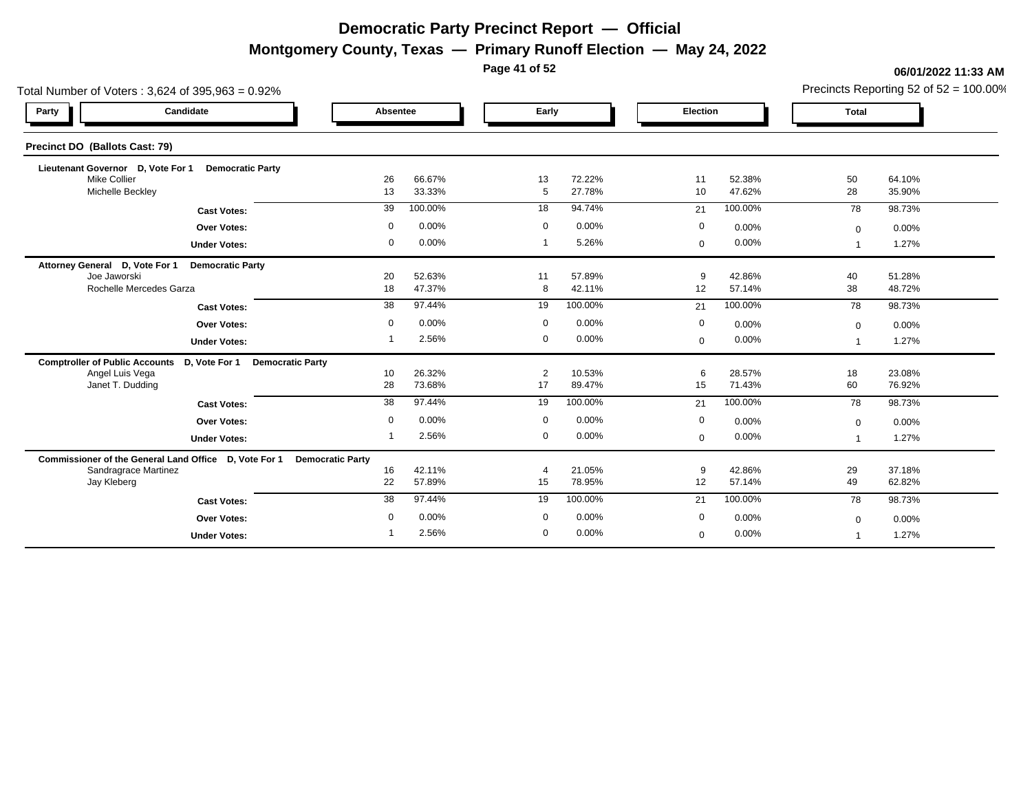**Montgomery County, Texas — Primary Runoff Election — May 24, 2022**

**Page 41 of 52**

| Total Number of Voters: 3,624 of 395,963 = 0.92%                       |             |                  |                      |                  |              |                  |              | Precincts Reporting 52 of 52 = 100.00% |
|------------------------------------------------------------------------|-------------|------------------|----------------------|------------------|--------------|------------------|--------------|----------------------------------------|
| Candidate<br>Party                                                     | Absentee    |                  | Early                |                  | Election     |                  | <b>Total</b> |                                        |
| Precinct DO (Ballots Cast: 79)                                         |             |                  |                      |                  |              |                  |              |                                        |
| Lieutenant Governor D, Vote For 1<br><b>Democratic Party</b>           |             |                  |                      |                  |              |                  |              |                                        |
| <b>Mike Collier</b><br>Michelle Beckley                                | 26<br>13    | 66.67%<br>33.33% | 13<br>5              | 72.22%<br>27.78% | 11<br>10     | 52.38%<br>47.62% | 50<br>28     | 64.10%<br>35.90%                       |
| <b>Cast Votes:</b>                                                     | 39          | 100.00%          | 18                   | 94.74%           | 21           | 100.00%          | 78           | 98.73%                                 |
| <b>Over Votes:</b>                                                     | $\mathbf 0$ | 0.00%            | $\mathbf 0$          | 0.00%            | 0            | 0.00%            | $\mathbf 0$  | 0.00%                                  |
| <b>Under Votes:</b>                                                    | 0           | 0.00%            | -1                   | 5.26%            | $\mathbf 0$  | 0.00%            |              | 1.27%                                  |
| Attorney General D, Vote For 1<br><b>Democratic Party</b>              |             |                  |                      |                  |              |                  |              |                                        |
| Joe Jaworski<br>Rochelle Mercedes Garza                                | 20<br>18    | 52.63%<br>47.37% | 11<br>8              | 57.89%<br>42.11% | 9<br>12      | 42.86%<br>57.14% | 40<br>38     | 51.28%<br>48.72%                       |
| <b>Cast Votes:</b>                                                     | 38          | 97.44%           | 19                   | 100.00%          | 21           | 100.00%          | 78           | 98.73%                                 |
| <b>Over Votes:</b>                                                     | $\mathbf 0$ | 0.00%            | $\mathbf 0$          | 0.00%            | 0            | 0.00%            | $\mathbf 0$  | 0.00%                                  |
| <b>Under Votes:</b>                                                    |             | 2.56%            | $\mathbf 0$          | 0.00%            | $\mathbf 0$  | 0.00%            |              | 1.27%                                  |
| Comptroller of Public Accounts D, Vote For 1 Democratic Party          |             |                  |                      |                  |              |                  |              |                                        |
| Angel Luis Vega<br>Janet T. Dudding                                    | 10<br>28    | 26.32%<br>73.68% | $\overline{2}$<br>17 | 10.53%<br>89.47% | 6<br>15      | 28.57%<br>71.43% | 18<br>60     | 23.08%<br>76.92%                       |
| <b>Cast Votes:</b>                                                     | 38          | 97.44%           | 19                   | 100.00%          | 21           | 100.00%          | 78           | 98.73%                                 |
| <b>Over Votes:</b>                                                     | $\mathbf 0$ | 0.00%            | $\mathbf 0$          | 0.00%            | $\mathbf 0$  | 0.00%            | $\mathbf{0}$ | 0.00%                                  |
| <b>Under Votes:</b>                                                    |             | 2.56%            | $\mathbf 0$          | 0.00%            | $\mathbf 0$  | 0.00%            |              | 1.27%                                  |
| Commissioner of the General Land Office D, Vote For 1 Democratic Party |             |                  |                      |                  |              |                  |              |                                        |
| Sandragrace Martinez                                                   | 16          | 42.11%           |                      | 21.05%           | 9            | 42.86%           | 29           | 37.18%                                 |
| Jay Kleberg                                                            | 22          | 57.89%           | 15                   | 78.95%           | 12           | 57.14%           | 49           | 62.82%                                 |
| <b>Cast Votes:</b>                                                     | 38          | 97.44%           | 19                   | 100.00%          | 21           | 100.00%          | 78           | 98.73%                                 |
| <b>Over Votes:</b>                                                     | $\mathbf 0$ | 0.00%            | $\mathbf 0$          | 0.00%            | $\mathbf{0}$ | 0.00%            | $\mathbf 0$  | 0.00%                                  |
| <b>Under Votes:</b>                                                    |             | 2.56%            | $\mathbf 0$          | 0.00%            | $\Omega$     | 0.00%            |              | 1.27%                                  |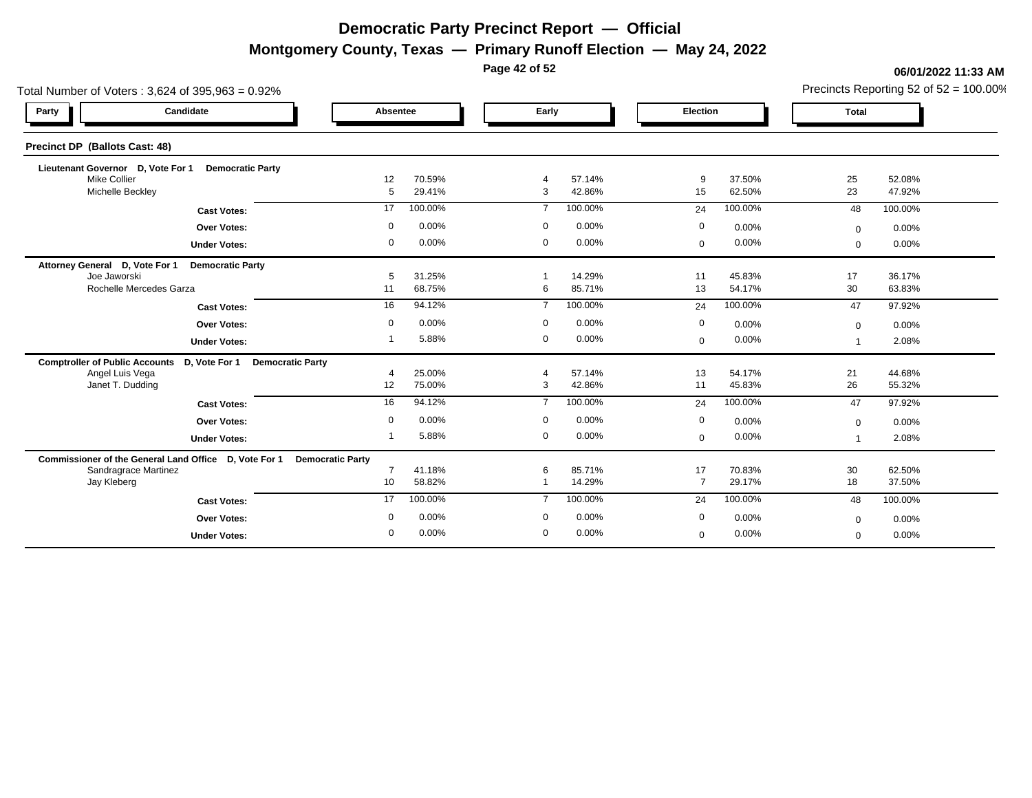**Montgomery County, Texas — Primary Runoff Election — May 24, 2022**

**Page 42 of 52**

| Total Number of Voters: $3,624$ of $395,963 = 0.92\%$                  |                      | Precincts Reporting 52 of $52 = 100.00\%$ |                                       |                  |                      |                  |                |                  |
|------------------------------------------------------------------------|----------------------|-------------------------------------------|---------------------------------------|------------------|----------------------|------------------|----------------|------------------|
| Candidate<br>Party                                                     | Absentee             |                                           | Early                                 |                  | Election             |                  | <b>Total</b>   |                  |
| <b>Precinct DP (Ballots Cast: 48)</b>                                  |                      |                                           |                                       |                  |                      |                  |                |                  |
| Lieutenant Governor D, Vote For 1<br><b>Democratic Party</b>           |                      |                                           |                                       |                  |                      |                  |                |                  |
| <b>Mike Collier</b><br>Michelle Beckley                                | 12<br>5              | 70.59%<br>29.41%                          | $\boldsymbol{\Delta}$<br>$\mathbf{3}$ | 57.14%<br>42.86% | 9<br>15              | 37.50%<br>62.50% | 25<br>23       | 52.08%<br>47.92% |
| <b>Cast Votes:</b>                                                     | 17                   | 100.00%                                   | $\overline{7}$                        | 100.00%          | 24                   | 100.00%          | 48             | 100.00%          |
|                                                                        |                      |                                           |                                       |                  |                      |                  |                |                  |
| <b>Over Votes:</b>                                                     | $\mathbf 0$          | 0.00%                                     | $\mathbf 0$                           | 0.00%            | 0                    | 0.00%            | $\Omega$       | 0.00%            |
| <b>Under Votes:</b>                                                    | $\mathbf 0$          | 0.00%                                     | $\mathbf 0$                           | 0.00%            | $\mathbf 0$          | 0.00%            | $\mathbf{0}$   | 0.00%            |
| <b>Democratic Party</b><br>Attorney General D, Vote For 1              |                      |                                           |                                       |                  |                      |                  |                |                  |
| Joe Jaworski<br>Rochelle Mercedes Garza                                | 5<br>11              | 31.25%<br>68.75%                          | $6\phantom{1}6$                       | 14.29%<br>85.71% | 11<br>13             | 45.83%<br>54.17% | 17<br>30       | 36.17%<br>63.83% |
|                                                                        | 16                   | 94.12%                                    | $\overline{7}$                        | 100.00%          | 24                   | 100.00%          | 47             | 97.92%           |
| <b>Cast Votes:</b>                                                     | $\mathbf 0$          | 0.00%                                     | $\mathbf 0$                           | 0.00%            | $\mathbf 0$          |                  |                |                  |
| <b>Over Votes:</b>                                                     |                      |                                           |                                       |                  |                      | 0.00%            | $\mathbf 0$    | 0.00%            |
| <b>Under Votes:</b>                                                    |                      | 5.88%                                     | $\mathbf 0$                           | 0.00%            | $\Omega$             | 0.00%            |                | 2.08%            |
| Comptroller of Public Accounts D, Vote For 1 Democratic Party          |                      |                                           |                                       |                  |                      |                  |                |                  |
| Angel Luis Vega<br>Janet T. Dudding                                    | $\overline{4}$<br>12 | 25.00%<br>75.00%                          | 3                                     | 57.14%<br>42.86% | 13<br>11             | 54.17%<br>45.83% | 21<br>26       | 44.68%<br>55.32% |
|                                                                        | 16                   | 94.12%                                    |                                       | 100.00%          | 24                   | 100.00%          | 47             | 97.92%           |
| <b>Cast Votes:</b>                                                     |                      |                                           |                                       |                  |                      |                  |                |                  |
| <b>Over Votes:</b>                                                     | $\mathbf 0$          | 0.00%                                     | $\mathbf 0$                           | 0.00%            | $\mathbf 0$          | 0.00%            | $\Omega$       | 0.00%            |
| <b>Under Votes:</b>                                                    |                      | 5.88%                                     | $\mathbf 0$                           | 0.00%            | $\mathbf 0$          | 0.00%            |                | 2.08%            |
| Commissioner of the General Land Office D, Vote For 1 Democratic Party |                      |                                           |                                       |                  |                      |                  |                |                  |
| Sandragrace Martinez<br>Jay Kleberg                                    | $\overline{7}$       | 41.18%<br>58.82%                          | 6<br>$\mathbf 1$                      | 85.71%<br>14.29% | 17<br>$\overline{7}$ | 70.83%<br>29.17% | 30<br>18       | 62.50%<br>37.50% |
|                                                                        | 10                   |                                           |                                       |                  |                      |                  |                |                  |
| <b>Cast Votes:</b>                                                     | 17                   | 100.00%                                   | $\overline{7}$                        | 100.00%          | 24                   | 100.00%          | 48             | 100.00%          |
| <b>Over Votes:</b>                                                     | $\mathbf 0$          | 0.00%                                     | $\mathbf 0$                           | 0.00%            | 0                    | 0.00%            | $\mathbf{0}$   | 0.00%            |
| <b>Under Votes:</b>                                                    | $\mathbf 0$          | 0.00%                                     | $\mathbf 0$                           | 0.00%            | $\Omega$             | 0.00%            | $\overline{0}$ | 0.00%            |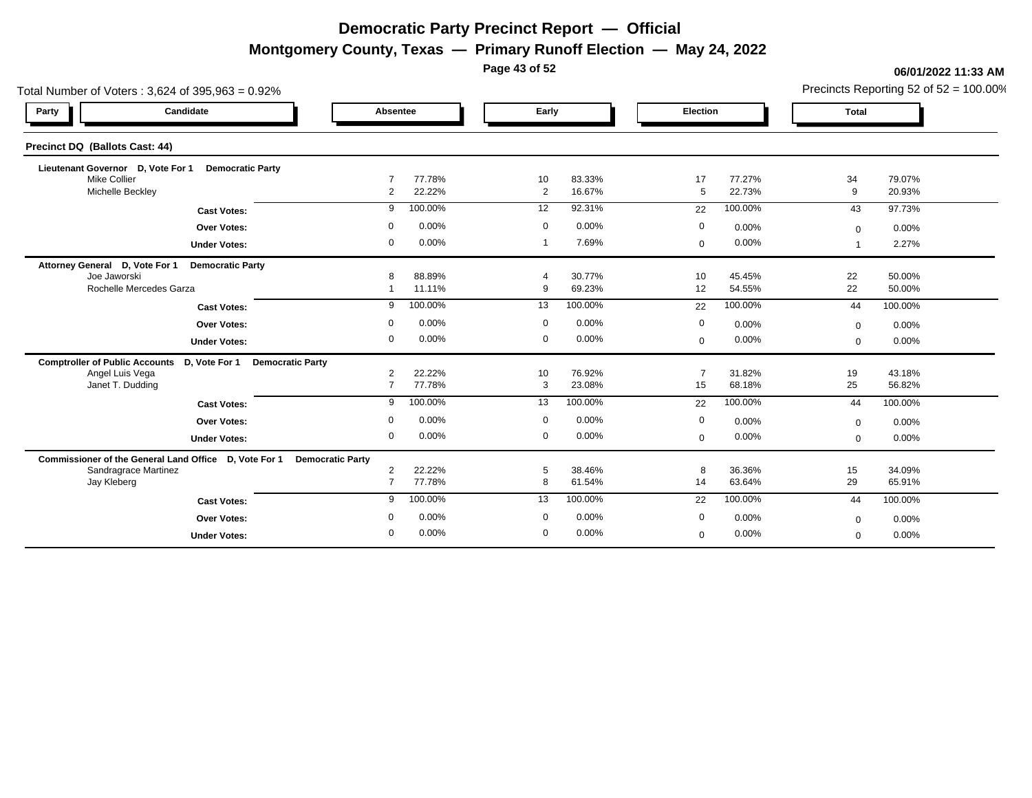**Montgomery County, Texas — Primary Runoff Election — May 24, 2022**

**Page 43 of 52**

|                                            | Total Number of Voters: 3,624 of 395,963 = 0.92%                       |                                  |                  |                     |                  |                       |                  |              | Precincts Reporting 52 of 52 = 100.00% |
|--------------------------------------------|------------------------------------------------------------------------|----------------------------------|------------------|---------------------|------------------|-----------------------|------------------|--------------|----------------------------------------|
| Party                                      | Candidate                                                              | Absentee                         |                  | Early               |                  | Election              |                  | <b>Total</b> |                                        |
| Precinct DQ (Ballots Cast: 44)             |                                                                        |                                  |                  |                     |                  |                       |                  |              |                                        |
| Lieutenant Governor D, Vote For 1          | <b>Democratic Party</b>                                                | $\overline{7}$                   |                  |                     |                  |                       |                  |              |                                        |
| <b>Mike Collier</b><br>Michelle Beckley    |                                                                        | 2                                | 77.78%<br>22.22% | 10<br>2             | 83.33%<br>16.67% | 17<br>$5\overline{5}$ | 77.27%<br>22.73% | 34<br>9      | 79.07%<br>20.93%                       |
|                                            | <b>Cast Votes:</b>                                                     | 9                                | 100.00%          | 12                  | 92.31%           | 22                    | 100.00%          | 43           | 97.73%                                 |
|                                            | <b>Over Votes:</b>                                                     | $\mathbf 0$                      | 0.00%            | $\overline{0}$      | 0.00%            | $\mathbf 0$           | 0.00%            | $\Omega$     | 0.00%                                  |
|                                            | <b>Under Votes:</b>                                                    | 0                                | 0.00%            | $\overline{1}$      | 7.69%            | $\mathbf 0$           | 0.00%            |              | 2.27%                                  |
| Attorney General D, Vote For 1             | <b>Democratic Party</b>                                                |                                  |                  |                     |                  |                       |                  |              |                                        |
| Joe Jaworski                               | Rochelle Mercedes Garza                                                | 8                                | 88.89%<br>11.11% | $\overline{4}$<br>9 | 30.77%<br>69.23% | 10<br>12              | 45.45%<br>54.55% | 22<br>22     | 50.00%<br>50.00%                       |
|                                            | <b>Cast Votes:</b>                                                     | 9                                | 100.00%          | 13                  | 100.00%          | 22                    | 100.00%          | 44           | 100.00%                                |
|                                            | <b>Over Votes:</b>                                                     | $\mathbf 0$                      | 0.00%            | $\mathbf 0$         | 0.00%            | 0                     | 0.00%            | $\mathbf{0}$ | 0.00%                                  |
|                                            | <b>Under Votes:</b>                                                    | $\mathbf 0$                      | 0.00%            | $\mathbf 0$         | 0.00%            | $\mathbf{0}$          | 0.00%            | $\Omega$     | 0.00%                                  |
|                                            | Comptroller of Public Accounts D, Vote For 1 Democratic Party          |                                  |                  |                     |                  |                       |                  |              |                                        |
| Angel Luis Vega<br>Janet T. Dudding        |                                                                        | $\overline{2}$<br>$\overline{7}$ | 22.22%<br>77.78% | 10<br>$\mathbf{3}$  | 76.92%<br>23.08% | $\overline{7}$<br>15  | 31.82%<br>68.18% | 19<br>25     | 43.18%<br>56.82%                       |
|                                            |                                                                        | 9                                | 100.00%          | 13                  | 100.00%          |                       | 100.00%          |              | 100.00%                                |
|                                            | <b>Cast Votes:</b>                                                     |                                  |                  |                     |                  | 22                    |                  | 44           |                                        |
|                                            | <b>Over Votes:</b>                                                     | $\mathbf 0$                      | 0.00%            | $\mathbf 0$         | 0.00%            | 0                     | 0.00%            | $\Omega$     | 0.00%                                  |
|                                            | <b>Under Votes:</b>                                                    | $\mathbf 0$                      | 0.00%            | $\mathbf 0$         | 0.00%            | $\mathbf 0$           | 0.00%            | $\mathbf{0}$ | 0.00%                                  |
|                                            | Commissioner of the General Land Office D, Vote For 1 Democratic Party |                                  |                  |                     |                  | 8                     |                  |              |                                        |
| <b>Sandragrace Martinez</b><br>Jay Kleberg |                                                                        | $\overline{2}$<br>$\overline{7}$ | 22.22%<br>77.78% | 5<br>8              | 38.46%<br>61.54% | 14                    | 36.36%<br>63.64% | 15<br>29     | 34.09%<br>65.91%                       |
|                                            | <b>Cast Votes:</b>                                                     | 9                                | 100.00%          | 13                  | 100.00%          | 22                    | 100.00%          | 44           | 100.00%                                |
|                                            | <b>Over Votes:</b>                                                     | 0                                | 0.00%            | $\mathbf 0$         | 0.00%            | 0                     | 0.00%            | $\mathbf{0}$ | 0.00%                                  |
|                                            | <b>Under Votes:</b>                                                    | 0                                | 0.00%            | $\mathbf 0$         | 0.00%            | $\Omega$              | 0.00%            | $\mathbf{0}$ | 0.00%                                  |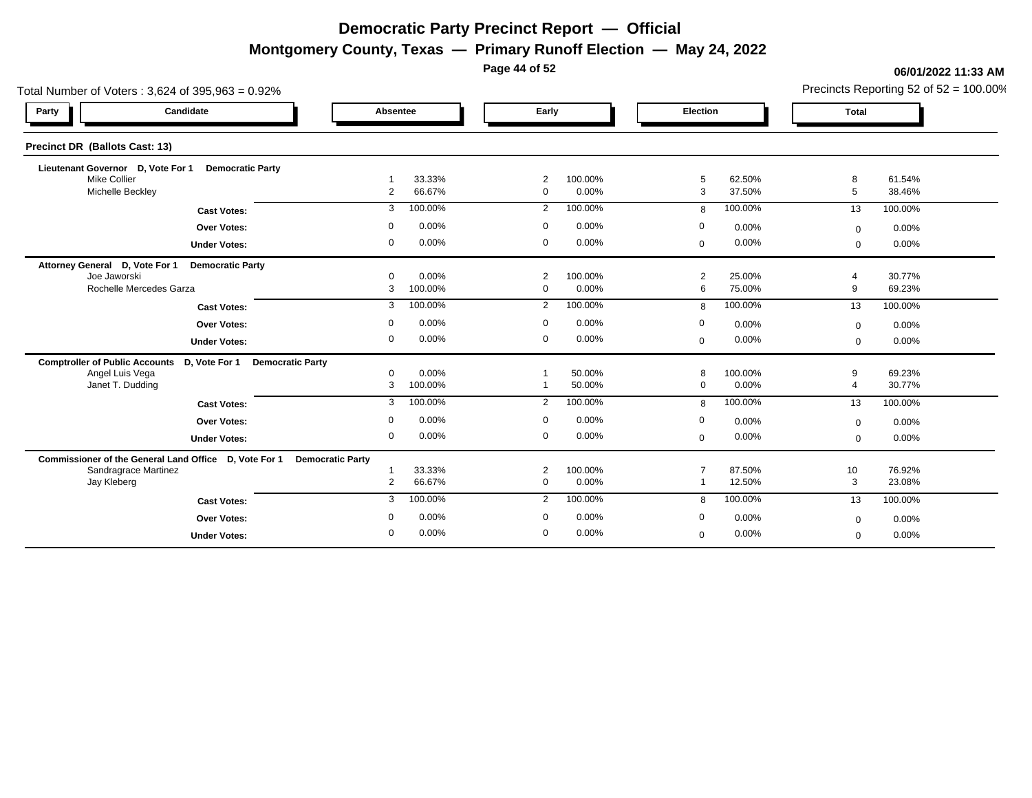**Montgomery County, Texas — Primary Runoff Election — May 24, 2022**

**Page 44 of 52**

| Total Number of Voters: 3,624 of 395,963 = 0.92%                       |                                          |               |                  |                                  |                  |                |                  |                     | Precincts Reporting 52 of 52 = 100.00% |
|------------------------------------------------------------------------|------------------------------------------|---------------|------------------|----------------------------------|------------------|----------------|------------------|---------------------|----------------------------------------|
| Party                                                                  | Candidate                                | Absentee      |                  | Early                            |                  | Election       |                  | <b>Total</b>        |                                        |
| <b>Precinct DR (Ballots Cast: 13)</b>                                  |                                          |               |                  |                                  |                  |                |                  |                     |                                        |
| Lieutenant Governor D, Vote For 1                                      | <b>Democratic Party</b>                  |               |                  |                                  |                  |                |                  |                     |                                        |
| <b>Mike Collier</b><br>Michelle Beckley                                |                                          | 2             | 33.33%<br>66.67% | $\overline{2}$<br>$\overline{0}$ | 100.00%<br>0.00% | 5<br>3         | 62.50%<br>37.50% | 8<br>5              | 61.54%<br>38.46%                       |
|                                                                        | <b>Cast Votes:</b>                       | 3             | 100.00%          | $\overline{2}$                   | 100.00%          | 8              | 100.00%          | 13                  | 100.00%                                |
|                                                                        | <b>Over Votes:</b>                       | $\Omega$      | 0.00%            | $\Omega$                         | 0.00%            | $\mathbf{0}$   | 0.00%            | $\mathbf{0}$        | 0.00%                                  |
|                                                                        | <b>Under Votes:</b>                      | 0             | 0.00%            | $\mathbf 0$                      | 0.00%            | $\mathbf 0$    | 0.00%            | $\mathbf{0}$        | 0.00%                                  |
| Attorney General D, Vote For 1                                         | <b>Democratic Party</b>                  |               |                  |                                  |                  |                |                  |                     |                                        |
| Joe Jaworski<br>Rochelle Mercedes Garza                                |                                          | $\Omega$<br>3 | 0.00%<br>100.00% | 2<br>$\mathbf 0$                 | 100.00%<br>0.00% | 2<br>6         | 25.00%<br>75.00% | $\overline{4}$<br>9 | 30.77%<br>69.23%                       |
|                                                                        | <b>Cast Votes:</b>                       | 3             | 100.00%          | $\overline{2}$                   | 100.00%          | 8              | 100.00%          | 13                  | 100.00%                                |
|                                                                        | <b>Over Votes:</b>                       | 0             | 0.00%            | $\overline{0}$                   | 0.00%            | $\mathbf{0}$   | 0.00%            | $\Omega$            | 0.00%                                  |
|                                                                        | <b>Under Votes:</b>                      | $\mathbf 0$   | 0.00%            | $\mathbf 0$                      | 0.00%            | $\mathbf 0$    | 0.00%            | $\mathbf{0}$        | 0.00%                                  |
| <b>Comptroller of Public Accounts</b>                                  | D, Vote For 1<br><b>Democratic Party</b> |               |                  |                                  |                  |                |                  |                     |                                        |
| Angel Luis Vega<br>Janet T. Dudding                                    |                                          | $\Omega$<br>3 | 0.00%<br>100.00% |                                  | 50.00%<br>50.00% | 8<br>$\Omega$  | 100.00%<br>0.00% | 9<br>$\overline{4}$ | 69.23%<br>30.77%                       |
|                                                                        | <b>Cast Votes:</b>                       | 3             | 100.00%          | 2                                | 100.00%          | 8              | 100.00%          | 13                  | 100.00%                                |
|                                                                        | <b>Over Votes:</b>                       | $\mathbf 0$   | 0.00%            | $\mathbf 0$                      | 0.00%            | $\mathbf{0}$   | 0.00%            | $\Omega$            | 0.00%                                  |
|                                                                        | <b>Under Votes:</b>                      | $\mathbf 0$   | 0.00%            | $\mathbf 0$                      | 0.00%            | $\mathbf{0}$   | 0.00%            | $\mathbf{0}$        | 0.00%                                  |
| Commissioner of the General Land Office D, Vote For 1 Democratic Party |                                          |               |                  |                                  |                  |                |                  |                     |                                        |
| Sandragrace Martinez<br>Jay Kleberg                                    |                                          | 2             | 33.33%<br>66.67% | $\overline{2}$<br>$\overline{0}$ | 100.00%<br>0.00% | $\overline{7}$ | 87.50%<br>12.50% | 10<br>3             | 76.92%<br>23.08%                       |
|                                                                        | <b>Cast Votes:</b>                       | 3             | 100.00%          | 2                                | 100.00%          | 8              | 100.00%          | 13                  | 100.00%                                |
|                                                                        | <b>Over Votes:</b>                       | $\mathbf 0$   | 0.00%            | $\mathbf 0$                      | 0.00%            | 0              | 0.00%            | $\mathbf{0}$        | 0.00%                                  |
|                                                                        | <b>Under Votes:</b>                      | $\Omega$      | 0.00%            | $\mathbf 0$                      | 0.00%            | $\mathbf 0$    | 0.00%            | $\Omega$            | 0.00%                                  |
|                                                                        |                                          |               |                  |                                  |                  |                |                  |                     |                                        |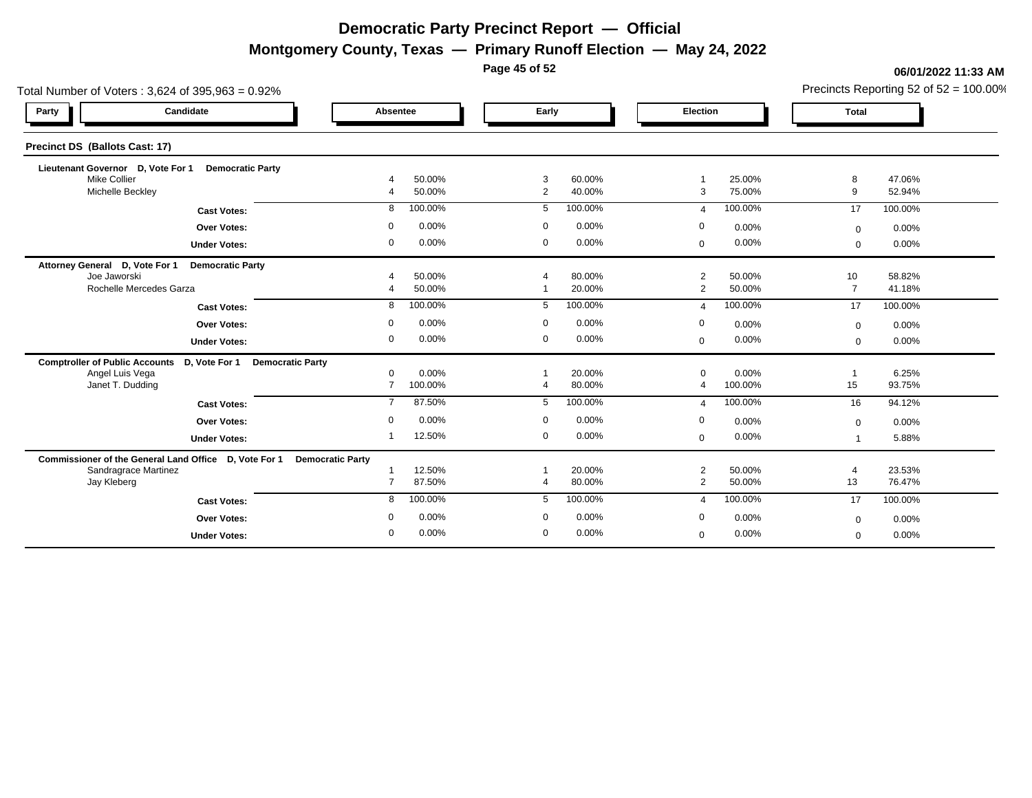**Montgomery County, Texas — Primary Runoff Election — May 24, 2022**

**Page 45 of 52**

| Total Number of Voters: 3,624 of 395,963 = 0.92%                                  |                     |                  |                     |                  |                       |                  |                      | Precincts Reporting 52 of $52 = 100.00\%$ |
|-----------------------------------------------------------------------------------|---------------------|------------------|---------------------|------------------|-----------------------|------------------|----------------------|-------------------------------------------|
| Candidate<br>Party                                                                | Absentee            |                  | Early               |                  | Election              |                  | <b>Total</b>         |                                           |
| Precinct DS (Ballots Cast: 17)                                                    |                     |                  |                     |                  |                       |                  |                      |                                           |
| Lieutenant Governor D, Vote For 1<br><b>Democratic Party</b>                      |                     |                  |                     |                  |                       |                  |                      |                                           |
| <b>Mike Collier</b><br>Michelle Beckley                                           | 4<br>4              | 50.00%<br>50.00% | 3<br>$\overline{2}$ | 60.00%<br>40.00% | -1<br>3               | 25.00%<br>75.00% | 8<br>9               | 47.06%<br>52.94%                          |
| <b>Cast Votes:</b>                                                                | 8                   | 100.00%          | 5                   | 100.00%          | $\overline{4}$        | 100.00%          | 17                   | 100.00%                                   |
| <b>Over Votes:</b>                                                                | $\Omega$            | 0.00%            | $\mathbf 0$         | 0.00%            | $\mathbf{0}$          | 0.00%            | $\mathbf 0$          | 0.00%                                     |
| <b>Under Votes:</b>                                                               | $\Omega$            | 0.00%            | $\mathbf 0$         | 0.00%            | $\mathbf 0$           | 0.00%            | $\mathbf{0}$         | 0.00%                                     |
| Attorney General D, Vote For 1<br><b>Democratic Party</b>                         |                     |                  |                     |                  |                       |                  |                      |                                           |
| Joe Jaworski<br>Rochelle Mercedes Garza                                           | 4<br>$\overline{4}$ | 50.00%<br>50.00% |                     | 80.00%<br>20.00% | 2<br>2                | 50.00%<br>50.00% | 10<br>$\overline{7}$ | 58.82%<br>41.18%                          |
| <b>Cast Votes:</b>                                                                | 8                   | 100.00%          | 5                   | 100.00%          | $\boldsymbol{\Delta}$ | 100.00%          | 17                   | 100.00%                                   |
| <b>Over Votes:</b>                                                                | $\Omega$            | 0.00%            | $\mathbf 0$         | 0.00%            | $\mathbf 0$           | 0.00%            | $\mathbf 0$          | 0.00%                                     |
| <b>Under Votes:</b>                                                               | $\Omega$            | 0.00%            | $\mathbf 0$         | 0.00%            | $\mathbf 0$           | 0.00%            | $\mathbf 0$          | 0.00%                                     |
| <b>Comptroller of Public Accounts</b><br>D, Vote For 1<br><b>Democratic Party</b> |                     |                  |                     |                  |                       |                  |                      |                                           |
| Angel Luis Vega                                                                   | $\mathbf 0$         | 0.00%            |                     | 20.00%           | $\mathbf 0$           | 0.00%            |                      | 6.25%                                     |
| Janet T. Dudding                                                                  | $\overline{7}$      | 100.00%          | 4                   | 80.00%           | $\overline{4}$        | 100.00%          | 15                   | 93.75%                                    |
| <b>Cast Votes:</b>                                                                | $\overline{7}$      | 87.50%           | 5                   | 100.00%          | $\mathbf{A}$          | 100.00%          | 16                   | 94.12%                                    |
| <b>Over Votes:</b>                                                                | $\Omega$            | 0.00%            | $\mathbf 0$         | 0.00%            | 0                     | 0.00%            | $\mathbf 0$          | 0.00%                                     |
| <b>Under Votes:</b>                                                               | -1                  | 12.50%           | $\mathbf 0$         | 0.00%            | $\mathbf 0$           | 0.00%            | -1                   | 5.88%                                     |
| Commissioner of the General Land Office D, Vote For 1<br><b>Democratic Party</b>  |                     |                  |                     |                  |                       |                  |                      |                                           |
| Sandragrace Martinez<br>Jay Kleberg                                               | $\overline{7}$      | 12.50%<br>87.50% | 4                   | 20.00%<br>80.00% | $\overline{2}$<br>2   | 50.00%<br>50.00% | $\overline{4}$<br>13 | 23.53%<br>76.47%                          |
| <b>Cast Votes:</b>                                                                | 8                   | 100.00%          | 5                   | 100.00%          | $\boldsymbol{\Delta}$ | 100.00%          | 17                   | 100.00%                                   |
|                                                                                   | $\mathbf 0$         | 0.00%            | $\overline{0}$      | 0.00%            | $\mathbf 0$           |                  |                      |                                           |
| <b>Over Votes:</b>                                                                | $\mathbf 0$         | 0.00%            | $\mathbf{0}$        | 0.00%            |                       | 0.00%<br>0.00%   | $\mathbf 0$          | 0.00%                                     |
| <b>Under Votes:</b>                                                               |                     |                  |                     |                  | $\mathbf{0}$          |                  | $\mathbf{0}$         | 0.00%                                     |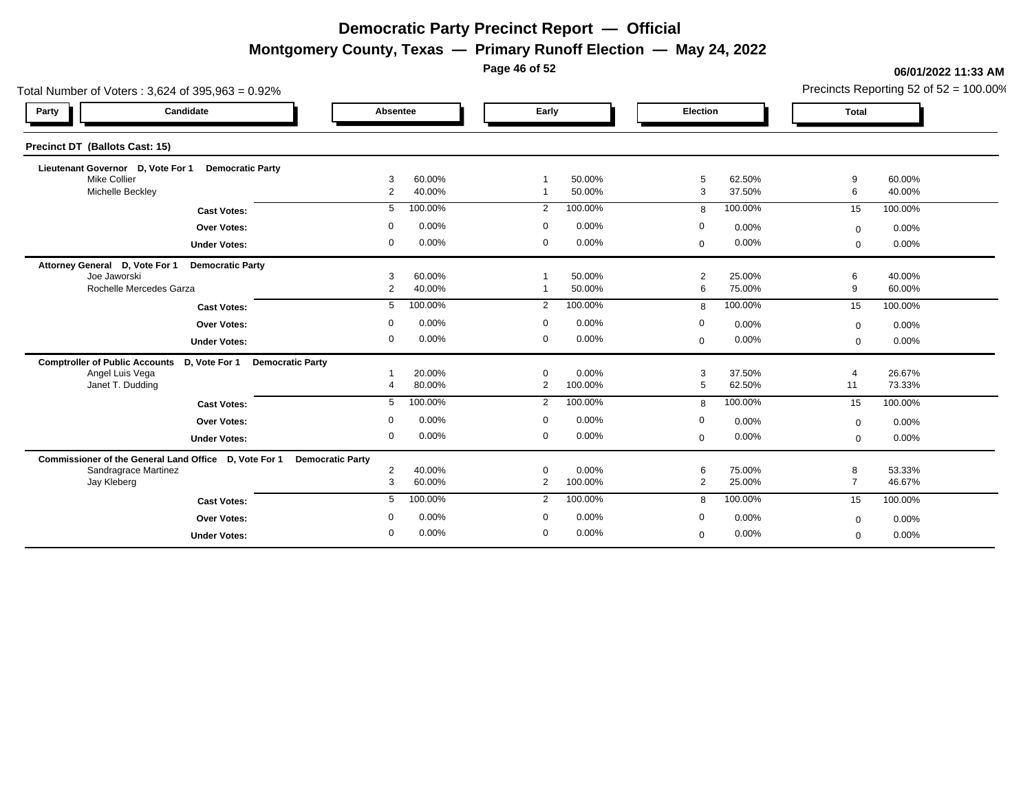**Montgomery County, Texas — Primary Runoff Election — May 24, 2022**

**Page 46 of 52**

| Total Number of Voters: 3,624 of 395,963 = 0.92%                                  |                         |         |                |         |                |         |                | Precincts Reporting 52 of $52 = 100.00\%$ |
|-----------------------------------------------------------------------------------|-------------------------|---------|----------------|---------|----------------|---------|----------------|-------------------------------------------|
| Candidate<br>Party                                                                | Absentee                |         | Early          |         | Election       |         | <b>Total</b>   |                                           |
| Precinct DT (Ballots Cast: 15)                                                    |                         |         |                |         |                |         |                |                                           |
| Lieutenant Governor D, Vote For 1<br><b>Democratic Party</b><br>Mike Collier      | 3                       | 60.00%  |                | 50.00%  | 5              | 62.50%  | 9              | 60.00%                                    |
| Michelle Beckley                                                                  | $\overline{2}$          | 40.00%  |                | 50.00%  | 3              | 37.50%  | 6              | 40.00%                                    |
| <b>Cast Votes:</b>                                                                | 5                       | 100.00% | 2              | 100.00% | 8              | 100.00% | 15             | 100.00%                                   |
| <b>Over Votes:</b>                                                                | $\Omega$                | 0.00%   | $\mathbf 0$    | 0.00%   | $\mathbf 0$    | 0.00%   | $\mathbf 0$    | 0.00%                                     |
| <b>Under Votes:</b>                                                               | $\mathbf 0$             | 0.00%   | $\mathbf 0$    | 0.00%   | $\mathbf 0$    | 0.00%   | $\mathbf{0}$   | 0.00%                                     |
| Attorney General D, Vote For 1<br><b>Democratic Party</b>                         |                         |         |                |         |                |         |                |                                           |
| Joe Jaworski                                                                      | 3                       | 60.00%  |                | 50.00%  | 2              | 25.00%  | 6              | 40.00%                                    |
| Rochelle Mercedes Garza                                                           | 2                       | 40.00%  |                | 50.00%  | 6              | 75.00%  | 9              | 60.00%                                    |
| <b>Cast Votes:</b>                                                                | 5                       | 100.00% | 2              | 100.00% | 8              | 100.00% | 15             | 100.00%                                   |
| <b>Over Votes:</b>                                                                | $\Omega$                | 0.00%   | $\mathbf 0$    | 0.00%   | $\mathbf 0$    | 0.00%   | $\mathbf 0$    | 0.00%                                     |
| <b>Under Votes:</b>                                                               | $\mathbf 0$             | 0.00%   | $\mathbf 0$    | 0.00%   | $\overline{0}$ | 0.00%   | $\mathbf 0$    | 0.00%                                     |
| <b>Comptroller of Public Accounts</b><br>D, Vote For 1<br><b>Democratic Party</b> |                         |         |                |         |                |         |                |                                           |
| Angel Luis Vega                                                                   |                         | 20.00%  | $\mathbf 0$    | 0.00%   | 3              | 37.50%  | $\overline{4}$ | 26.67%                                    |
| Janet T. Dudding                                                                  | $\overline{4}$          | 80.00%  | 2              | 100.00% | 5              | 62.50%  | 11             | 73.33%                                    |
| <b>Cast Votes:</b>                                                                | 5                       | 100.00% | 2              | 100.00% | 8              | 100.00% | 15             | 100.00%                                   |
| <b>Over Votes:</b>                                                                | $\Omega$                | 0.00%   | $\overline{0}$ | 0.00%   | $\mathbf 0$    | 0.00%   | $\mathbf 0$    | 0.00%                                     |
| <b>Under Votes:</b>                                                               | $\mathbf 0$             | 0.00%   | $\overline{0}$ | 0.00%   | $\mathbf{0}$   | 0.00%   | $\mathbf{0}$   | 0.00%                                     |
| Commissioner of the General Land Office D, Vote For 1                             | <b>Democratic Party</b> |         |                |         |                |         |                |                                           |
| Sandragrace Martinez                                                              | 2                       | 40.00%  | $\Omega$       | 0.00%   | 6              | 75.00%  | 8              | 53.33%                                    |
| Jay Kleberg                                                                       | 3                       | 60.00%  | 2              | 100.00% | 2              | 25.00%  | $\overline{7}$ | 46.67%                                    |
| <b>Cast Votes:</b>                                                                | 5                       | 100.00% | 2              | 100.00% | 8              | 100.00% | 15             | 100.00%                                   |
| <b>Over Votes:</b>                                                                | $\Omega$                | 0.00%   | $\mathbf 0$    | 0.00%   | $\mathbf 0$    | 0.00%   | $\mathbf 0$    | 0.00%                                     |
| <b>Under Votes:</b>                                                               | $\Omega$                | 0.00%   | $\mathbf 0$    | 0.00%   | $\mathbf{0}$   | 0.00%   | $\mathbf{0}$   | 0.00%                                     |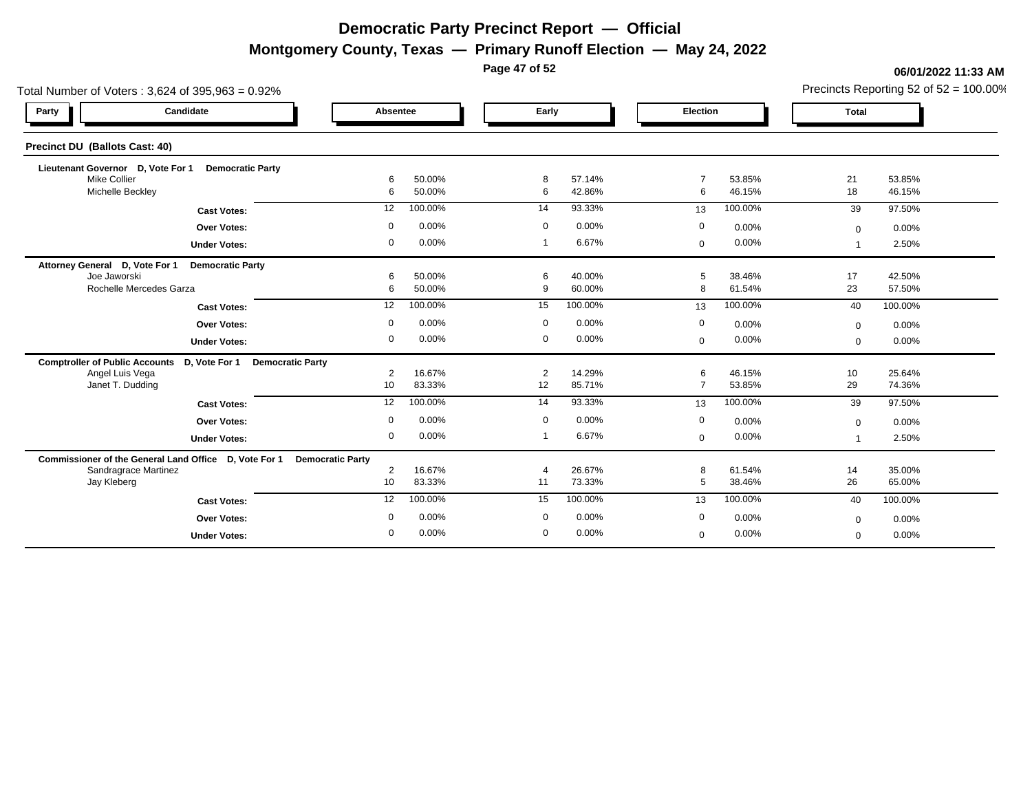**Montgomery County, Texas — Primary Runoff Election — May 24, 2022**

**Page 47 of 52**

| Total Number of Voters: 3,624 of 395,963 = 0.92%                                    |                         |         |                |         |                |         |                | Precincts Reporting 52 of $52 = 100.00\%$ |
|-------------------------------------------------------------------------------------|-------------------------|---------|----------------|---------|----------------|---------|----------------|-------------------------------------------|
| Candidate<br>Party                                                                  | Absentee                |         | Early          |         | Election       |         | <b>Total</b>   |                                           |
| Precinct DU (Ballots Cast: 40)                                                      |                         |         |                |         |                |         |                |                                           |
| Lieutenant Governor D, Vote For 1<br><b>Democratic Party</b><br><b>Mike Collier</b> | 6                       | 50.00%  | 8              | 57.14%  | $\overline{7}$ | 53.85%  | 21             | 53.85%                                    |
| Michelle Beckley                                                                    | 6                       | 50.00%  | 6              | 42.86%  | 6              | 46.15%  | 18             | 46.15%                                    |
| <b>Cast Votes:</b>                                                                  | 12                      | 100.00% | 14             | 93.33%  | 13             | 100.00% | 39             | 97.50%                                    |
| <b>Over Votes:</b>                                                                  | $\Omega$                | 0.00%   | $\mathbf 0$    | 0.00%   | $\mathbf 0$    | 0.00%   | $\mathbf 0$    | 0.00%                                     |
| <b>Under Votes:</b>                                                                 | $\mathbf 0$             | 0.00%   | -1             | 6.67%   | $\mathbf 0$    | 0.00%   |                | 2.50%                                     |
| Attorney General D, Vote For 1<br><b>Democratic Party</b>                           |                         |         |                |         |                |         |                |                                           |
| Joe Jaworski                                                                        | 6                       | 50.00%  | 6              | 40.00%  | 5              | 38.46%  | 17             | 42.50%                                    |
| Rochelle Mercedes Garza                                                             | 6                       | 50.00%  | 9              | 60.00%  | 8              | 61.54%  | 23             | 57.50%                                    |
| <b>Cast Votes:</b>                                                                  | 12                      | 100.00% | 15             | 100.00% | 13             | 100.00% | 40             | 100.00%                                   |
| <b>Over Votes:</b>                                                                  | $\Omega$                | 0.00%   | $\mathbf 0$    | 0.00%   | $\mathbf 0$    | 0.00%   | $\mathbf 0$    | 0.00%                                     |
| <b>Under Votes:</b>                                                                 | $\mathbf 0$             | 0.00%   | $\mathbf 0$    | 0.00%   | $\mathbf 0$    | 0.00%   | $\overline{0}$ | 0.00%                                     |
| <b>Comptroller of Public Accounts</b><br>D, Vote For 1                              | <b>Democratic Party</b> |         |                |         |                |         |                |                                           |
| Angel Luis Vega                                                                     | $\overline{2}$          | 16.67%  | $\overline{2}$ | 14.29%  | 6              | 46.15%  | 10             | 25.64%                                    |
| Janet T. Dudding                                                                    | 10                      | 83.33%  | 12             | 85.71%  | $\overline{7}$ | 53.85%  | 29             | 74.36%                                    |
| <b>Cast Votes:</b>                                                                  | 12                      | 100.00% | 14             | 93.33%  | 13             | 100.00% | 39             | 97.50%                                    |
| <b>Over Votes:</b>                                                                  | $\mathbf 0$             | 0.00%   | $\mathbf 0$    | 0.00%   | $\mathbf 0$    | 0.00%   | $\mathbf 0$    | 0.00%                                     |
| <b>Under Votes:</b>                                                                 | $\mathbf 0$             | 0.00%   |                | 6.67%   | $\mathbf{0}$   | 0.00%   |                | 2.50%                                     |
| Commissioner of the General Land Office D, Vote For 1                               | <b>Democratic Party</b> |         |                |         |                |         |                |                                           |
| Sandragrace Martinez                                                                | 2                       | 16.67%  |                | 26.67%  | 8              | 61.54%  | 14             | 35.00%                                    |
| Jay Kleberg                                                                         | 10                      | 83.33%  | 11             | 73.33%  | 5              | 38.46%  | 26             | 65.00%                                    |
| <b>Cast Votes:</b>                                                                  | 12                      | 100.00% | 15             | 100.00% | 13             | 100.00% | 40             | 100.00%                                   |
| <b>Over Votes:</b>                                                                  | $\mathbf 0$             | 0.00%   | $\mathbf 0$    | 0.00%   | $\mathbf 0$    | 0.00%   | $\mathbf 0$    | 0.00%                                     |
| <b>Under Votes:</b>                                                                 | $\Omega$                | 0.00%   | $\mathbf 0$    | 0.00%   | $\overline{0}$ | 0.00%   | $\mathbf{0}$   | 0.00%                                     |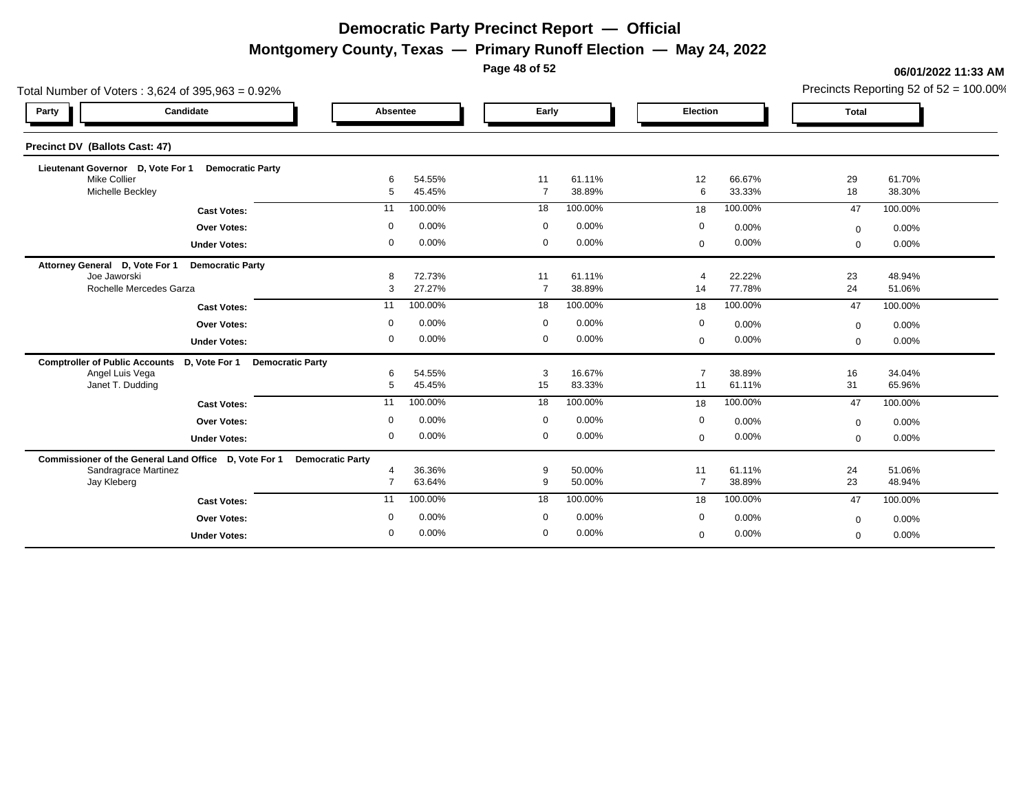**Montgomery County, Texas — Primary Runoff Election — May 24, 2022**

**Page 48 of 52**

|                                         | Total Number of Voters: 3,624 of 395,963 = 0.92%                       |                |                  |                      |                  |                |                  |              | Precincts Reporting 52 of $52 = 100.00\%$ |
|-----------------------------------------|------------------------------------------------------------------------|----------------|------------------|----------------------|------------------|----------------|------------------|--------------|-------------------------------------------|
| Party                                   | Candidate                                                              | Absentee       |                  | Early                |                  | Election       |                  | <b>Total</b> |                                           |
| <b>Precinct DV (Ballots Cast: 47)</b>   |                                                                        |                |                  |                      |                  |                |                  |              |                                           |
| Lieutenant Governor D, Vote For 1       | <b>Democratic Party</b>                                                |                |                  |                      |                  |                |                  |              |                                           |
| <b>Mike Collier</b><br>Michelle Beckley |                                                                        | 6<br>5         | 54.55%<br>45.45% | 11<br>$\overline{7}$ | 61.11%<br>38.89% | 12<br>6        | 66.67%<br>33.33% | 29<br>18     | 61.70%<br>38.30%                          |
|                                         |                                                                        | 11             | 100.00%          | 18                   | 100.00%          | 18             | 100.00%          | 47           | 100.00%                                   |
|                                         | <b>Cast Votes:</b>                                                     |                |                  |                      |                  |                |                  |              |                                           |
|                                         | <b>Over Votes:</b>                                                     | $\mathbf 0$    | 0.00%            | $\mathbf 0$          | 0.00%            | 0              | 0.00%            | $\Omega$     | 0.00%                                     |
|                                         | <b>Under Votes:</b>                                                    | $\mathbf 0$    | 0.00%            | $\mathbf 0$          | 0.00%            | $\mathbf 0$    | 0.00%            | $\mathbf{0}$ | 0.00%                                     |
| Attorney General D, Vote For 1          | <b>Democratic Party</b>                                                |                |                  |                      |                  |                |                  |              |                                           |
| Joe Jaworski                            |                                                                        | 8              | 72.73%           | 11                   | 61.11%           | $\overline{a}$ | 22.22%           | 23           | 48.94%                                    |
|                                         | Rochelle Mercedes Garza                                                | 3              | 27.27%           | $\overline{7}$       | 38.89%           | 14             | 77.78%           | 24           | 51.06%                                    |
|                                         | <b>Cast Votes:</b>                                                     | 11             | 100.00%          | 18                   | 100.00%          | 18             | 100.00%          | 47           | 100.00%                                   |
|                                         | <b>Over Votes:</b>                                                     | $\mathbf 0$    | 0.00%            | $\mathbf 0$          | 0.00%            | $\mathbf{0}$   | 0.00%            | $\mathbf 0$  | 0.00%                                     |
|                                         | <b>Under Votes:</b>                                                    | $\mathbf 0$    | 0.00%            | $\mathbf 0$          | 0.00%            | $\mathbf{0}$   | 0.00%            | $\mathbf 0$  | 0.00%                                     |
|                                         | Comptroller of Public Accounts D, Vote For 1 Democratic Party          |                |                  |                      |                  |                |                  |              |                                           |
| Angel Luis Vega                         |                                                                        | 6              | 54.55%           | 3                    | 16.67%           |                | 38.89%           | 16           | 34.04%                                    |
| Janet T. Dudding                        |                                                                        | 5              | 45.45%           | 15                   | 83.33%           | 11             | 61.11%           | 31           | 65.96%                                    |
|                                         | <b>Cast Votes:</b>                                                     | 11             | 100.00%          | 18                   | 100.00%          | 18             | 100.00%          | 47           | 100.00%                                   |
|                                         | <b>Over Votes:</b>                                                     | $\mathbf 0$    | 0.00%            | $\mathbf 0$          | 0.00%            | $\mathbf 0$    | 0.00%            | $\mathbf{0}$ | 0.00%                                     |
|                                         | <b>Under Votes:</b>                                                    | $\overline{0}$ | 0.00%            | $\mathbf 0$          | 0.00%            | $\mathbf 0$    | 0.00%            | $\mathbf{0}$ | 0.00%                                     |
|                                         | Commissioner of the General Land Office D, Vote For 1 Democratic Party |                |                  |                      |                  |                |                  |              |                                           |
|                                         | Sandragrace Martinez                                                   | $\overline{4}$ | 36.36%           | 9                    | 50.00%           | 11             | 61.11%           | 24           | 51.06%                                    |
| Jay Kleberg                             |                                                                        | $\overline{7}$ | 63.64%           | 9                    | 50.00%           | $\overline{7}$ | 38.89%           | 23           | 48.94%                                    |
|                                         | <b>Cast Votes:</b>                                                     | 11             | 100.00%          | 18                   | 100.00%          | 18             | 100.00%          | 47           | 100.00%                                   |
|                                         | <b>Over Votes:</b>                                                     | $\mathbf 0$    | 0.00%            | $\mathbf 0$          | 0.00%            | 0              | 0.00%            | $\mathbf 0$  | 0.00%                                     |
|                                         | <b>Under Votes:</b>                                                    | $\mathbf 0$    | 0.00%            | $\mathbf 0$          | 0.00%            | $\Omega$       | 0.00%            | $\mathbf{0}$ | 0.00%                                     |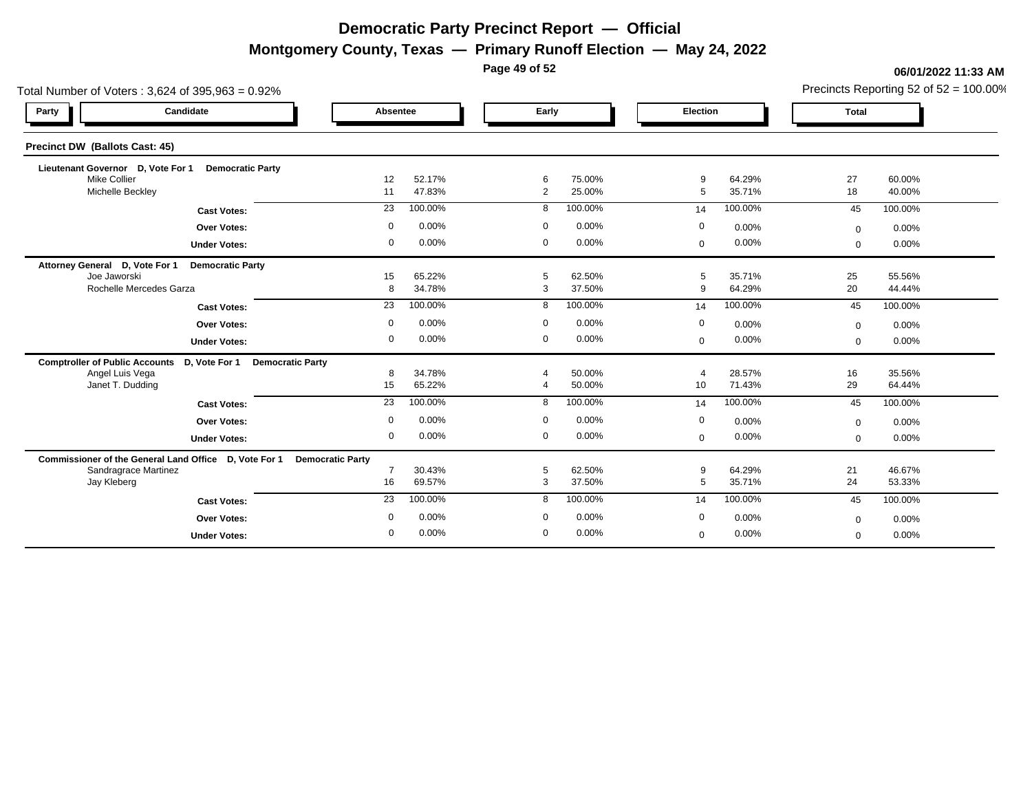**Montgomery County, Texas — Primary Runoff Election — May 24, 2022**

**Page 49 of 52**

| Total Number of Voters: 3,624 of 395,963 = 0.92%                       | Precincts Reporting 52 of $52 = 100.00\%$ |                  |                     |                  |                      |                  |                |                  |  |  |  |  |
|------------------------------------------------------------------------|-------------------------------------------|------------------|---------------------|------------------|----------------------|------------------|----------------|------------------|--|--|--|--|
| Candidate<br>Party                                                     | Absentee                                  |                  | Early               |                  | Election             |                  | <b>Total</b>   |                  |  |  |  |  |
| Precinct DW (Ballots Cast: 45)                                         |                                           |                  |                     |                  |                      |                  |                |                  |  |  |  |  |
| Lieutenant Governor D, Vote For 1<br><b>Democratic Party</b>           |                                           |                  |                     |                  |                      |                  |                |                  |  |  |  |  |
| <b>Mike Collier</b><br>Michelle Beckley                                | 12<br>11                                  | 52.17%<br>47.83% | 6<br>$\overline{2}$ | 75.00%<br>25.00% | 9<br>$5\overline{5}$ | 64.29%<br>35.71% | 27<br>18       | 60.00%<br>40.00% |  |  |  |  |
| <b>Cast Votes:</b>                                                     | 23                                        | 100.00%          | 8                   | 100.00%          | 14                   | 100.00%          | 45             | 100.00%          |  |  |  |  |
| <b>Over Votes:</b>                                                     | $\mathbf 0$                               | 0.00%            | $\mathbf 0$         | 0.00%            | 0                    | 0.00%            | $\Omega$       | 0.00%            |  |  |  |  |
| <b>Under Votes:</b>                                                    | $\mathbf 0$                               | 0.00%            | $\mathbf 0$         | 0.00%            | $\mathbf 0$          | 0.00%            | $\mathbf{0}$   | 0.00%            |  |  |  |  |
| Attorney General D, Vote For 1<br><b>Democratic Party</b>              |                                           |                  |                     |                  |                      |                  |                |                  |  |  |  |  |
| Joe Jaworski                                                           | 15                                        | 65.22%           | 5                   | 62.50%           | 5                    | 35.71%           | 25             | 55.56%           |  |  |  |  |
| Rochelle Mercedes Garza                                                | 8                                         | 34.78%           | 3                   | 37.50%           | 9                    | 64.29%           | 20             | 44.44%           |  |  |  |  |
| <b>Cast Votes:</b>                                                     | 23                                        | 100.00%          | 8                   | 100.00%          | 14                   | 100.00%          | 45             | 100.00%          |  |  |  |  |
| <b>Over Votes:</b>                                                     | $\mathbf 0$                               | 0.00%            | $\mathbf 0$         | 0.00%            | $\mathbf{0}$         | 0.00%            | $\mathbf 0$    | 0.00%            |  |  |  |  |
| <b>Under Votes:</b>                                                    | $\mathbf 0$                               | 0.00%            | $\mathbf 0$         | 0.00%            | $\mathbf{0}$         | 0.00%            | $\mathbf 0$    | 0.00%            |  |  |  |  |
| Comptroller of Public Accounts D, Vote For 1 Democratic Party          |                                           |                  |                     |                  |                      |                  |                |                  |  |  |  |  |
| Angel Luis Vega                                                        | 8                                         | 34.78%           |                     | 50.00%           | $\mathbf 4$          | 28.57%           | 16             | 35.56%           |  |  |  |  |
| Janet T. Dudding                                                       | 15                                        | 65.22%           |                     | 50.00%           | 10                   | 71.43%           | 29             | 64.44%           |  |  |  |  |
| <b>Cast Votes:</b>                                                     | 23                                        | 100.00%          | 8                   | 100.00%          | 14                   | 100.00%          | 45             | 100.00%          |  |  |  |  |
| <b>Over Votes:</b>                                                     | $\mathbf 0$                               | 0.00%            | $\Omega$            | 0.00%            | $\mathbf 0$          | 0.00%            | $\mathbf{0}$   | 0.00%            |  |  |  |  |
| <b>Under Votes:</b>                                                    | $\overline{0}$                            | 0.00%            | $\mathbf 0$         | 0.00%            | $\mathbf 0$          | 0.00%            | $\mathbf{0}$   | 0.00%            |  |  |  |  |
| Commissioner of the General Land Office D, Vote For 1 Democratic Party |                                           |                  |                     |                  |                      |                  |                |                  |  |  |  |  |
| Sandragrace Martinez                                                   | -7                                        | 30.43%           | 5                   | 62.50%           | 9.                   | 64.29%           | 21             | 46.67%           |  |  |  |  |
| Jay Kleberg                                                            | 16                                        | 69.57%           | 3                   | 37.50%           | 5                    | 35.71%           | 24             | 53.33%           |  |  |  |  |
| <b>Cast Votes:</b>                                                     | 23                                        | 100.00%          | 8                   | 100.00%          | 14                   | 100.00%          | 45             | 100.00%          |  |  |  |  |
| <b>Over Votes:</b>                                                     | $\mathbf 0$                               | 0.00%            | $\mathbf 0$         | 0.00%            | 0                    | 0.00%            | $\mathbf 0$    | 0.00%            |  |  |  |  |
| <b>Under Votes:</b>                                                    | $\mathbf 0$                               | 0.00%            | $\mathbf 0$         | 0.00%            | $\Omega$             | 0.00%            | $\overline{0}$ | 0.00%            |  |  |  |  |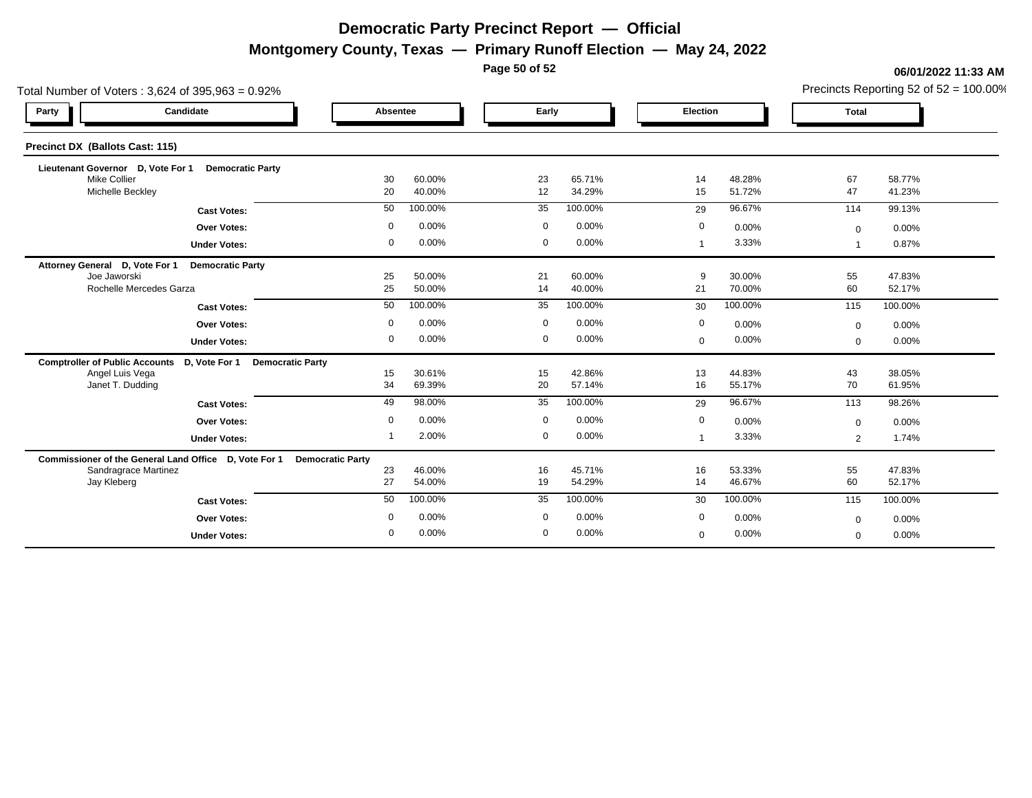**Montgomery County, Texas — Primary Runoff Election — May 24, 2022**

**Page 50 of 52**

| Total Number of Voters: 3,624 of 395,963 = 0.92% |                                                                        |             |                  |             |                  |  |             | Precincts Reporting 52 of 52 = 100.00% |                |                  |  |  |
|--------------------------------------------------|------------------------------------------------------------------------|-------------|------------------|-------------|------------------|--|-------------|----------------------------------------|----------------|------------------|--|--|
| Party                                            | Candidate                                                              | Absentee    |                  |             | Early            |  | Election    |                                        | <b>Total</b>   |                  |  |  |
| <b>Precinct DX (Ballots Cast: 115)</b>           |                                                                        |             |                  |             |                  |  |             |                                        |                |                  |  |  |
| Lieutenant Governor D, Vote For 1                | <b>Democratic Party</b>                                                |             |                  |             |                  |  |             |                                        |                |                  |  |  |
| <b>Mike Collier</b>                              | Michelle Beckley                                                       | 30<br>20    | 60.00%<br>40.00% | 23<br>12    | 65.71%<br>34.29% |  | 14<br>15    | 48.28%<br>51.72%                       | 67<br>47       | 58.77%<br>41.23% |  |  |
|                                                  | <b>Cast Votes:</b>                                                     | 50          | 100.00%          | 35          | 100.00%          |  | 29          | 96.67%                                 | 114            | 99.13%           |  |  |
|                                                  | <b>Over Votes:</b>                                                     | $\mathbf 0$ | 0.00%            | $\mathbf 0$ | 0.00%            |  | $\mathbf 0$ | 0.00%                                  | $\Omega$       | 0.00%            |  |  |
|                                                  | <b>Under Votes:</b>                                                    | 0           | 0.00%            | $\mathbf 0$ | 0.00%            |  |             | 3.33%                                  |                | 0.87%            |  |  |
| Attorney General D, Vote For 1                   | <b>Democratic Party</b>                                                |             |                  |             |                  |  |             |                                        |                |                  |  |  |
| Joe Jaworski                                     |                                                                        | 25          | 50.00%           | 21          | 60.00%           |  | 9           | 30.00%                                 | 55             | 47.83%           |  |  |
|                                                  | Rochelle Mercedes Garza                                                | 25          | 50.00%           | 14          | 40.00%           |  | 21          | 70.00%                                 | 60             | 52.17%           |  |  |
|                                                  | <b>Cast Votes:</b>                                                     | 50          | 100.00%          | 35          | 100.00%          |  | 30          | 100.00%                                | 115            | 100.00%          |  |  |
|                                                  | <b>Over Votes:</b>                                                     | $\mathbf 0$ | 0.00%            | $\mathbf 0$ | 0.00%            |  | 0           | 0.00%                                  | $\mathbf 0$    | 0.00%            |  |  |
|                                                  | <b>Under Votes:</b>                                                    | $\mathbf 0$ | 0.00%            | $\mathbf 0$ | 0.00%            |  | $\Omega$    | 0.00%                                  | $\Omega$       | 0.00%            |  |  |
| <b>Comptroller of Public Accounts</b>            | D. Vote For 1<br><b>Democratic Party</b>                               |             |                  |             |                  |  |             |                                        |                |                  |  |  |
|                                                  | Angel Luis Vega                                                        | 15          | 30.61%           | 15          | 42.86%           |  | 13          | 44.83%                                 | 43             | 38.05%           |  |  |
|                                                  | Janet T. Dudding                                                       | 34          | 69.39%           | 20          | 57.14%           |  | 16          | 55.17%                                 | 70             | 61.95%           |  |  |
|                                                  | <b>Cast Votes:</b>                                                     | 49          | 98.00%           | 35          | 100.00%          |  | 29          | 96.67%                                 | 113            | 98.26%           |  |  |
|                                                  | <b>Over Votes:</b>                                                     | $\mathbf 0$ | 0.00%            | $\mathbf 0$ | 0.00%            |  | 0           | 0.00%                                  | $\Omega$       | 0.00%            |  |  |
|                                                  | <b>Under Votes:</b>                                                    |             | 2.00%            | $\mathbf 0$ | 0.00%            |  |             | 3.33%                                  | $\overline{2}$ | 1.74%            |  |  |
|                                                  | Commissioner of the General Land Office D, Vote For 1 Democratic Party |             |                  |             |                  |  |             |                                        |                |                  |  |  |
|                                                  | Sandragrace Martinez                                                   | 23          | 46.00%           | 16          | 45.71%           |  | 16          | 53.33%                                 | 55             | 47.83%           |  |  |
| Jay Kleberg                                      |                                                                        | 27          | 54.00%           | 19          | 54.29%           |  | 14          | 46.67%                                 | 60             | 52.17%           |  |  |
|                                                  | <b>Cast Votes:</b>                                                     | 50          | 100.00%          | 35          | 100.00%          |  | 30          | 100.00%                                | 115            | 100.00%          |  |  |
|                                                  | <b>Over Votes:</b>                                                     | $\mathbf 0$ | 0.00%            | $\mathbf 0$ | 0.00%            |  | 0           | 0.00%                                  | $\mathbf 0$    | 0.00%            |  |  |
|                                                  | <b>Under Votes:</b>                                                    | $\mathbf 0$ | 0.00%            | $\mathbf 0$ | 0.00%            |  | $\Omega$    | 0.00%                                  | $\mathbf{0}$   | 0.00%            |  |  |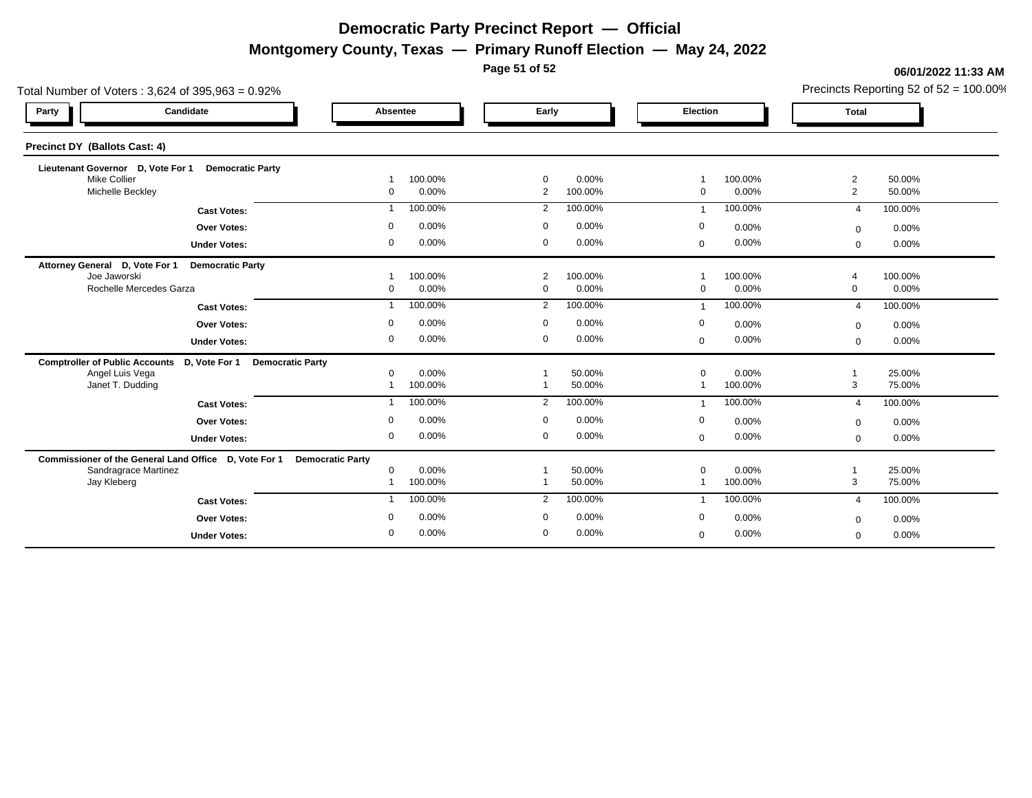**Montgomery County, Texas — Primary Runoff Election — May 24, 2022**

**Page 51 of 52**

| Total Number of Voters: 3,624 of 395,963 = 0.92%                          |                                 | Precincts Reporting 52 of $52 = 100.00\%$ |                              |                                     |  |
|---------------------------------------------------------------------------|---------------------------------|-------------------------------------------|------------------------------|-------------------------------------|--|
| Candidate<br>Party                                                        | Absentee                        | Early                                     | Election                     | <b>Total</b>                        |  |
| Precinct DY (Ballots Cast: 4)                                             |                                 |                                           |                              |                                     |  |
| Lieutenant Governor D, Vote For 1<br><b>Democratic Party</b>              |                                 |                                           |                              |                                     |  |
| <b>Mike Collier</b>                                                       | 100.00%                         | $\overline{0}$<br>0.00%                   | 100.00%                      | 50.00%<br>$\overline{2}$            |  |
| Michelle Beckley                                                          | 0.00%<br>$\Omega$               | $\overline{2}$<br>100.00%                 | 0.00%<br>$\Omega$            | $\overline{2}$<br>50.00%            |  |
| <b>Cast Votes:</b>                                                        | 100.00%<br>-1                   | 100.00%<br>$\overline{2}$                 | 100.00%                      | 100.00%<br>$\boldsymbol{\varDelta}$ |  |
| <b>Over Votes:</b>                                                        | 0.00%<br>0                      | $\mathbf 0$<br>0.00%                      | 0<br>0.00%                   | 0.00%<br>$\Omega$                   |  |
| <b>Under Votes:</b>                                                       | 0.00%<br>$\Omega$               | 0.00%<br>$\mathbf 0$                      | 0.00%<br>$\mathbf 0$         | 0.00%<br>$\mathbf{0}$               |  |
|                                                                           |                                 |                                           |                              |                                     |  |
| Attorney General D, Vote For 1<br><b>Democratic Party</b><br>Joe Jaworski | 100.00%                         | 2<br>100.00%                              | 100.00%                      | 100.00%<br>$\overline{4}$           |  |
| Rochelle Mercedes Garza                                                   | 0.00%<br>$\Omega$               | $\overline{0}$<br>0.00%                   | 0.00%<br>$\mathbf 0$         | 0.00%<br>$\mathbf 0$                |  |
|                                                                           | 100.00%                         | $\overline{2}$<br>100.00%                 | 100.00%                      | 100.00%<br>$\overline{4}$           |  |
| <b>Cast Votes:</b>                                                        |                                 |                                           |                              |                                     |  |
| <b>Over Votes:</b>                                                        | 0.00%<br>$\mathbf 0$            | 0.00%<br>$\overline{0}$                   | $\mathbf{0}$<br>0.00%        | 0.00%<br>$\Omega$                   |  |
| <b>Under Votes:</b>                                                       | 0.00%<br>0                      | 0.00%<br>$\mathbf 0$                      | 0.00%<br>$\mathbf{0}$        | 0.00%<br>$\mathbf{0}$               |  |
| Comptroller of Public Accounts D, Vote For 1<br><b>Democratic Party</b>   |                                 |                                           |                              |                                     |  |
| Angel Luis Vega                                                           | 0.00%<br>$\mathbf 0$            | 50.00%                                    | 0.00%<br>$\Omega$            | 25.00%                              |  |
| Janet T. Dudding                                                          | 100.00%                         | 50.00%<br>$\overline{1}$                  | 100.00%<br>$\overline{1}$    | 3<br>75.00%                         |  |
| <b>Cast Votes:</b>                                                        | 100.00%                         | 100.00%<br>2                              | 100.00%                      | 100.00%<br>$\overline{4}$           |  |
| <b>Over Votes:</b>                                                        | 0.00%<br>$\Omega$               | 0.00%<br>$\overline{0}$                   | 0<br>0.00%                   | 0.00%<br>$\Omega$                   |  |
| <b>Under Votes:</b>                                                       | 0.00%<br>$\mathbf 0$            | $\overline{0}$<br>0.00%                   | 0.00%<br>$\mathbf{0}$        | 0.00%<br>$\mathbf{0}$               |  |
|                                                                           |                                 |                                           |                              |                                     |  |
| Commissioner of the General Land Office D, Vote For 1                     | <b>Democratic Party</b>         |                                           |                              |                                     |  |
| Sandragrace Martinez<br>Jay Kleberg                                       | $\mathbf 0$<br>0.00%<br>100.00% | 50.00%<br>50.00%<br>$\overline{1}$        | 0.00%<br>$\Omega$<br>100.00% | 25.00%<br>3<br>75.00%               |  |
|                                                                           |                                 |                                           |                              |                                     |  |
| <b>Cast Votes:</b>                                                        | 100.00%                         | 100.00%<br>2                              | 100.00%                      | 100.00%<br>$\Delta$                 |  |
| <b>Over Votes:</b>                                                        | 0.00%<br>0                      | 0.00%<br>$\mathbf 0$                      | 0.00%<br>$\Omega$            | 0.00%<br>$\Omega$                   |  |
| <b>Under Votes:</b>                                                       | 0.00%<br>0                      | $\mathbf 0$<br>0.00%                      | 0.00%<br>$\mathbf 0$         | 0.00%<br>$\Omega$                   |  |